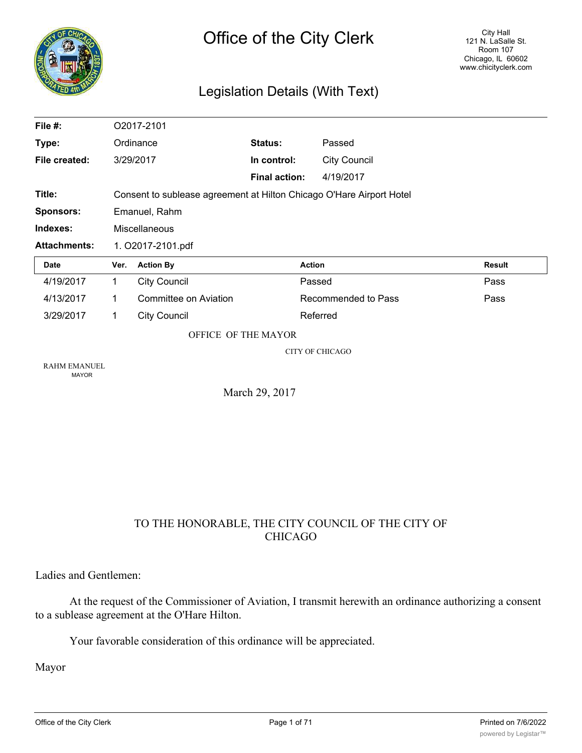

# Legislation Details (With Text)

| File #:                             |             | O2017-2101                                                           |                                                                                            |                        |        |
|-------------------------------------|-------------|----------------------------------------------------------------------|--------------------------------------------------------------------------------------------|------------------------|--------|
| Type:                               |             | Ordinance                                                            | Status:                                                                                    | Passed                 |        |
| File created:                       |             | 3/29/2017                                                            | In control:                                                                                | <b>City Council</b>    |        |
|                                     |             |                                                                      | <b>Final action:</b>                                                                       | 4/19/2017              |        |
| Title:                              |             | Consent to sublease agreement at Hilton Chicago O'Hare Airport Hotel |                                                                                            |                        |        |
| <b>Sponsors:</b>                    |             | Emanuel, Rahm                                                        |                                                                                            |                        |        |
| Indexes:                            |             | Miscellaneous                                                        |                                                                                            |                        |        |
| <b>Attachments:</b>                 |             | 1. O2017-2101.pdf                                                    |                                                                                            |                        |        |
| <b>Date</b>                         | Ver.        | <b>Action By</b>                                                     | <b>Action</b>                                                                              |                        | Result |
| 4/19/2017                           | 1.          | <b>City Council</b>                                                  |                                                                                            | Passed                 | Pass   |
| 4/13/2017                           | $\mathbf 1$ | Committee on Aviation                                                |                                                                                            | Recommended to Pass    | Pass   |
| 3/29/2017                           | 1           | <b>City Council</b>                                                  |                                                                                            | Referred               |        |
|                                     |             |                                                                      | OFFICE OF THE MAYOR                                                                        |                        |        |
|                                     |             |                                                                      |                                                                                            | <b>CITY OF CHICAGO</b> |        |
| <b>RAHM EMANUEL</b><br><b>MAYOR</b> |             |                                                                      |                                                                                            |                        |        |
|                                     |             |                                                                      | $\mathbf{1}$ $\mathbf{1}$ $\mathbf{2}$ $\mathbf{3}$ $\mathbf{3}$ $\mathbf{4}$ $\mathbf{5}$ |                        |        |

March 29, 2017

# TO THE HONORABLE, THE CITY COUNCIL OF THE CITY OF CHICAGO

Ladies and Gentlemen:

At the request of the Commissioner of Aviation, I transmit herewith an ordinance authorizing a consent to a sublease agreement at the O'Hare Hilton.

Your favorable consideration of this ordinance will be appreciated.

Mayor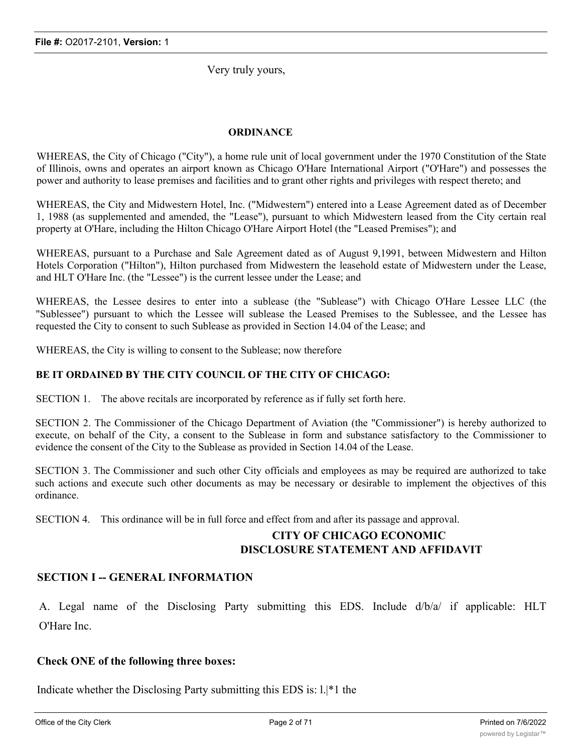Very truly yours,

#### **ORDINANCE**

WHEREAS, the City of Chicago ("City"), a home rule unit of local government under the 1970 Constitution of the State of Illinois, owns and operates an airport known as Chicago O'Hare International Airport ("O'Hare") and possesses the power and authority to lease premises and facilities and to grant other rights and privileges with respect thereto; and

WHEREAS, the City and Midwestern Hotel, Inc. ("Midwestern") entered into a Lease Agreement dated as of December 1, 1988 (as supplemented and amended, the "Lease"), pursuant to which Midwestern leased from the City certain real property at O'Hare, including the Hilton Chicago O'Hare Airport Hotel (the "Leased Premises"); and

WHEREAS, pursuant to a Purchase and Sale Agreement dated as of August 9,1991, between Midwestern and Hilton Hotels Corporation ("Hilton"), Hilton purchased from Midwestern the leasehold estate of Midwestern under the Lease, and HLT O'Hare Inc. (the "Lessee") is the current lessee under the Lease; and

WHEREAS, the Lessee desires to enter into a sublease (the "Sublease") with Chicago O'Hare Lessee LLC (the "Sublessee") pursuant to which the Lessee will sublease the Leased Premises to the Sublessee, and the Lessee has requested the City to consent to such Sublease as provided in Section 14.04 of the Lease; and

WHEREAS, the City is willing to consent to the Sublease; now therefore

#### **BE IT ORDAINED BY THE CITY COUNCIL OF THE CITY OF CHICAGO:**

SECTION 1. The above recitals are incorporated by reference as if fully set forth here.

SECTION 2. The Commissioner of the Chicago Department of Aviation (the "Commissioner") is hereby authorized to execute, on behalf of the City, a consent to the Sublease in form and substance satisfactory to the Commissioner to evidence the consent of the City to the Sublease as provided in Section 14.04 of the Lease.

SECTION 3. The Commissioner and such other City officials and employees as may be required are authorized to take such actions and execute such other documents as may be necessary or desirable to implement the objectives of this ordinance.

SECTION 4. This ordinance will be in full force and effect from and after its passage and approval.

# **CITY OF CHICAGO ECONOMIC DISCLOSURE STATEMENT AND AFFIDAVIT**

# **SECTION I -- GENERAL INFORMATION**

A. Legal name of the Disclosing Party submitting this EDS. Include d/b/a/ if applicable: HLT O'Hare Inc.

#### **Check ONE of the following three boxes:**

Indicate whether the Disclosing Party submitting this EDS is: l.|\*1 the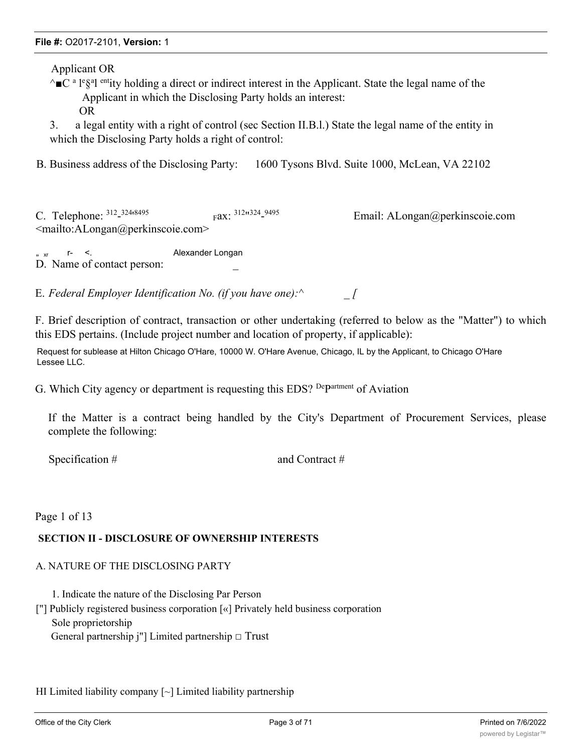Applicant OR

 $\Lambda$   $\blacksquare$   $\subset$  a lessal entity holding a direct or indirect interest in the Applicant. State the legal name of the Applicant in which the Disclosing Party holds an interest:

OR

3. a legal entity with a right of control (sec Section II.B.l.) State the legal name of the entity in which the Disclosing Party holds a right of control:

B. Business address of the Disclosing Party: 1600 Tysons Blvd. Suite 1000, McLean, VA 22102

C. Telephone:  $312\_324 \cdot 8495$ Fax:  $312 \times 324 - 9495$ <mailto:ALongan@perkinscoie.com>

Email: ALongan@perkinscoie.com

<sub>" xr</sub> r- <. Alexander Longan D. Name of contact person:

E. *Federal Employer Identification No. (if you have one):^ \_ [*

F. Brief description of contract, transaction or other undertaking (referred to below as the "Matter") to which this EDS pertains. (Include project number and location of property, if applicable):

Request for sublease at Hilton Chicago O'Hare, 10000 W. O'Hare Avenue, Chicago, IL by the Applicant, to Chicago O'Hare Lessee LLC.

G. Which City agency or department is requesting this EDS? Department of Aviation

If the Matter is a contract being handled by the City's Department of Procurement Services, please complete the following:

Specification # and Contract #

# Page 1 of 13

# **SECTION II - DISCLOSURE OF OWNERSHIP INTERESTS**

# A. NATURE OF THE DISCLOSING PARTY

1. Indicate the nature of the Disclosing Par Person

["] Publicly registered business corporation [«] Privately held business corporation Sole proprietorship General partnership j"] Limited partnership  $\Box$  Trust

HI Limited liability company [~] Limited liability partnership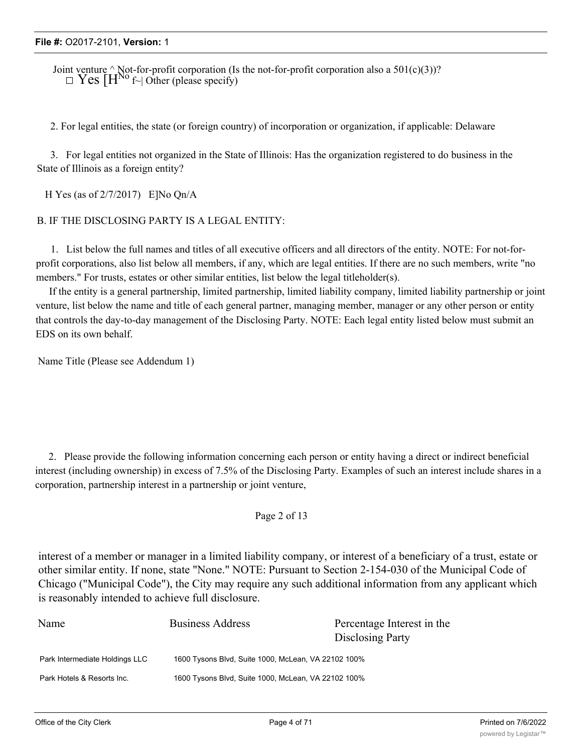Joint venture  $\land$  Not-for-profit corporation (Is the not-for-profit corporation also a 501(c)(3))?  $\Box$  Yes  $[H<sup>No</sup> f~]$  Other (please specify)

2. For legal entities, the state (or foreign country) of incorporation or organization, if applicable: Delaware

3. For legal entities not organized in the State of Illinois: Has the organization registered to do business in the State of Illinois as a foreign entity?

H Yes (as of 2/7/2017) E]No Qn/A

#### B. IF THE DISCLOSING PARTY IS A LEGAL ENTITY:

1. List below the full names and titles of all executive officers and all directors of the entity. NOTE: For not-forprofit corporations, also list below all members, if any, which are legal entities. If there are no such members, write "no members." For trusts, estates or other similar entities, list below the legal titleholder(s).

If the entity is a general partnership, limited partnership, limited liability company, limited liability partnership or joint venture, list below the name and title of each general partner, managing member, manager or any other person or entity that controls the day-to-day management of the Disclosing Party. NOTE: Each legal entity listed below must submit an EDS on its own behalf.

Name Title (Please see Addendum 1)

2. Please provide the following information concerning each person or entity having a direct or indirect beneficial interest (including ownership) in excess of 7.5% of the Disclosing Party. Examples of such an interest include shares in a corporation, partnership interest in a partnership or joint venture,

|  | Page 2 of 13 |  |  |  |  |
|--|--------------|--|--|--|--|
|--|--------------|--|--|--|--|

interest of a member or manager in a limited liability company, or interest of a beneficiary of a trust, estate or other similar entity. If none, state "None." NOTE: Pursuant to Section 2-154-030 of the Municipal Code of Chicago ("Municipal Code"), the City may require any such additional information from any applicant which is reasonably intended to achieve full disclosure.

| Name                           | <b>Business Address</b>                             | Percentage Interest in the<br>Disclosing Party |
|--------------------------------|-----------------------------------------------------|------------------------------------------------|
| Park Intermediate Holdings LLC | 1600 Tysons Blvd, Suite 1000, McLean, VA 22102 100% |                                                |
| Park Hotels & Resorts Inc.     | 1600 Tysons Blvd, Suite 1000, McLean, VA 22102 100% |                                                |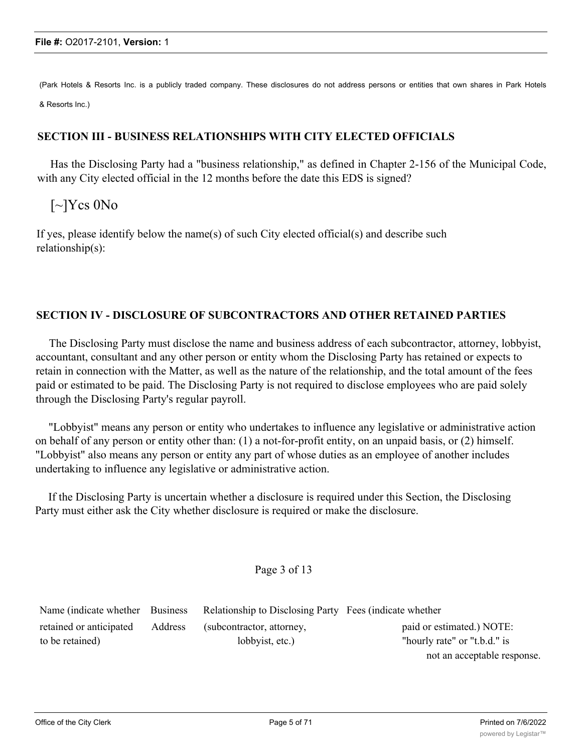(Park Hotels & Resorts Inc. is a publicly traded company. These disclosures do not address persons or entities that own shares in Park Hotels

& Resorts Inc.)

# **SECTION III - BUSINESS RELATIONSHIPS WITH CITY ELECTED OFFICIALS**

Has the Disclosing Party had a "business relationship," as defined in Chapter 2-156 of the Municipal Code, with any City elected official in the 12 months before the date this EDS is signed?

[~]Ycs 0No

If yes, please identify below the name(s) of such City elected official(s) and describe such relationship(s):

# **SECTION IV - DISCLOSURE OF SUBCONTRACTORS AND OTHER RETAINED PARTIES**

The Disclosing Party must disclose the name and business address of each subcontractor, attorney, lobbyist, accountant, consultant and any other person or entity whom the Disclosing Party has retained or expects to retain in connection with the Matter, as well as the nature of the relationship, and the total amount of the fees paid or estimated to be paid. The Disclosing Party is not required to disclose employees who are paid solely through the Disclosing Party's regular payroll.

"Lobbyist" means any person or entity who undertakes to influence any legislative or administrative action on behalf of any person or entity other than: (1) a not-for-profit entity, on an unpaid basis, or (2) himself. "Lobbyist" also means any person or entity any part of whose duties as an employee of another includes undertaking to influence any legislative or administrative action.

If the Disclosing Party is uncertain whether a disclosure is required under this Section, the Disclosing Party must either ask the City whether disclosure is required or make the disclosure.

Page 3 of 13

Name (indicate whether Business Relationship to Disclosing Party Fees (indicate whether retained or anticipated Address (subcontractor, attorney, paid or estimated.) NOTE: to be retained) lobbyist, etc.) "hourly rate" or "t.b.d." is

not an acceptable response.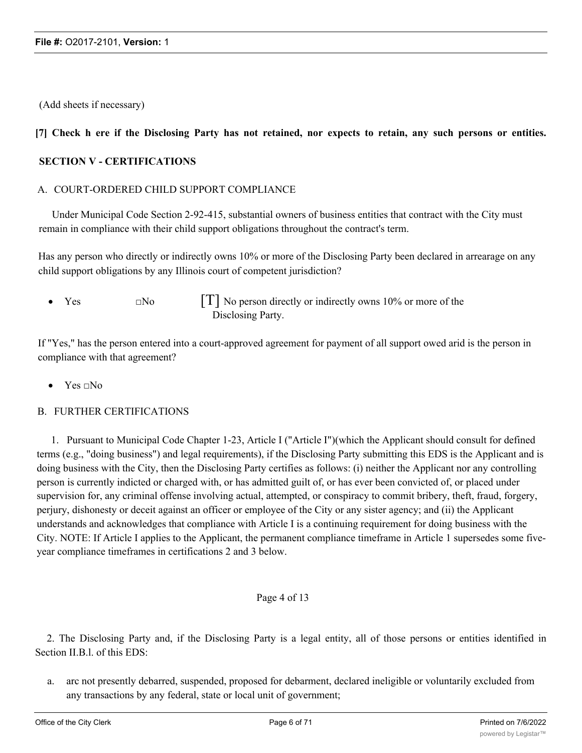(Add sheets if necessary)

## [7] Check h ere if the Disclosing Party has not retained, nor expects to retain, any such persons or entities.

#### **SECTION V - CERTIFICATIONS**

#### A. COURT-ORDERED CHILD SUPPORT COMPLIANCE

Under Municipal Code Section 2-92-415, substantial owners of business entities that contract with the City must remain in compliance with their child support obligations throughout the contract's term.

Has any person who directly or indirectly owns 10% or more of the Disclosing Party been declared in arrearage on any child support obligations by any Illinois court of competent jurisdiction?

• Yes  $\square$ No  $\boxed{T}$  No person directly or indirectly owns 10% or more of the Disclosing Party.

If "Yes," has the person entered into a court-approved agreement for payment of all support owed arid is the person in compliance with that agreement?

 $Yes \sqcap No$ 

#### B. FURTHER CERTIFICATIONS

1. Pursuant to Municipal Code Chapter 1-23, Article I ("Article I")(which the Applicant should consult for defined terms (e.g., "doing business") and legal requirements), if the Disclosing Party submitting this EDS is the Applicant and is doing business with the City, then the Disclosing Party certifies as follows: (i) neither the Applicant nor any controlling person is currently indicted or charged with, or has admitted guilt of, or has ever been convicted of, or placed under supervision for, any criminal offense involving actual, attempted, or conspiracy to commit bribery, theft, fraud, forgery, perjury, dishonesty or deceit against an officer or employee of the City or any sister agency; and (ii) the Applicant understands and acknowledges that compliance with Article I is a continuing requirement for doing business with the City. NOTE: If Article I applies to the Applicant, the permanent compliance timeframe in Article 1 supersedes some fiveyear compliance timeframes in certifications 2 and 3 below.

#### Page 4 of 13

2. The Disclosing Party and, if the Disclosing Party is a legal entity, all of those persons or entities identified in Section II.B.l. of this EDS:

a. arc not presently debarred, suspended, proposed for debarment, declared ineligible or voluntarily excluded from any transactions by any federal, state or local unit of government;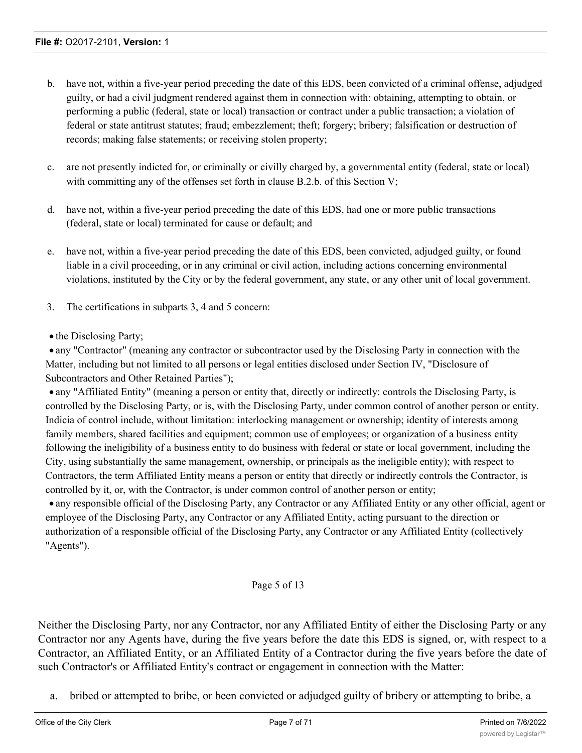- b. have not, within a five-year period preceding the date of this EDS, been convicted of a criminal offense, adjudged guilty, or had a civil judgment rendered against them in connection with: obtaining, attempting to obtain, or performing a public (federal, state or local) transaction or contract under a public transaction; a violation of federal or state antitrust statutes; fraud; embezzlement; theft; forgery; bribery; falsification or destruction of records; making false statements; or receiving stolen property;
- c. are not presently indicted for, or criminally or civilly charged by, a governmental entity (federal, state or local) with committing any of the offenses set forth in clause B.2.b. of this Section V;
- d. have not, within a five-year period preceding the date of this EDS, had one or more public transactions (federal, state or local) terminated for cause or default; and
- e. have not, within a five-year period preceding the date of this EDS, been convicted, adjudged guilty, or found liable in a civil proceeding, or in any criminal or civil action, including actions concerning environmental violations, instituted by the City or by the federal government, any state, or any other unit of local government.
- 3. The certifications in subparts 3, 4 and 5 concern:

# • the Disclosing Party;

· any "Contractor" (meaning any contractor or subcontractor used by the Disclosing Party in connection with the Matter, including but not limited to all persons or legal entities disclosed under Section IV, "Disclosure of Subcontractors and Other Retained Parties");

· any "Affiliated Entity" (meaning a person or entity that, directly or indirectly: controls the Disclosing Party, is controlled by the Disclosing Party, or is, with the Disclosing Party, under common control of another person or entity. Indicia of control include, without limitation: interlocking management or ownership; identity of interests among family members, shared facilities and equipment; common use of employees; or organization of a business entity following the ineligibility of a business entity to do business with federal or state or local government, including the City, using substantially the same management, ownership, or principals as the ineligible entity); with respect to Contractors, the term Affiliated Entity means a person or entity that directly or indirectly controls the Contractor, is controlled by it, or, with the Contractor, is under common control of another person or entity;

· any responsible official of the Disclosing Party, any Contractor or any Affiliated Entity or any other official, agent or employee of the Disclosing Party, any Contractor or any Affiliated Entity, acting pursuant to the direction or authorization of a responsible official of the Disclosing Party, any Contractor or any Affiliated Entity (collectively "Agents").

#### Page 5 of 13

Neither the Disclosing Party, nor any Contractor, nor any Affiliated Entity of either the Disclosing Party or any Contractor nor any Agents have, during the five years before the date this EDS is signed, or, with respect to a Contractor, an Affiliated Entity, or an Affiliated Entity of a Contractor during the five years before the date of such Contractor's or Affiliated Entity's contract or engagement in connection with the Matter:

a. bribed or attempted to bribe, or been convicted or adjudged guilty of bribery or attempting to bribe, a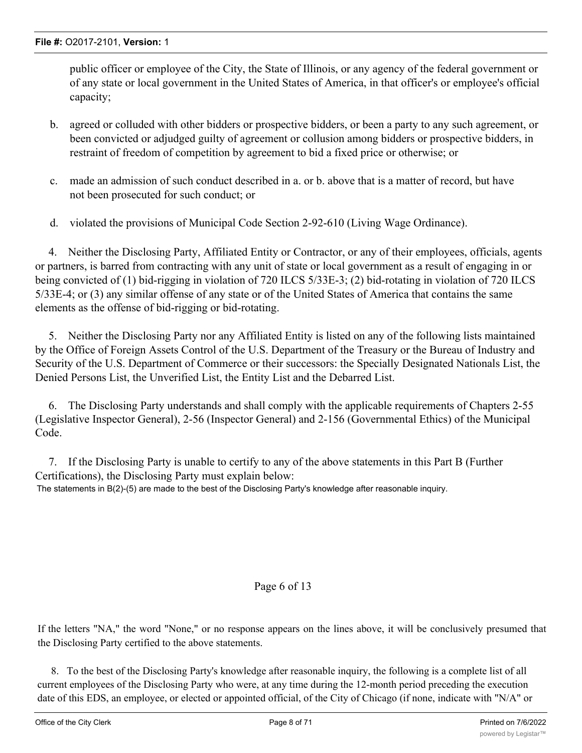public officer or employee of the City, the State of Illinois, or any agency of the federal government or of any state or local government in the United States of America, in that officer's or employee's official capacity;

- b. agreed or colluded with other bidders or prospective bidders, or been a party to any such agreement, or been convicted or adjudged guilty of agreement or collusion among bidders or prospective bidders, in restraint of freedom of competition by agreement to bid a fixed price or otherwise; or
- c. made an admission of such conduct described in a. or b. above that is a matter of record, but have not been prosecuted for such conduct; or
- d. violated the provisions of Municipal Code Section 2-92-610 (Living Wage Ordinance).

4. Neither the Disclosing Party, Affiliated Entity or Contractor, or any of their employees, officials, agents or partners, is barred from contracting with any unit of state or local government as a result of engaging in or being convicted of (1) bid-rigging in violation of 720 ILCS 5/33E-3; (2) bid-rotating in violation of 720 ILCS 5/33E-4; or (3) any similar offense of any state or of the United States of America that contains the same elements as the offense of bid-rigging or bid-rotating.

5. Neither the Disclosing Party nor any Affiliated Entity is listed on any of the following lists maintained by the Office of Foreign Assets Control of the U.S. Department of the Treasury or the Bureau of Industry and Security of the U.S. Department of Commerce or their successors: the Specially Designated Nationals List, the Denied Persons List, the Unverified List, the Entity List and the Debarred List.

6. The Disclosing Party understands and shall comply with the applicable requirements of Chapters 2-55 (Legislative Inspector General), 2-56 (Inspector General) and 2-156 (Governmental Ethics) of the Municipal Code.

7. If the Disclosing Party is unable to certify to any of the above statements in this Part B (Further Certifications), the Disclosing Party must explain below:

The statements in B(2)-(5) are made to the best of the Disclosing Party's knowledge after reasonable inquiry.

# Page 6 of 13

If the letters "NA," the word "None," or no response appears on the lines above, it will be conclusively presumed that the Disclosing Party certified to the above statements.

8. To the best of the Disclosing Party's knowledge after reasonable inquiry, the following is a complete list of all current employees of the Disclosing Party who were, at any time during the 12-month period preceding the execution date of this EDS, an employee, or elected or appointed official, of the City of Chicago (if none, indicate with "N/A" or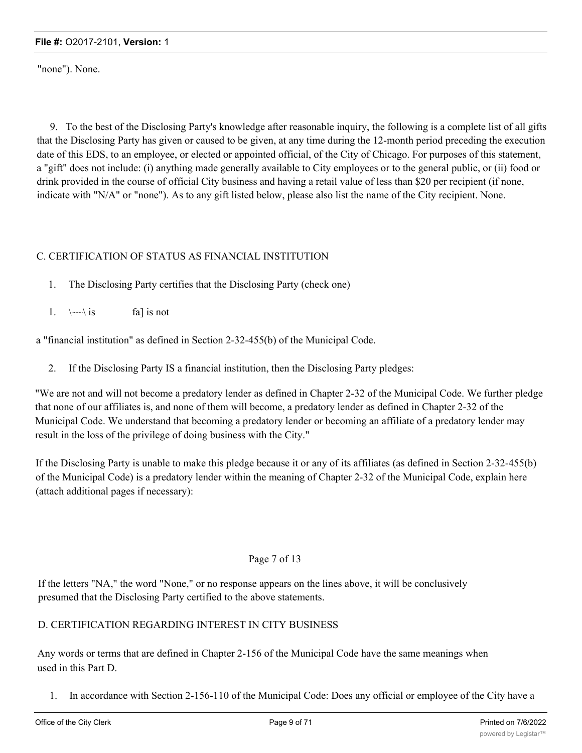"none"). None.

9. To the best of the Disclosing Party's knowledge after reasonable inquiry, the following is a complete list of all gifts that the Disclosing Party has given or caused to be given, at any time during the 12-month period preceding the execution date of this EDS, to an employee, or elected or appointed official, of the City of Chicago. For purposes of this statement, a "gift" does not include: (i) anything made generally available to City employees or to the general public, or (ii) food or drink provided in the course of official City business and having a retail value of less than \$20 per recipient (if none, indicate with "N/A" or "none"). As to any gift listed below, please also list the name of the City recipient. None.

# C. CERTIFICATION OF STATUS AS FINANCIAL INSTITUTION

- 1. The Disclosing Party certifies that the Disclosing Party (check one)
- 1.  $\sim \iota$  is fall is not

a "financial institution" as defined in Section 2-32-455(b) of the Municipal Code.

2. If the Disclosing Party IS a financial institution, then the Disclosing Party pledges:

"We are not and will not become a predatory lender as defined in Chapter 2-32 of the Municipal Code. We further pledge that none of our affiliates is, and none of them will become, a predatory lender as defined in Chapter 2-32 of the Municipal Code. We understand that becoming a predatory lender or becoming an affiliate of a predatory lender may result in the loss of the privilege of doing business with the City."

If the Disclosing Party is unable to make this pledge because it or any of its affiliates (as defined in Section 2-32-455(b) of the Municipal Code) is a predatory lender within the meaning of Chapter 2-32 of the Municipal Code, explain here (attach additional pages if necessary):

#### Page 7 of 13

If the letters "NA," the word "None," or no response appears on the lines above, it will be conclusively presumed that the Disclosing Party certified to the above statements.

# D. CERTIFICATION REGARDING INTEREST IN CITY BUSINESS

Any words or terms that are defined in Chapter 2-156 of the Municipal Code have the same meanings when used in this Part D.

1. In accordance with Section 2-156-110 of the Municipal Code: Does any official or employee of the City have a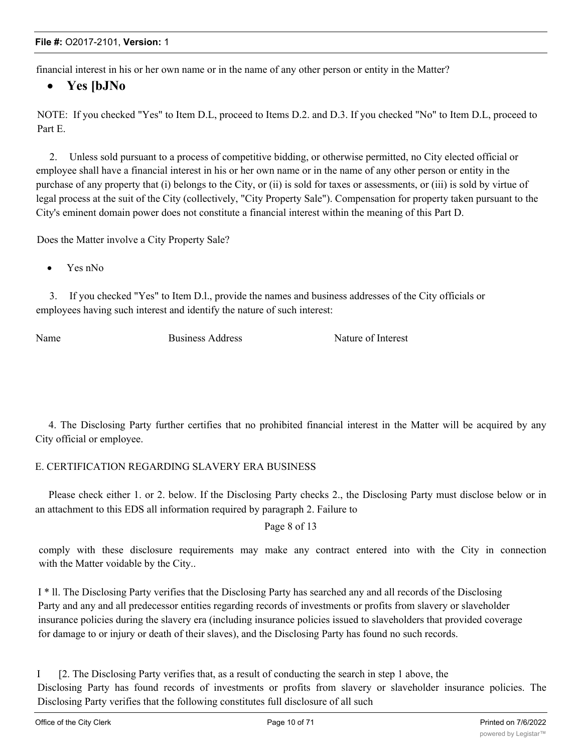financial interest in his or her own name or in the name of any other person or entity in the Matter?

# · **Yes [bJNo**

NOTE: If you checked "Yes" to Item D.L, proceed to Items D.2. and D.3. If you checked "No" to Item D.L, proceed to Part E.

2. Unless sold pursuant to a process of competitive bidding, or otherwise permitted, no City elected official or employee shall have a financial interest in his or her own name or in the name of any other person or entity in the purchase of any property that (i) belongs to the City, or (ii) is sold for taxes or assessments, or (iii) is sold by virtue of legal process at the suit of the City (collectively, "City Property Sale"). Compensation for property taken pursuant to the City's eminent domain power does not constitute a financial interest within the meaning of this Part D.

Does the Matter involve a City Property Sale?

• Yes nNo

3. If you checked "Yes" to Item D.l., provide the names and business addresses of the City officials or employees having such interest and identify the nature of such interest:

Name Business Address Nature of Interest

4. The Disclosing Party further certifies that no prohibited financial interest in the Matter will be acquired by any City official or employee.

## E. CERTIFICATION REGARDING SLAVERY ERA BUSINESS

Please check either 1. or 2. below. If the Disclosing Party checks 2., the Disclosing Party must disclose below or in an attachment to this EDS all information required by paragraph 2. Failure to

Page 8 of 13

comply with these disclosure requirements may make any contract entered into with the City in connection with the Matter voidable by the City..

I \* ll. The Disclosing Party verifies that the Disclosing Party has searched any and all records of the Disclosing Party and any and all predecessor entities regarding records of investments or profits from slavery or slaveholder insurance policies during the slavery era (including insurance policies issued to slaveholders that provided coverage for damage to or injury or death of their slaves), and the Disclosing Party has found no such records.

I [2. The Disclosing Party verifies that, as a result of conducting the search in step 1 above, the Disclosing Party has found records of investments or profits from slavery or slaveholder insurance policies. The Disclosing Party verifies that the following constitutes full disclosure of all such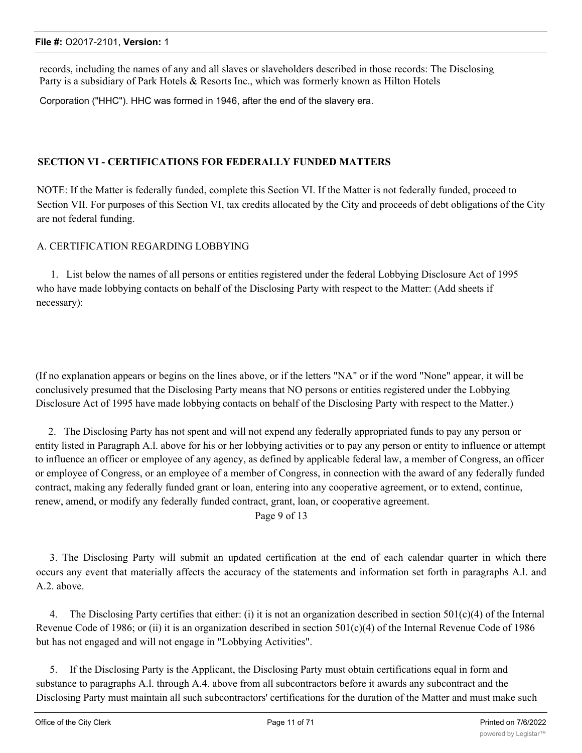records, including the names of any and all slaves or slaveholders described in those records: The Disclosing Party is a subsidiary of Park Hotels & Resorts Inc., which was formerly known as Hilton Hotels

Corporation ("HHC"). HHC was formed in 1946, after the end of the slavery era.

# **SECTION VI - CERTIFICATIONS FOR FEDERALLY FUNDED MATTERS**

NOTE: If the Matter is federally funded, complete this Section VI. If the Matter is not federally funded, proceed to Section VII. For purposes of this Section VI, tax credits allocated by the City and proceeds of debt obligations of the City are not federal funding.

## A. CERTIFICATION REGARDING LOBBYING

1. List below the names of all persons or entities registered under the federal Lobbying Disclosure Act of 1995 who have made lobbying contacts on behalf of the Disclosing Party with respect to the Matter: (Add sheets if necessary):

(If no explanation appears or begins on the lines above, or if the letters "NA" or if the word "None" appear, it will be conclusively presumed that the Disclosing Party means that NO persons or entities registered under the Lobbying Disclosure Act of 1995 have made lobbying contacts on behalf of the Disclosing Party with respect to the Matter.)

2. The Disclosing Party has not spent and will not expend any federally appropriated funds to pay any person or entity listed in Paragraph A.l. above for his or her lobbying activities or to pay any person or entity to influence or attempt to influence an officer or employee of any agency, as defined by applicable federal law, a member of Congress, an officer or employee of Congress, or an employee of a member of Congress, in connection with the award of any federally funded contract, making any federally funded grant or loan, entering into any cooperative agreement, or to extend, continue, renew, amend, or modify any federally funded contract, grant, loan, or cooperative agreement.

Page 9 of 13

3. The Disclosing Party will submit an updated certification at the end of each calendar quarter in which there occurs any event that materially affects the accuracy of the statements and information set forth in paragraphs A.l. and A.2. above.

4. The Disclosing Party certifies that either: (i) it is not an organization described in section  $501(c)(4)$  of the Internal Revenue Code of 1986; or (ii) it is an organization described in section  $501(c)(4)$  of the Internal Revenue Code of 1986 but has not engaged and will not engage in "Lobbying Activities".

5. If the Disclosing Party is the Applicant, the Disclosing Party must obtain certifications equal in form and substance to paragraphs A.l. through A.4. above from all subcontractors before it awards any subcontract and the Disclosing Party must maintain all such subcontractors' certifications for the duration of the Matter and must make such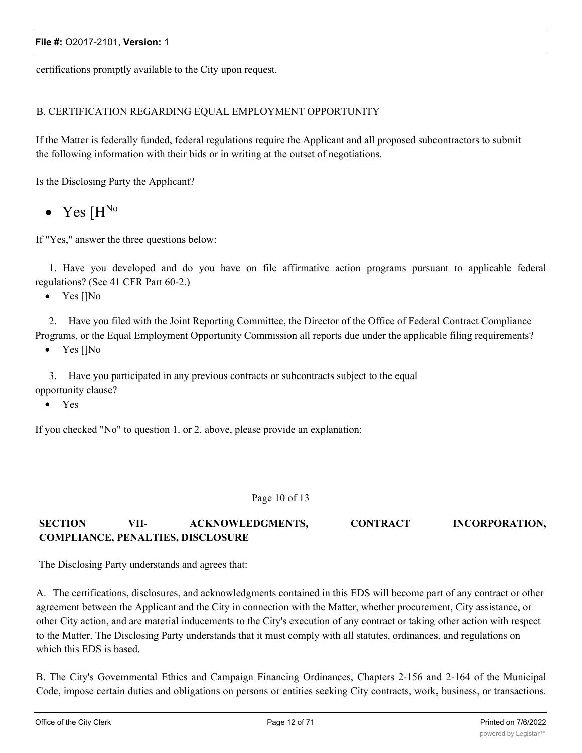certifications promptly available to the City upon request.

# B. CERTIFICATION REGARDING EQUAL EMPLOYMENT OPPORTUNITY

If the Matter is federally funded, federal regulations require the Applicant and all proposed subcontractors to submit the following information with their bids or in writing at the outset of negotiations.

Is the Disclosing Party the Applicant?

• Yes  $[H<sup>No</sup>]$ 

If "Yes," answer the three questions below:

1. Have you developed and do you have on file affirmative action programs pursuant to applicable federal regulations? (See 41 CFR Part 60-2.)

• Yes []No

2. Have you filed with the Joint Reporting Committee, the Director of the Office of Federal Contract Compliance Programs, or the Equal Employment Opportunity Commission all reports due under the applicable filing requirements?

• Yes []No

3. Have you participated in any previous contracts or subcontracts subject to the equal

opportunity clause?

· Yes

If you checked "No" to question 1. or 2. above, please provide an explanation:

#### Page 10 of 13

# **SECTION VII- ACKNOWLEDGMENTS, CONTRACT INCORPORATION, COMPLIANCE, PENALTIES, DISCLOSURE**

The Disclosing Party understands and agrees that:

A. The certifications, disclosures, and acknowledgments contained in this EDS will become part of any contract or other agreement between the Applicant and the City in connection with the Matter, whether procurement, City assistance, or other City action, and are material inducements to the City's execution of any contract or taking other action with respect to the Matter. The Disclosing Party understands that it must comply with all statutes, ordinances, and regulations on which this EDS is based.

B. The City's Governmental Ethics and Campaign Financing Ordinances, Chapters 2-156 and 2-164 of the Municipal Code, impose certain duties and obligations on persons or entities seeking City contracts, work, business, or transactions.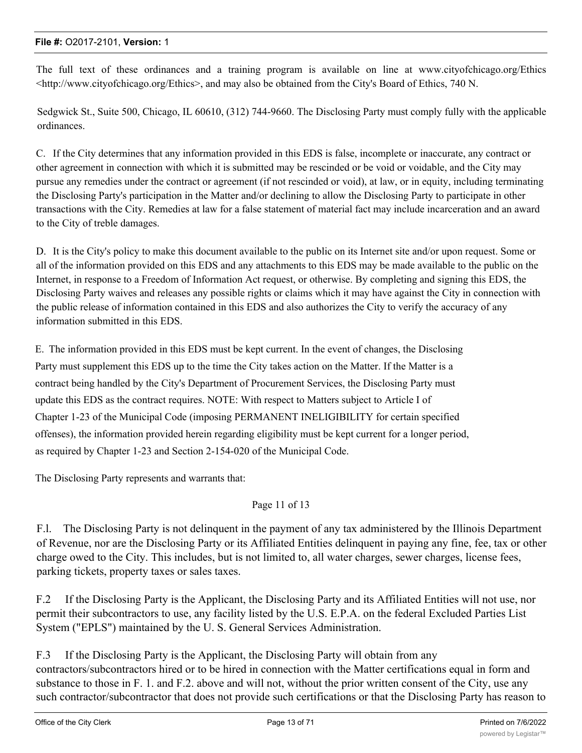The full text of these ordinances and a training program is available on line at www.cityofchicago.org/Ethics <http://www.cityofchicago.org/Ethics>, and may also be obtained from the City's Board of Ethics, 740 N.

Sedgwick St., Suite 500, Chicago, IL 60610, (312) 744-9660. The Disclosing Party must comply fully with the applicable ordinances.

C. If the City determines that any information provided in this EDS is false, incomplete or inaccurate, any contract or other agreement in connection with which it is submitted may be rescinded or be void or voidable, and the City may pursue any remedies under the contract or agreement (if not rescinded or void), at law, or in equity, including terminating the Disclosing Party's participation in the Matter and/or declining to allow the Disclosing Party to participate in other transactions with the City. Remedies at law for a false statement of material fact may include incarceration and an award to the City of treble damages.

D. It is the City's policy to make this document available to the public on its Internet site and/or upon request. Some or all of the information provided on this EDS and any attachments to this EDS may be made available to the public on the Internet, in response to a Freedom of Information Act request, or otherwise. By completing and signing this EDS, the Disclosing Party waives and releases any possible rights or claims which it may have against the City in connection with the public release of information contained in this EDS and also authorizes the City to verify the accuracy of any information submitted in this EDS.

E. The information provided in this EDS must be kept current. In the event of changes, the Disclosing Party must supplement this EDS up to the time the City takes action on the Matter. If the Matter is a contract being handled by the City's Department of Procurement Services, the Disclosing Party must update this EDS as the contract requires. NOTE: With respect to Matters subject to Article I of Chapter 1-23 of the Municipal Code (imposing PERMANENT INELIGIBILITY for certain specified offenses), the information provided herein regarding eligibility must be kept current for a longer period, as required by Chapter 1-23 and Section 2-154-020 of the Municipal Code.

The Disclosing Party represents and warrants that:

# Page 11 of 13

F.l. The Disclosing Party is not delinquent in the payment of any tax administered by the Illinois Department of Revenue, nor are the Disclosing Party or its Affiliated Entities delinquent in paying any fine, fee, tax or other charge owed to the City. This includes, but is not limited to, all water charges, sewer charges, license fees, parking tickets, property taxes or sales taxes.

F.2 If the Disclosing Party is the Applicant, the Disclosing Party and its Affiliated Entities will not use, nor permit their subcontractors to use, any facility listed by the U.S. E.P.A. on the federal Excluded Parties List System ("EPLS") maintained by the U. S. General Services Administration.

F.3 If the Disclosing Party is the Applicant, the Disclosing Party will obtain from any contractors/subcontractors hired or to be hired in connection with the Matter certifications equal in form and substance to those in F. 1. and F.2. above and will not, without the prior written consent of the City, use any such contractor/subcontractor that does not provide such certifications or that the Disclosing Party has reason to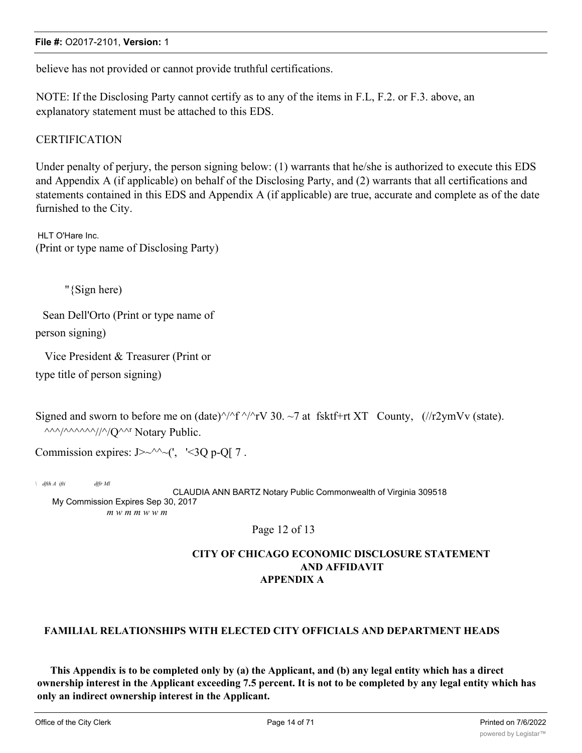believe has not provided or cannot provide truthful certifications.

NOTE: If the Disclosing Party cannot certify as to any of the items in F.L, F.2. or F.3. above, an explanatory statement must be attached to this EDS.

## **CERTIFICATION**

Under penalty of perjury, the person signing below: (1) warrants that he/she is authorized to execute this EDS and Appendix A (if applicable) on behalf of the Disclosing Party, and (2) warrants that all certifications and statements contained in this EDS and Appendix A (if applicable) are true, accurate and complete as of the date furnished to the City.

HLT O'Hare Inc. (Print or type name of Disclosing Party)

"{Sign here)

Sean Dell'Orto (Print or type name of person signing)

Vice President & Treasurer (Print or type title of person signing)

Signed and sworn to before me on (date) $\sqrt{\frac{f}{T}}/T$  30. ~7 at fsktf+rt XT County, (//r2ymVv (state).  $\wedge\wedge\wedge/\wedge\wedge\wedge\wedge\wedge/\wedge/\wedge Q$  Notary Public.

```
Commission expires: J \rightarrow \sim^{\wedge} \sim (1, \leq 3Q) p-Q[ 7.
```
*\ dfth A ifti dffr Ml*

CLAUDIA ANN BARTZ Notary Public Commonwealth of Virginia 309518 My Commission Expires Sep 30, 2017 *m w m m w w m*

Page 12 of 13

#### **CITY OF CHICAGO ECONOMIC DISCLOSURE STATEMENT AND AFFIDAVIT APPENDIX A**

# **FAMILIAL RELATIONSHIPS WITH ELECTED CITY OFFICIALS AND DEPARTMENT HEADS**

**This Appendix is to be completed only by (a) the Applicant, and (b) any legal entity which has a direct ownership interest in the Applicant exceeding 7.5 percent. It is not to be completed by any legal entity which has only an indirect ownership interest in the Applicant.**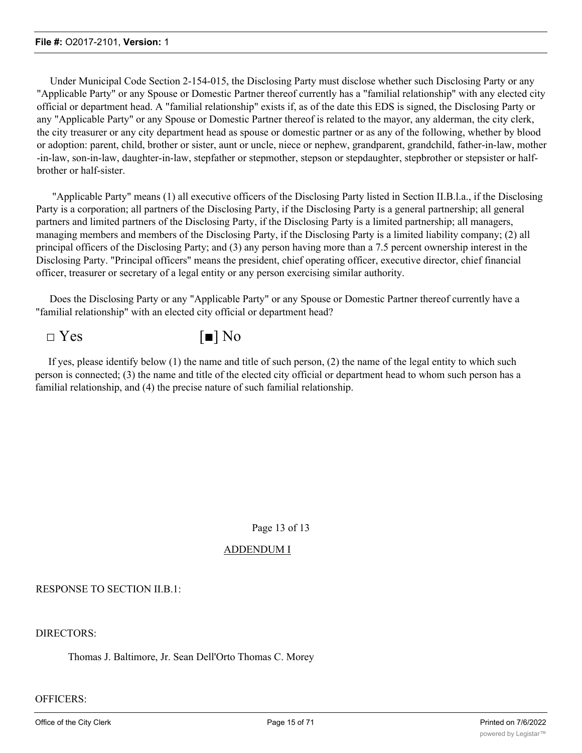Under Municipal Code Section 2-154-015, the Disclosing Party must disclose whether such Disclosing Party or any "Applicable Party" or any Spouse or Domestic Partner thereof currently has a "familial relationship" with any elected city official or department head. A "familial relationship" exists if, as of the date this EDS is signed, the Disclosing Party or any "Applicable Party" or any Spouse or Domestic Partner thereof is related to the mayor, any alderman, the city clerk, the city treasurer or any city department head as spouse or domestic partner or as any of the following, whether by blood or adoption: parent, child, brother or sister, aunt or uncle, niece or nephew, grandparent, grandchild, father-in-law, mother -in-law, son-in-law, daughter-in-law, stepfather or stepmother, stepson or stepdaughter, stepbrother or stepsister or halfbrother or half-sister.

"Applicable Party" means (1) all executive officers of the Disclosing Party listed in Section II.B.l.a., if the Disclosing Party is a corporation; all partners of the Disclosing Party, if the Disclosing Party is a general partnership; all general partners and limited partners of the Disclosing Party, if the Disclosing Party is a limited partnership; all managers, managing members and members of the Disclosing Party, if the Disclosing Party is a limited liability company; (2) all principal officers of the Disclosing Party; and (3) any person having more than a 7.5 percent ownership interest in the Disclosing Party. "Principal officers" means the president, chief operating officer, executive director, chief financial officer, treasurer or secretary of a legal entity or any person exercising similar authority.

Does the Disclosing Party or any "Applicable Party" or any Spouse or Domestic Partner thereof currently have a "familial relationship" with an elected city official or department head?

# $\square$  Yes  $\lceil \blacksquare \rceil$  No

If yes, please identify below (1) the name and title of such person, (2) the name of the legal entity to which such person is connected; (3) the name and title of the elected city official or department head to whom such person has a familial relationship, and (4) the precise nature of such familial relationship.

Page 13 of 13

# ADDENDUM I

#### RESPONSE TO SECTION II.B.1:

DIRECTORS:

Thomas J. Baltimore, Jr. Sean Dell'Orto Thomas C. Morey

#### OFFICERS: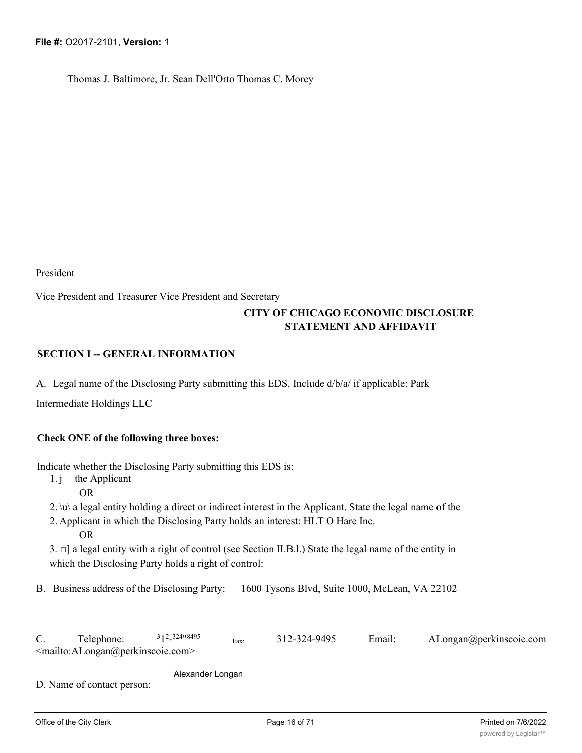Thomas J. Baltimore, Jr. Sean Dell'Orto Thomas C. Morey

President

Vice President and Treasurer Vice President and Secretary

# **CITY OF CHICAGO ECONOMIC DISCLOSURE STATEMENT AND AFFIDAVIT**

## **SECTION I -- GENERAL INFORMATION**

A. Legal name of the Disclosing Party submitting this EDS. Include d/b/a/ if applicable: Park

Intermediate Holdings LLC

#### **Check ONE of the following three boxes:**

Indicate whether the Disclosing Party submitting this EDS is:

1. j | the Applicant

OR

2. \u\ a legal entity holding a direct or indirect interest in the Applicant. State the legal name of the

2. Applicant in which the Disclosing Party holds an interest: HLT O Hare Inc.

OR

3. □] a legal entity with a right of control (see Section II.B.l.) State the legal name of the entity in which the Disclosing Party holds a right of control:

B. Business address of the Disclosing Party: 1600 Tysons Blvd, Suite 1000, McLean, VA 22102

| Telephone:                             | 312 324 18495 | Fax: | 312-324-9495 | Email: | ALongan@perkinscopic.com |
|----------------------------------------|---------------|------|--------------|--------|--------------------------|
| $\leq$ mailto:ALongan@perkinscoie.com> |               |      |              |        |                          |

Alexander Longan

D. Name of contact person: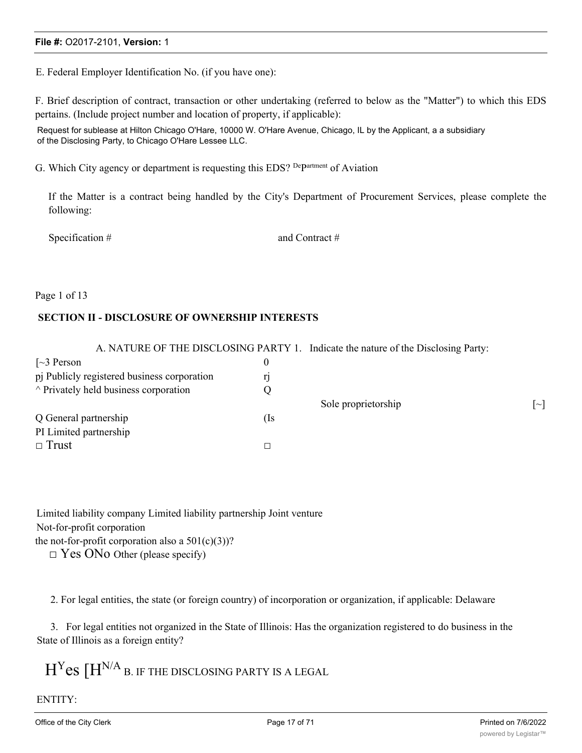E. Federal Employer Identification No. (if you have one):

F. Brief description of contract, transaction or other undertaking (referred to below as the "Matter") to which this EDS pertains. (Include project number and location of property, if applicable):

Request for sublease at Hilton Chicago O'Hare, 10000 W. O'Hare Avenue, Chicago, IL by the Applicant, a a subsidiary of the Disclosing Party, to Chicago O'Hare Lessee LLC.

G. Which City agency or department is requesting this EDS? Department of Aviation

If the Matter is a contract being handled by the City's Department of Procurement Services, please complete the following:

Specification # and Contract #

Page 1 of 13

#### **SECTION II - DISCLOSURE OF OWNERSHIP INTERESTS**

|                                             |     | A. NATURE OF THE DISCLOSING PARTY 1. Indicate the nature of the Disclosing Party: |                      |
|---------------------------------------------|-----|-----------------------------------------------------------------------------------|----------------------|
| $\lceil -3 \rceil$ Person                   |     |                                                                                   |                      |
| pj Publicly registered business corporation | r1  |                                                                                   |                      |
| $\land$ Privately held business corporation |     |                                                                                   |                      |
|                                             |     | Sole proprietorship                                                               | $\lceil \sim \rceil$ |
| Q General partnership                       | (Is |                                                                                   |                      |
| PI Limited partnership                      |     |                                                                                   |                      |
| $\Box$ Trust                                |     |                                                                                   |                      |

Limited liability company Limited liability partnership Joint venture Not-for-profit corporation

the not-for-profit corporation also a  $501(c)(3)$ ?

 $\square$  Yes ONo Other (please specify)

2. For legal entities, the state (or foreign country) of incorporation or organization, if applicable: Delaware

3. For legal entities not organized in the State of Illinois: Has the organization registered to do business in the State of Illinois as a foreign entity?

 $H<sup>Y</sup>$ es  $[H<sup>N/A</sup>$  b. If the disclosing party is a legal

#### ENTITY: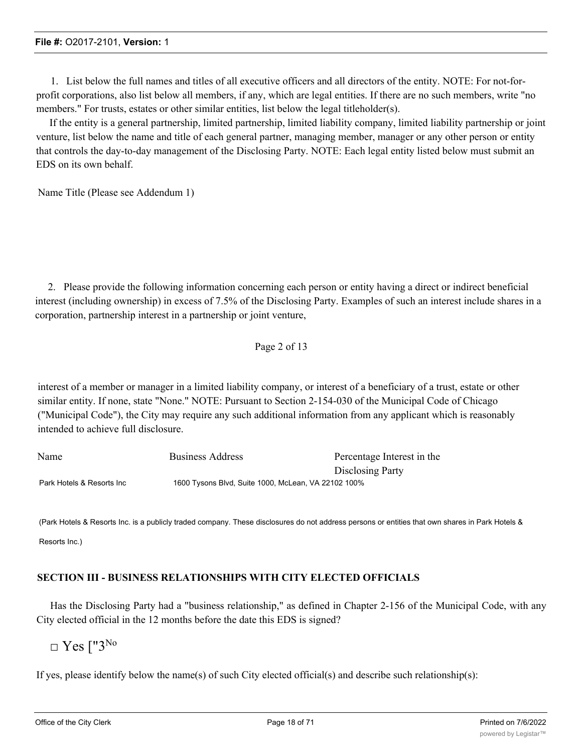1. List below the full names and titles of all executive officers and all directors of the entity. NOTE: For not-forprofit corporations, also list below all members, if any, which are legal entities. If there are no such members, write "no members." For trusts, estates or other similar entities, list below the legal titleholder(s).

If the entity is a general partnership, limited partnership, limited liability company, limited liability partnership or joint venture, list below the name and title of each general partner, managing member, manager or any other person or entity that controls the day-to-day management of the Disclosing Party. NOTE: Each legal entity listed below must submit an EDS on its own behalf.

Name Title (Please see Addendum 1)

2. Please provide the following information concerning each person or entity having a direct or indirect beneficial interest (including ownership) in excess of 7.5% of the Disclosing Party. Examples of such an interest include shares in a corporation, partnership interest in a partnership or joint venture,

## Page 2 of 13

interest of a member or manager in a limited liability company, or interest of a beneficiary of a trust, estate or other similar entity. If none, state "None." NOTE: Pursuant to Section 2-154-030 of the Municipal Code of Chicago ("Municipal Code"), the City may require any such additional information from any applicant which is reasonably intended to achieve full disclosure.

| Name                      | <b>Business Address</b>                             | Percentage Interest in the |  |
|---------------------------|-----------------------------------------------------|----------------------------|--|
|                           |                                                     | Disclosing Party           |  |
| Park Hotels & Resorts Inc | 1600 Tysons Blvd, Suite 1000, McLean, VA 22102 100% |                            |  |

(Park Hotels & Resorts Inc. is a publicly traded company. These disclosures do not address persons or entities that own shares in Park Hotels & Resorts Inc.)

# **SECTION III - BUSINESS RELATIONSHIPS WITH CITY ELECTED OFFICIALS**

Has the Disclosing Party had a "business relationship," as defined in Chapter 2-156 of the Municipal Code, with any City elected official in the 12 months before the date this EDS is signed?

# $\Box$  Yes ["3<sup>No</sup>

If yes, please identify below the name(s) of such City elected official(s) and describe such relationship(s):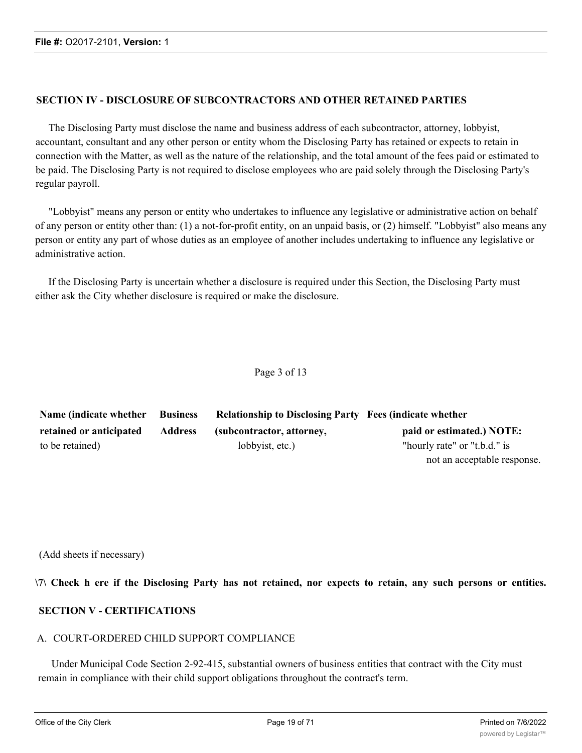#### **SECTION IV - DISCLOSURE OF SUBCONTRACTORS AND OTHER RETAINED PARTIES**

The Disclosing Party must disclose the name and business address of each subcontractor, attorney, lobbyist, accountant, consultant and any other person or entity whom the Disclosing Party has retained or expects to retain in connection with the Matter, as well as the nature of the relationship, and the total amount of the fees paid or estimated to be paid. The Disclosing Party is not required to disclose employees who are paid solely through the Disclosing Party's regular payroll.

"Lobbyist" means any person or entity who undertakes to influence any legislative or administrative action on behalf of any person or entity other than: (1) a not-for-profit entity, on an unpaid basis, or (2) himself. "Lobbyist" also means any person or entity any part of whose duties as an employee of another includes undertaking to influence any legislative or administrative action.

If the Disclosing Party is uncertain whether a disclosure is required under this Section, the Disclosing Party must either ask the City whether disclosure is required or make the disclosure.

Page 3 of 13

| Name (indicate whether Business |                | <b>Relationship to Disclosing Party Fees (indicate whether</b> |                              |
|---------------------------------|----------------|----------------------------------------------------------------|------------------------------|
| retained or anticipated         | <b>Address</b> | (subcontractor, attorney,                                      | paid or estimated.) NOTE:    |
| to be retained)                 |                | lobbyist, etc.)                                                | "hourly rate" or "t.b.d." is |
|                                 |                |                                                                | not an acceptable response.  |

(Add sheets if necessary)

\7\ Check h ere if the Disclosing Party has not retained, nor expects to retain, any such persons or entities.

#### **SECTION V - CERTIFICATIONS**

# A. COURT-ORDERED CHILD SUPPORT COMPLIANCE

Under Municipal Code Section 2-92-415, substantial owners of business entities that contract with the City must remain in compliance with their child support obligations throughout the contract's term.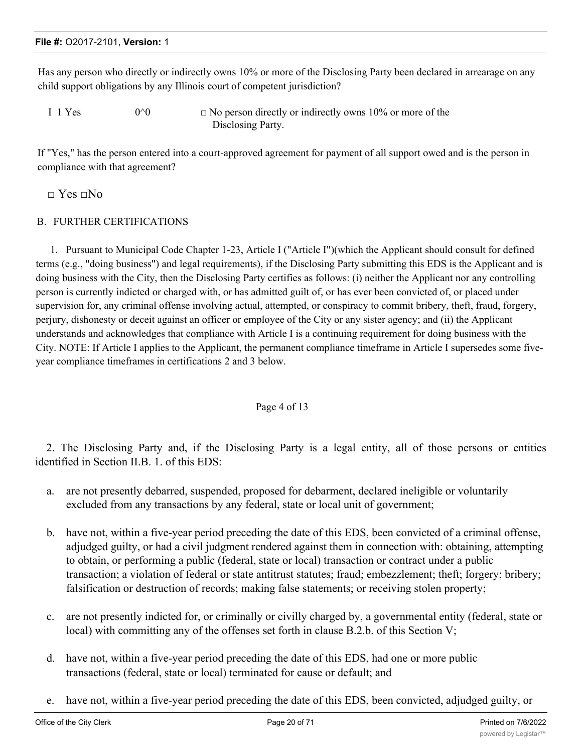| <b>File #: 02017-2101, Version: 1</b> |  |
|---------------------------------------|--|
|---------------------------------------|--|

Has any person who directly or indirectly owns 10% or more of the Disclosing Party been declared in arrearage on any child support obligations by any Illinois court of competent jurisdiction?

I 1 Yes  $0^{\wedge}0$  □ No person directly or indirectly owns 10% or more of the Disclosing Party.

If "Yes," has the person entered into a court-approved agreement for payment of all support owed and is the person in compliance with that agreement?

 $\Box$  Yes  $\Box$ No

# B. FURTHER CERTIFICATIONS

1. Pursuant to Municipal Code Chapter 1-23, Article I ("Article I")(which the Applicant should consult for defined terms (e.g., "doing business") and legal requirements), if the Disclosing Party submitting this EDS is the Applicant and is doing business with the City, then the Disclosing Party certifies as follows: (i) neither the Applicant nor any controlling person is currently indicted or charged with, or has admitted guilt of, or has ever been convicted of, or placed under supervision for, any criminal offense involving actual, attempted, or conspiracy to commit bribery, theft, fraud, forgery, perjury, dishonesty or deceit against an officer or employee of the City or any sister agency; and (ii) the Applicant understands and acknowledges that compliance with Article I is a continuing requirement for doing business with the City. NOTE: If Article I applies to the Applicant, the permanent compliance timeframe in Article I supersedes some fiveyear compliance timeframes in certifications 2 and 3 below.

# Page 4 of 13

2. The Disclosing Party and, if the Disclosing Party is a legal entity, all of those persons or entities identified in Section II.B. 1. of this EDS:

- a. are not presently debarred, suspended, proposed for debarment, declared ineligible or voluntarily excluded from any transactions by any federal, state or local unit of government;
- b. have not, within a five-year period preceding the date of this EDS, been convicted of a criminal offense, adjudged guilty, or had a civil judgment rendered against them in connection with: obtaining, attempting to obtain, or performing a public (federal, state or local) transaction or contract under a public transaction; a violation of federal or state antitrust statutes; fraud; embezzlement; theft; forgery; bribery; falsification or destruction of records; making false statements; or receiving stolen property;
- c. are not presently indicted for, or criminally or civilly charged by, a governmental entity (federal, state or local) with committing any of the offenses set forth in clause B.2.b. of this Section V;
- d. have not, within a five-year period preceding the date of this EDS, had one or more public transactions (federal, state or local) terminated for cause or default; and
- e. have not, within a five-year period preceding the date of this EDS, been convicted, adjudged guilty, or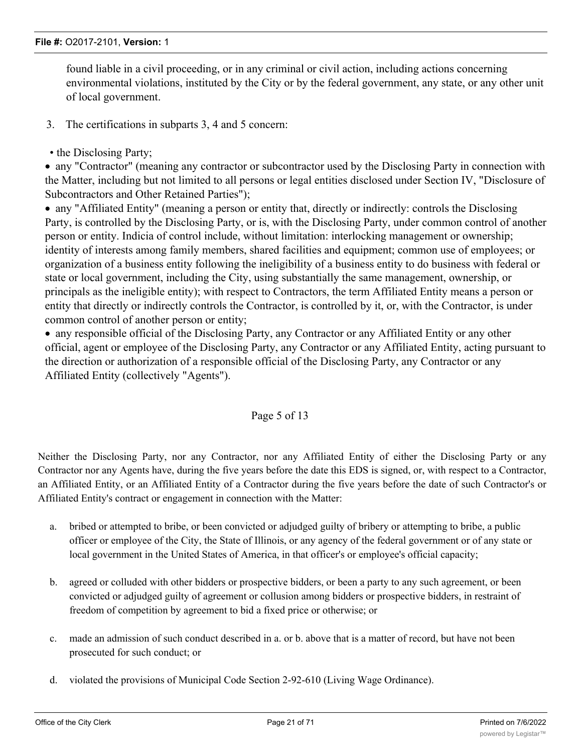found liable in a civil proceeding, or in any criminal or civil action, including actions concerning environmental violations, instituted by the City or by the federal government, any state, or any other unit of local government.

3. The certifications in subparts 3, 4 and 5 concern:

• the Disclosing Party;

· any "Contractor" (meaning any contractor or subcontractor used by the Disclosing Party in connection with the Matter, including but not limited to all persons or legal entities disclosed under Section IV, "Disclosure of Subcontractors and Other Retained Parties");

· any "Affiliated Entity" (meaning a person or entity that, directly or indirectly: controls the Disclosing Party, is controlled by the Disclosing Party, or is, with the Disclosing Party, under common control of another person or entity. Indicia of control include, without limitation: interlocking management or ownership; identity of interests among family members, shared facilities and equipment; common use of employees; or organization of a business entity following the ineligibility of a business entity to do business with federal or state or local government, including the City, using substantially the same management, ownership, or principals as the ineligible entity); with respect to Contractors, the term Affiliated Entity means a person or entity that directly or indirectly controls the Contractor, is controlled by it, or, with the Contractor, is under common control of another person or entity;

· any responsible official of the Disclosing Party, any Contractor or any Affiliated Entity or any other official, agent or employee of the Disclosing Party, any Contractor or any Affiliated Entity, acting pursuant to the direction or authorization of a responsible official of the Disclosing Party, any Contractor or any Affiliated Entity (collectively "Agents").

# Page 5 of 13

Neither the Disclosing Party, nor any Contractor, nor any Affiliated Entity of either the Disclosing Party or any Contractor nor any Agents have, during the five years before the date this EDS is signed, or, with respect to a Contractor, an Affiliated Entity, or an Affiliated Entity of a Contractor during the five years before the date of such Contractor's or Affiliated Entity's contract or engagement in connection with the Matter:

- a. bribed or attempted to bribe, or been convicted or adjudged guilty of bribery or attempting to bribe, a public officer or employee of the City, the State of Illinois, or any agency of the federal government or of any state or local government in the United States of America, in that officer's or employee's official capacity;
- b. agreed or colluded with other bidders or prospective bidders, or been a party to any such agreement, or been convicted or adjudged guilty of agreement or collusion among bidders or prospective bidders, in restraint of freedom of competition by agreement to bid a fixed price or otherwise; or
- c. made an admission of such conduct described in a. or b. above that is a matter of record, but have not been prosecuted for such conduct; or
- d. violated the provisions of Municipal Code Section 2-92-610 (Living Wage Ordinance).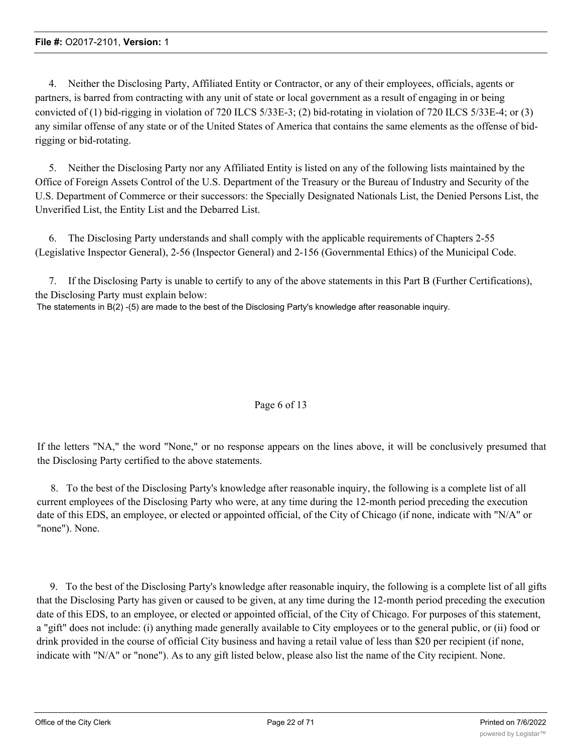4. Neither the Disclosing Party, Affiliated Entity or Contractor, or any of their employees, officials, agents or partners, is barred from contracting with any unit of state or local government as a result of engaging in or being convicted of (1) bid-rigging in violation of 720 ILCS 5/33E-3; (2) bid-rotating in violation of 720 ILCS 5/33E-4; or (3) any similar offense of any state or of the United States of America that contains the same elements as the offense of bidrigging or bid-rotating.

5. Neither the Disclosing Party nor any Affiliated Entity is listed on any of the following lists maintained by the Office of Foreign Assets Control of the U.S. Department of the Treasury or the Bureau of Industry and Security of the U.S. Department of Commerce or their successors: the Specially Designated Nationals List, the Denied Persons List, the Unverified List, the Entity List and the Debarred List.

6. The Disclosing Party understands and shall comply with the applicable requirements of Chapters 2-55 (Legislative Inspector General), 2-56 (Inspector General) and 2-156 (Governmental Ethics) of the Municipal Code.

7. If the Disclosing Party is unable to certify to any of the above statements in this Part B (Further Certifications), the Disclosing Party must explain below:

The statements in B(2) -(5) are made to the best of the Disclosing Party's knowledge after reasonable inquiry.

# Page 6 of 13

If the letters "NA," the word "None," or no response appears on the lines above, it will be conclusively presumed that the Disclosing Party certified to the above statements.

8. To the best of the Disclosing Party's knowledge after reasonable inquiry, the following is a complete list of all current employees of the Disclosing Party who were, at any time during the 12-month period preceding the execution date of this EDS, an employee, or elected or appointed official, of the City of Chicago (if none, indicate with "N/A" or "none"). None.

9. To the best of the Disclosing Party's knowledge after reasonable inquiry, the following is a complete list of all gifts that the Disclosing Party has given or caused to be given, at any time during the 12-month period preceding the execution date of this EDS, to an employee, or elected or appointed official, of the City of Chicago. For purposes of this statement, a "gift" does not include: (i) anything made generally available to City employees or to the general public, or (ii) food or drink provided in the course of official City business and having a retail value of less than \$20 per recipient (if none, indicate with "N/A" or "none"). As to any gift listed below, please also list the name of the City recipient. None.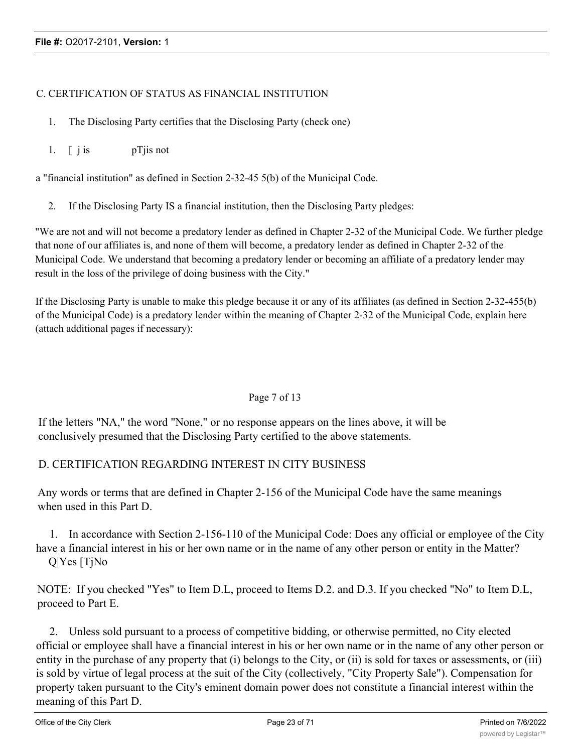# C. CERTIFICATION OF STATUS AS FINANCIAL INSTITUTION

- 1. The Disclosing Party certifies that the Disclosing Party (check one)
- 1.  $\int$  i is pTi is not

a "financial institution" as defined in Section 2-32-45 5(b) of the Municipal Code.

2. If the Disclosing Party IS a financial institution, then the Disclosing Party pledges:

"We are not and will not become a predatory lender as defined in Chapter 2-32 of the Municipal Code. We further pledge that none of our affiliates is, and none of them will become, a predatory lender as defined in Chapter 2-32 of the Municipal Code. We understand that becoming a predatory lender or becoming an affiliate of a predatory lender may result in the loss of the privilege of doing business with the City."

If the Disclosing Party is unable to make this pledge because it or any of its affiliates (as defined in Section 2-32-455(b) of the Municipal Code) is a predatory lender within the meaning of Chapter 2-32 of the Municipal Code, explain here (attach additional pages if necessary):

# Page 7 of 13

If the letters "NA," the word "None," or no response appears on the lines above, it will be conclusively presumed that the Disclosing Party certified to the above statements.

# D. CERTIFICATION REGARDING INTEREST IN CITY BUSINESS

Any words or terms that are defined in Chapter 2-156 of the Municipal Code have the same meanings when used in this Part D.

1. In accordance with Section 2-156-110 of the Municipal Code: Does any official or employee of the City have a financial interest in his or her own name or in the name of any other person or entity in the Matter? Q|Yes [TjNo

NOTE: If you checked "Yes" to Item D.L, proceed to Items D.2. and D.3. If you checked "No" to Item D.L, proceed to Part E.

2. Unless sold pursuant to a process of competitive bidding, or otherwise permitted, no City elected official or employee shall have a financial interest in his or her own name or in the name of any other person or entity in the purchase of any property that (i) belongs to the City, or (ii) is sold for taxes or assessments, or (iii) is sold by virtue of legal process at the suit of the City (collectively, "City Property Sale"). Compensation for property taken pursuant to the City's eminent domain power does not constitute a financial interest within the meaning of this Part D.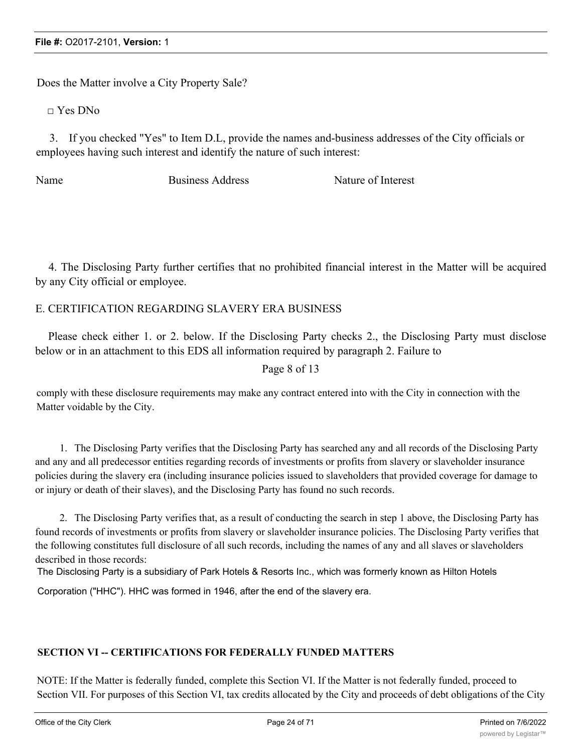Does the Matter involve a City Property Sale?

 $\neg$  Yes DNo

3. If you checked "Yes" to Item D.L, provide the names and-business addresses of the City officials or employees having such interest and identify the nature of such interest:

Name Business Address Nature of Interest

4. The Disclosing Party further certifies that no prohibited financial interest in the Matter will be acquired by any City official or employee.

# E. CERTIFICATION REGARDING SLAVERY ERA BUSINESS

Please check either 1. or 2. below. If the Disclosing Party checks 2., the Disclosing Party must disclose below or in an attachment to this EDS all information required by paragraph 2. Failure to

Page 8 of 13

comply with these disclosure requirements may make any contract entered into with the City in connection with the Matter voidable by the City.

1. The Disclosing Party verifies that the Disclosing Party has searched any and all records of the Disclosing Party and any and all predecessor entities regarding records of investments or profits from slavery or slaveholder insurance policies during the slavery era (including insurance policies issued to slaveholders that provided coverage for damage to or injury or death of their slaves), and the Disclosing Party has found no such records.

2. The Disclosing Party verifies that, as a result of conducting the search in step 1 above, the Disclosing Party has found records of investments or profits from slavery or slaveholder insurance policies. The Disclosing Party verifies that the following constitutes full disclosure of all such records, including the names of any and all slaves or slaveholders described in those records:

The Disclosing Party is a subsidiary of Park Hotels & Resorts Inc., which was formerly known as Hilton Hotels

Corporation ("HHC"). HHC was formed in 1946, after the end of the slavery era.

#### **SECTION VI -- CERTIFICATIONS FOR FEDERALLY FUNDED MATTERS**

NOTE: If the Matter is federally funded, complete this Section VI. If the Matter is not federally funded, proceed to Section VII. For purposes of this Section VI, tax credits allocated by the City and proceeds of debt obligations of the City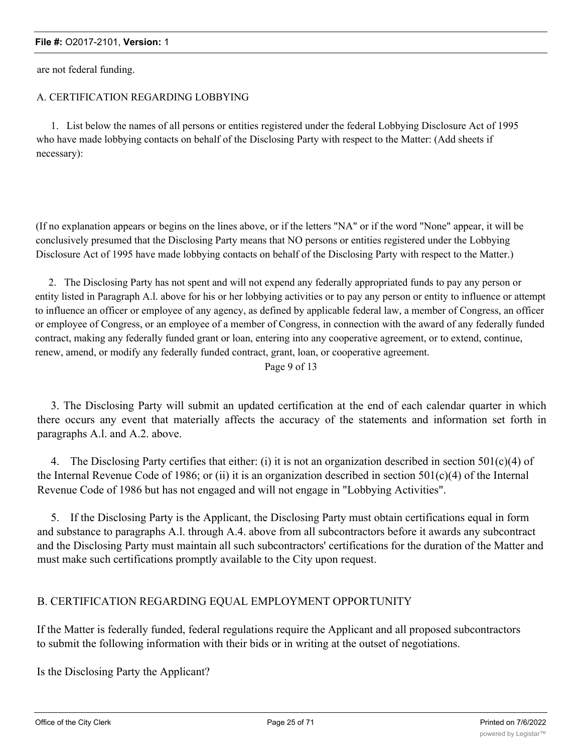are not federal funding.

#### A. CERTIFICATION REGARDING LOBBYING

1. List below the names of all persons or entities registered under the federal Lobbying Disclosure Act of 1995 who have made lobbying contacts on behalf of the Disclosing Party with respect to the Matter: (Add sheets if necessary):

(If no explanation appears or begins on the lines above, or if the letters "NA" or if the word "None" appear, it will be conclusively presumed that the Disclosing Party means that NO persons or entities registered under the Lobbying Disclosure Act of 1995 have made lobbying contacts on behalf of the Disclosing Party with respect to the Matter.)

2. The Disclosing Party has not spent and will not expend any federally appropriated funds to pay any person or entity listed in Paragraph A.l. above for his or her lobbying activities or to pay any person or entity to influence or attempt to influence an officer or employee of any agency, as defined by applicable federal law, a member of Congress, an officer or employee of Congress, or an employee of a member of Congress, in connection with the award of any federally funded contract, making any federally funded grant or loan, entering into any cooperative agreement, or to extend, continue, renew, amend, or modify any federally funded contract, grant, loan, or cooperative agreement.

Page 9 of 13

3. The Disclosing Party will submit an updated certification at the end of each calendar quarter in which there occurs any event that materially affects the accuracy of the statements and information set forth in paragraphs A.l. and A.2. above.

4. The Disclosing Party certifies that either: (i) it is not an organization described in section  $501(c)(4)$  of the Internal Revenue Code of 1986; or (ii) it is an organization described in section  $501(c)(4)$  of the Internal Revenue Code of 1986 but has not engaged and will not engage in "Lobbying Activities".

5. If the Disclosing Party is the Applicant, the Disclosing Party must obtain certifications equal in form and substance to paragraphs A.l. through A.4. above from all subcontractors before it awards any subcontract and the Disclosing Party must maintain all such subcontractors' certifications for the duration of the Matter and must make such certifications promptly available to the City upon request.

# B. CERTIFICATION REGARDING EQUAL EMPLOYMENT OPPORTUNITY

If the Matter is federally funded, federal regulations require the Applicant and all proposed subcontractors to submit the following information with their bids or in writing at the outset of negotiations.

Is the Disclosing Party the Applicant?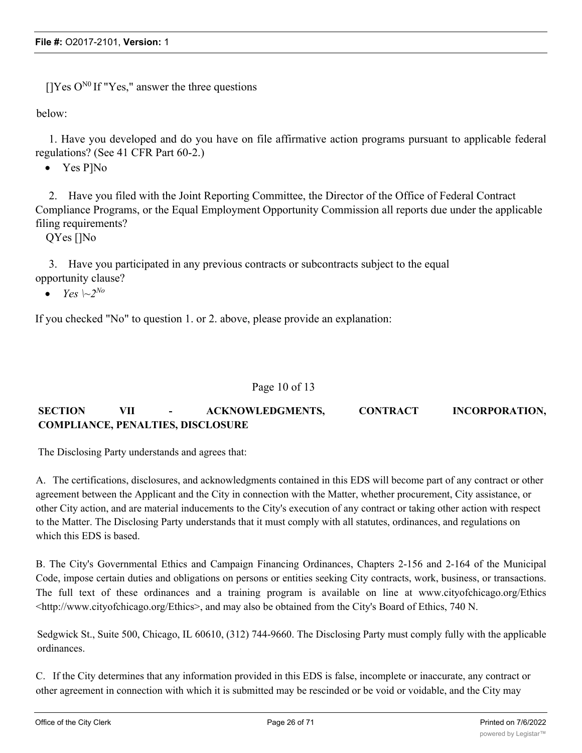[ $[$ [Yes O<sup>N0</sup> If "Yes," answer the three questions

below:

1. Have you developed and do you have on file affirmative action programs pursuant to applicable federal regulations? (See 41 CFR Part 60-2.)

• Yes P]No

2. Have you filed with the Joint Reporting Committee, the Director of the Office of Federal Contract Compliance Programs, or the Equal Employment Opportunity Commission all reports due under the applicable filing requirements?

QYes []No

3. Have you participated in any previous contracts or subcontracts subject to the equal opportunity clause?

• *Yes*  $\sim 2^{N_o}$ 

If you checked "No" to question 1. or 2. above, please provide an explanation:

# Page 10 of 13

# **SECTION VII - ACKNOWLEDGMENTS, CONTRACT INCORPORATION, COMPLIANCE, PENALTIES, DISCLOSURE**

The Disclosing Party understands and agrees that:

A. The certifications, disclosures, and acknowledgments contained in this EDS will become part of any contract or other agreement between the Applicant and the City in connection with the Matter, whether procurement, City assistance, or other City action, and are material inducements to the City's execution of any contract or taking other action with respect to the Matter. The Disclosing Party understands that it must comply with all statutes, ordinances, and regulations on which this EDS is based.

B. The City's Governmental Ethics and Campaign Financing Ordinances, Chapters 2-156 and 2-164 of the Municipal Code, impose certain duties and obligations on persons or entities seeking City contracts, work, business, or transactions. The full text of these ordinances and a training program is available on line at www.cityofchicago.org/Ethics <http://www.cityofchicago.org/Ethics>, and may also be obtained from the City's Board of Ethics, 740 N.

Sedgwick St., Suite 500, Chicago, IL 60610, (312) 744-9660. The Disclosing Party must comply fully with the applicable ordinances.

C. If the City determines that any information provided in this EDS is false, incomplete or inaccurate, any contract or other agreement in connection with which it is submitted may be rescinded or be void or voidable, and the City may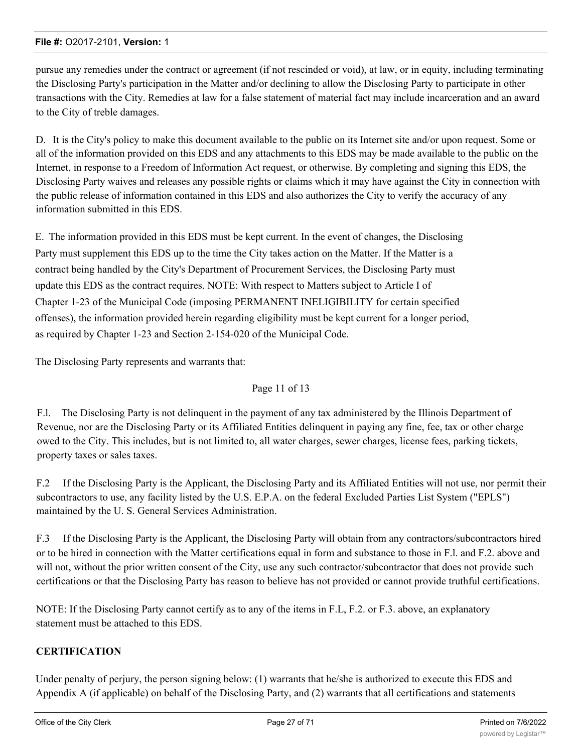pursue any remedies under the contract or agreement (if not rescinded or void), at law, or in equity, including terminating the Disclosing Party's participation in the Matter and/or declining to allow the Disclosing Party to participate in other transactions with the City. Remedies at law for a false statement of material fact may include incarceration and an award to the City of treble damages.

D. It is the City's policy to make this document available to the public on its Internet site and/or upon request. Some or all of the information provided on this EDS and any attachments to this EDS may be made available to the public on the Internet, in response to a Freedom of Information Act request, or otherwise. By completing and signing this EDS, the Disclosing Party waives and releases any possible rights or claims which it may have against the City in connection with the public release of information contained in this EDS and also authorizes the City to verify the accuracy of any information submitted in this EDS.

E. The information provided in this EDS must be kept current. In the event of changes, the Disclosing Party must supplement this EDS up to the time the City takes action on the Matter. If the Matter is a contract being handled by the City's Department of Procurement Services, the Disclosing Party must update this EDS as the contract requires. NOTE: With respect to Matters subject to Article I of Chapter 1-23 of the Municipal Code (imposing PERMANENT INELIGIBILITY for certain specified offenses), the information provided herein regarding eligibility must be kept current for a longer period, as required by Chapter 1-23 and Section 2-154-020 of the Municipal Code.

The Disclosing Party represents and warrants that:

# Page 11 of 13

F.l. The Disclosing Party is not delinquent in the payment of any tax administered by the Illinois Department of Revenue, nor are the Disclosing Party or its Affiliated Entities delinquent in paying any fine, fee, tax or other charge owed to the City. This includes, but is not limited to, all water charges, sewer charges, license fees, parking tickets, property taxes or sales taxes.

F.2 If the Disclosing Party is the Applicant, the Disclosing Party and its Affiliated Entities will not use, nor permit their subcontractors to use, any facility listed by the U.S. E.P.A. on the federal Excluded Parties List System ("EPLS") maintained by the U. S. General Services Administration.

F.3 If the Disclosing Party is the Applicant, the Disclosing Party will obtain from any contractors/subcontractors hired or to be hired in connection with the Matter certifications equal in form and substance to those in F.l. and F.2. above and will not, without the prior written consent of the City, use any such contractor/subcontractor that does not provide such certifications or that the Disclosing Party has reason to believe has not provided or cannot provide truthful certifications.

NOTE: If the Disclosing Party cannot certify as to any of the items in F.L, F.2. or F.3. above, an explanatory statement must be attached to this EDS.

# **CERTIFICATION**

Under penalty of perjury, the person signing below: (1) warrants that he/she is authorized to execute this EDS and Appendix A (if applicable) on behalf of the Disclosing Party, and (2) warrants that all certifications and statements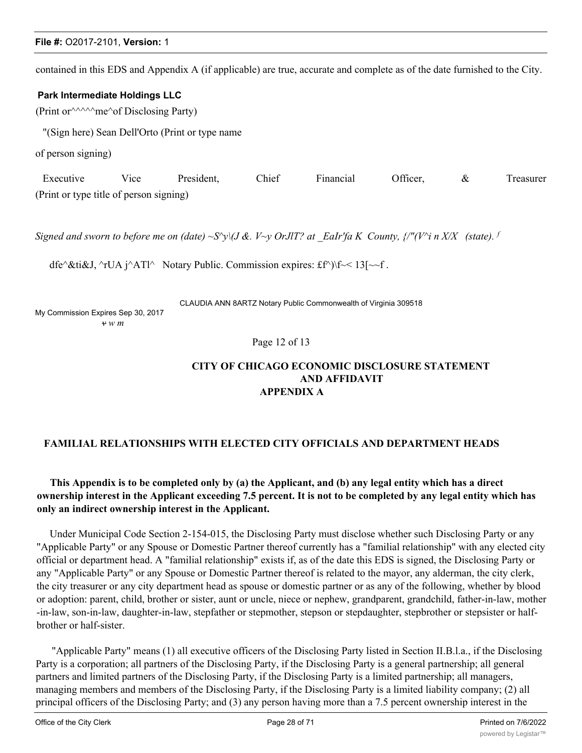contained in this EDS and Appendix A (if applicable) are true, accurate and complete as of the date furnished to the City.

#### **Park Intermediate Holdings LLC**

(Print or  $\land\land\land\land\land$  me $\land$  of Disclosing Party)

"(Sign here) Sean Dell'Orto (Print or type name

of person signing)

Executive Vice President, Chief Financial Officer, & Treasurer (Print or type title of person signing)

*Signed and sworn to before me on (date)*  $\sim S'v\sqrt{J} \& V\rightarrow V$  *OrJIT? at EaIr'fa K County, {/"(V*^i *n X/X (state). f* 

dfe^&ti&J, ^rUA j^ATl^ Notary Public. Commission expires: £f^)\f \ \f \ 13[\pid \cdots \cdots \cdots \cdots \cdots \cdots \cdots \cdots \cdots \cdots \cdots \cdots \cdots \cdots \cdots \cdots \cdots \cdots \cdots \cdots \

CLAUDIA ANN 8ARTZ Notary Public Commonwealth of Virginia 309518

My Commission Expires Sep 30, 2017 *v w m*

Page 12 of 13

## **CITY OF CHICAGO ECONOMIC DISCLOSURE STATEMENT AND AFFIDAVIT APPENDIX A**

#### **FAMILIAL RELATIONSHIPS WITH ELECTED CITY OFFICIALS AND DEPARTMENT HEADS**

# **This Appendix is to be completed only by (a) the Applicant, and (b) any legal entity which has a direct ownership interest in the Applicant exceeding 7.5 percent. It is not to be completed by any legal entity which has only an indirect ownership interest in the Applicant.**

Under Municipal Code Section 2-154-015, the Disclosing Party must disclose whether such Disclosing Party or any "Applicable Party" or any Spouse or Domestic Partner thereof currently has a "familial relationship" with any elected city official or department head. A "familial relationship" exists if, as of the date this EDS is signed, the Disclosing Party or any "Applicable Party" or any Spouse or Domestic Partner thereof is related to the mayor, any alderman, the city clerk, the city treasurer or any city department head as spouse or domestic partner or as any of the following, whether by blood or adoption: parent, child, brother or sister, aunt or uncle, niece or nephew, grandparent, grandchild, father-in-law, mother -in-law, son-in-law, daughter-in-law, stepfather or stepmother, stepson or stepdaughter, stepbrother or stepsister or halfbrother or half-sister.

"Applicable Party" means (1) all executive officers of the Disclosing Party listed in Section II.B.l.a., if the Disclosing Party is a corporation; all partners of the Disclosing Party, if the Disclosing Party is a general partnership; all general partners and limited partners of the Disclosing Party, if the Disclosing Party is a limited partnership; all managers, managing members and members of the Disclosing Party, if the Disclosing Party is a limited liability company; (2) all principal officers of the Disclosing Party; and (3) any person having more than a 7.5 percent ownership interest in the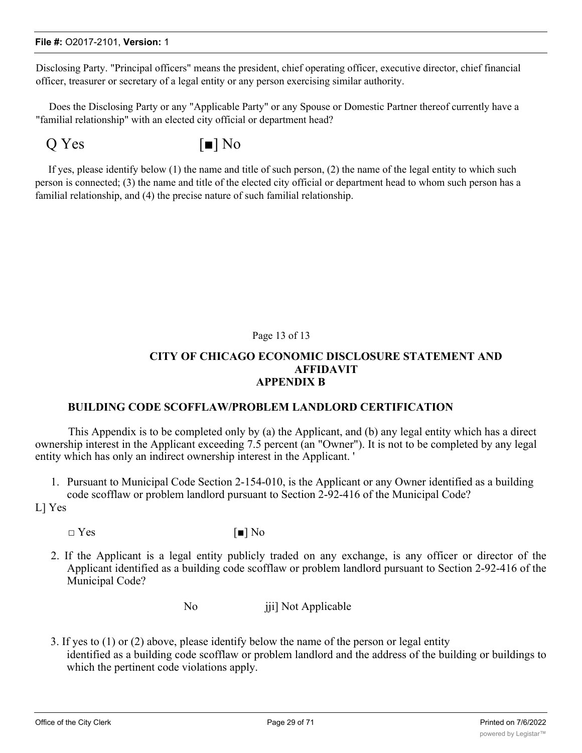Disclosing Party. "Principal officers" means the president, chief operating officer, executive director, chief financial officer, treasurer or secretary of a legal entity or any person exercising similar authority.

Does the Disclosing Party or any "Applicable Party" or any Spouse or Domestic Partner thereof currently have a "familial relationship" with an elected city official or department head?

# $Q$  Yes  $\lceil \blacksquare \rceil$  No

If yes, please identify below (1) the name and title of such person, (2) the name of the legal entity to which such person is connected; (3) the name and title of the elected city official or department head to whom such person has a familial relationship, and (4) the precise nature of such familial relationship.

Page 13 of 13

# **CITY OF CHICAGO ECONOMIC DISCLOSURE STATEMENT AND AFFIDAVIT APPENDIX B**

# **BUILDING CODE SCOFFLAW/PROBLEM LANDLORD CERTIFICATION**

This Appendix is to be completed only by (a) the Applicant, and (b) any legal entity which has a direct ownership interest in the Applicant exceeding 7.5 percent (an "Owner"). It is not to be completed by any legal entity which has only an indirect ownership interest in the Applicant. '

1. Pursuant to Municipal Code Section 2-154-010, is the Applicant or any Owner identified as a building code scofflaw or problem landlord pursuant to Section 2-92-416 of the Municipal Code?

L] Yes

- $\square$  Yes  $\blacksquare$  No
- 2. If the Applicant is a legal entity publicly traded on any exchange, is any officer or director of the Applicant identified as a building code scofflaw or problem landlord pursuant to Section 2-92-416 of the Municipal Code?
	- No jii] Not Applicable
- 3. If yes to (1) or (2) above, please identify below the name of the person or legal entity identified as a building code scofflaw or problem landlord and the address of the building or buildings to which the pertinent code violations apply.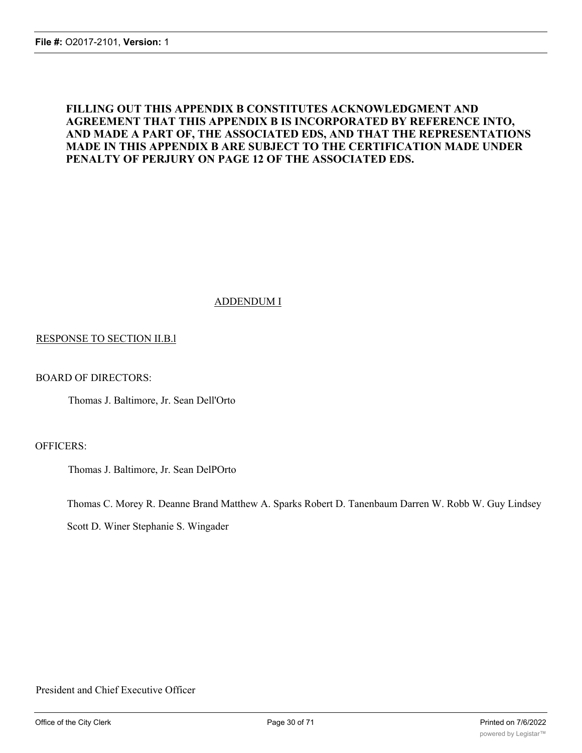# **FILLING OUT THIS APPENDIX B CONSTITUTES ACKNOWLEDGMENT AND AGREEMENT THAT THIS APPENDIX B IS INCORPORATED BY REFERENCE INTO, AND MADE A PART OF, THE ASSOCIATED EDS, AND THAT THE REPRESENTATIONS MADE IN THIS APPENDIX B ARE SUBJECT TO THE CERTIFICATION MADE UNDER PENALTY OF PERJURY ON PAGE 12 OF THE ASSOCIATED EDS.**

# ADDENDUM I

#### RESPONSE TO SECTION II.B.l

#### BOARD OF DIRECTORS:

Thomas J. Baltimore, Jr. Sean Dell'Orto

## OFFICERS:

Thomas J. Baltimore, Jr. Sean DelPOrto

Thomas C. Morey R. Deanne Brand Matthew A. Sparks Robert D. Tanenbaum Darren W. Robb W. Guy Lindsey

Scott D. Winer Stephanie S. Wingader

President and Chief Executive Officer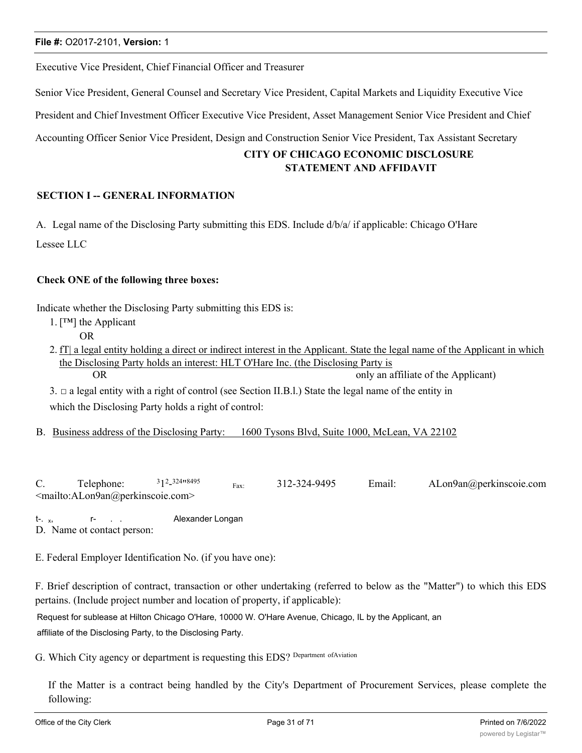Executive Vice President, Chief Financial Officer and Treasurer

Senior Vice President, General Counsel and Secretary Vice President, Capital Markets and Liquidity Executive Vice

President and Chief Investment Officer Executive Vice President, Asset Management Senior Vice President and Chief

Accounting Officer Senior Vice President, Design and Construction Senior Vice President, Tax Assistant Secretary

# **CITY OF CHICAGO ECONOMIC DISCLOSURE STATEMENT AND AFFIDAVIT**

# **SECTION I -- GENERAL INFORMATION**

A. Legal name of the Disclosing Party submitting this EDS. Include d/b/a/ if applicable: Chicago O'Hare Lessee LLC

# **Check ONE of the following three boxes:**

Indicate whether the Disclosing Party submitting this EDS is:

- 1. [™] the Applicant
	- OR
- 2. fT| a legal entity holding a direct or indirect interest in the Applicant. State the legal name of the Applicant in which the Disclosing Party holds an interest: HLT O'Hare Inc. (the Disclosing Party is OR OR **OR** OF  $\alpha$  only an affiliate of the Applicant)

3. □ a legal entity with a right of control (see Section II.B.l.) State the legal name of the entity in which the Disclosing Party holds a right of control:

B. Business address of the Disclosing Party: 1600 Tysons Blvd, Suite 1000, McLean, VA 22102

| Telephone:                                                        | 312_324118495 | Fax: | 312-324-9495 | Email: | ALon9an@perkinscoie.com |
|-------------------------------------------------------------------|---------------|------|--------------|--------|-------------------------|
| <mailto:alon9an@perkinscoie.com></mailto:alon9an@perkinscoie.com> |               |      |              |        |                         |

t-. x, T- . . Alexander Longan D. Name ot contact person:

E. Federal Employer Identification No. (if you have one):

F. Brief description of contract, transaction or other undertaking (referred to below as the "Matter") to which this EDS pertains. (Include project number and location of property, if applicable):

Request for sublease at Hilton Chicago O'Hare, 10000 W. O'Hare Avenue, Chicago, IL by the Applicant, an

affiliate of the Disclosing Party, to the Disclosing Party.

G. Which City agency or department is requesting this EDS? Department ofAviation

If the Matter is a contract being handled by the City's Department of Procurement Services, please complete the following: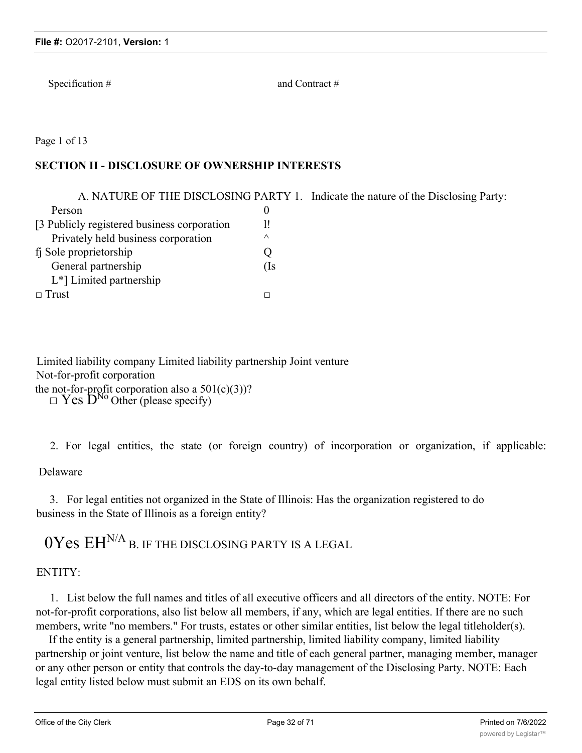Specification # and Contract #

Page 1 of 13

# **SECTION II - DISCLOSURE OF OWNERSHIP INTERESTS**

A. NATURE OF THE DISCLOSING PARTY 1. Indicate the nature of the Disclosing Party:

| Person                                       |          |
|----------------------------------------------|----------|
| [3 Publicly registered business corporation] | и        |
| Privately held business corporation          | $\wedge$ |
| fi Sole proprietorship                       |          |
| General partnership                          | (Is      |
| $L^*$ ] Limited partnership                  |          |
| $\Box$ Trust                                 |          |

Limited liability company Limited liability partnership Joint venture Not-for-profit corporation the not-for-profit corporation also a  $501(c)(3)$ ?  $\Box$  Yes  $\ddot{D}^{No}$  Other (please specify)

2. For legal entities, the state (or foreign country) of incorporation or organization, if applicable:

Delaware

3. For legal entities not organized in the State of Illinois: Has the organization registered to do business in the State of Illinois as a foreign entity?

# $0Yes EH<sup>N/A</sup>$  B. IF THE DISCLOSING PARTY IS A LEGAL

# ENTITY:

1. List below the full names and titles of all executive officers and all directors of the entity. NOTE: For not-for-profit corporations, also list below all members, if any, which are legal entities. If there are no such members, write "no members." For trusts, estates or other similar entities, list below the legal titleholder(s).

If the entity is a general partnership, limited partnership, limited liability company, limited liability partnership or joint venture, list below the name and title of each general partner, managing member, manager or any other person or entity that controls the day-to-day management of the Disclosing Party. NOTE: Each legal entity listed below must submit an EDS on its own behalf.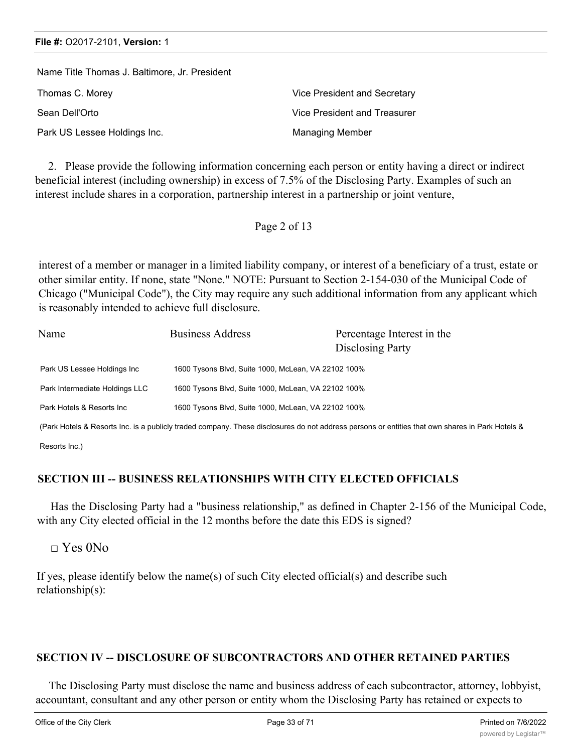| Name Title Thomas J. Baltimore, Jr. President |                              |
|-----------------------------------------------|------------------------------|
| Thomas C. Morey                               | Vice President and Secretary |
| Sean Dell'Orto                                | Vice President and Treasurer |
| Park US Lessee Holdings Inc.                  | <b>Managing Member</b>       |

2. Please provide the following information concerning each person or entity having a direct or indirect beneficial interest (including ownership) in excess of 7.5% of the Disclosing Party. Examples of such an interest include shares in a corporation, partnership interest in a partnership or joint venture,

## Page 2 of 13

interest of a member or manager in a limited liability company, or interest of a beneficiary of a trust, estate or other similar entity. If none, state "None." NOTE: Pursuant to Section 2-154-030 of the Municipal Code of Chicago ("Municipal Code"), the City may require any such additional information from any applicant which is reasonably intended to achieve full disclosure.

| Name                           | <b>Business Address</b>                                                                                                       | Percentage Interest in the<br>Disclosing Party |
|--------------------------------|-------------------------------------------------------------------------------------------------------------------------------|------------------------------------------------|
| Park US Lessee Holdings Inc    | 1600 Tysons Blvd, Suite 1000, McLean, VA 22102 100%                                                                           |                                                |
| Park Intermediate Holdings LLC | 1600 Tysons Blvd, Suite 1000, McLean, VA 22102 100%                                                                           |                                                |
| Park Hotels & Resorts Inc      | 1600 Tysons Blvd, Suite 1000, McLean, VA 22102 100%                                                                           |                                                |
|                                | (Park Hotels & Resorts Inc, is a publicly traded company. These disclosures do not address persons or entities that own share |                                                |

ns or entities that own shares in Park Hotels & Resorts Inc.)

# **SECTION III -- BUSINESS RELATIONSHIPS WITH CITY ELECTED OFFICIALS**

Has the Disclosing Party had a "business relationship," as defined in Chapter 2-156 of the Municipal Code, with any City elected official in the 12 months before the date this EDS is signed?

 $\Box$  Yes 0No

If yes, please identify below the name(s) of such City elected official(s) and describe such relationship(s):

# **SECTION IV -- DISCLOSURE OF SUBCONTRACTORS AND OTHER RETAINED PARTIES**

The Disclosing Party must disclose the name and business address of each subcontractor, attorney, lobbyist, accountant, consultant and any other person or entity whom the Disclosing Party has retained or expects to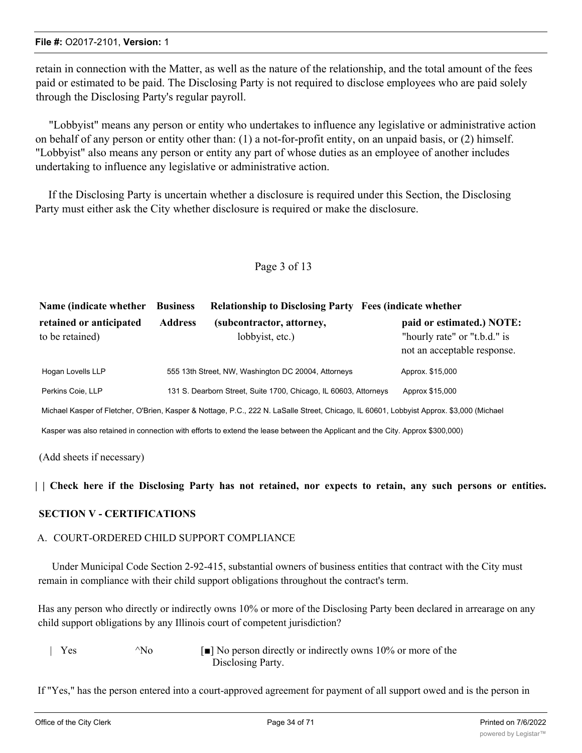retain in connection with the Matter, as well as the nature of the relationship, and the total amount of the fees paid or estimated to be paid. The Disclosing Party is not required to disclose employees who are paid solely through the Disclosing Party's regular payroll.

"Lobbyist" means any person or entity who undertakes to influence any legislative or administrative action on behalf of any person or entity other than: (1) a not-for-profit entity, on an unpaid basis, or (2) himself. "Lobbyist" also means any person or entity any part of whose duties as an employee of another includes undertaking to influence any legislative or administrative action.

If the Disclosing Party is uncertain whether a disclosure is required under this Section, the Disclosing Party must either ask the City whether disclosure is required or make the disclosure.

# Page 3 of 13

| Name (indicate whether                     | <b>Business</b> | <b>Relationship to Disclosing Party Fees (indicate whether)</b>                                                                          |                                                                                          |
|--------------------------------------------|-----------------|------------------------------------------------------------------------------------------------------------------------------------------|------------------------------------------------------------------------------------------|
| retained or anticipated<br>to be retained) | <b>Address</b>  | (subcontractor, attorney,<br>lobbyist, etc.)                                                                                             | paid or estimated.) NOTE:<br>"hourly rate" or "t.b.d." is<br>not an acceptable response. |
| Hogan Lovells LLP                          |                 | 555 13th Street, NW, Washington DC 20004, Attorneys                                                                                      | Approx. \$15,000                                                                         |
| Perkins Coie, LLP                          |                 | 131 S. Dearborn Street, Suite 1700, Chicago, IL 60603, Attorneys                                                                         | Approx \$15,000                                                                          |
|                                            |                 | Michael Kasper of Fletcher, O'Brien, Kasper & Nottage, P.C., 222 N. LaSalle Street, Chicago, IL 60601, Lobbyist Approx. \$3,000 (Michael |                                                                                          |
|                                            |                 | Kasper was also retained in connection with efforts to extend the lease between the Applicant and the City. Approx \$300,000)            |                                                                                          |

(Add sheets if necessary)

#### || Check here if the Disclosing Party has not retained, nor expects to retain, any such persons or entities.

## **SECTION V - CERTIFICATIONS**

#### A. COURT-ORDERED CHILD SUPPORT COMPLIANCE

Under Municipal Code Section 2-92-415, substantial owners of business entities that contract with the City must remain in compliance with their child support obligations throughout the contract's term.

Has any person who directly or indirectly owns 10% or more of the Disclosing Party been declared in arrearage on any child support obligations by any Illinois court of competent jurisdiction?

 $Y$ es  $^{\wedge}$ No [■] No person directly or indirectly owns 10% or more of the Disclosing Party.

If "Yes," has the person entered into a court-approved agreement for payment of all support owed and is the person in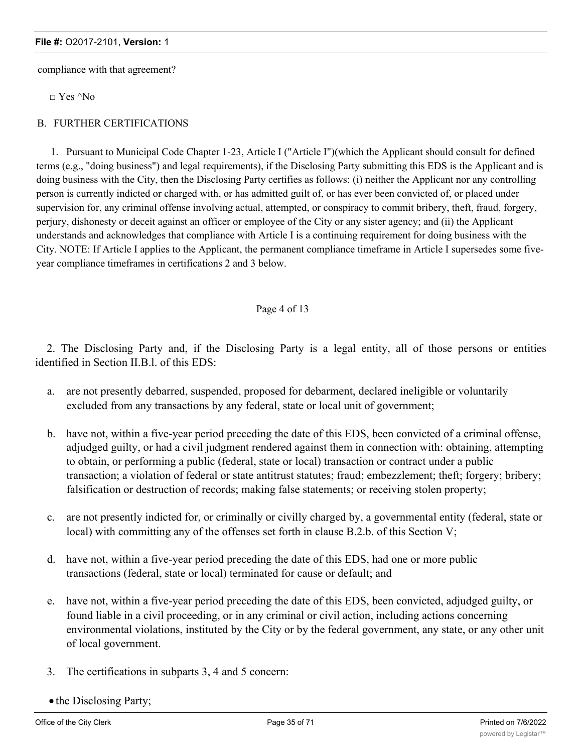compliance with that agreement?

 $\neg$  Yes  $^{\wedge}$ No

#### B. FURTHER CERTIFICATIONS

1. Pursuant to Municipal Code Chapter 1-23, Article I ("Article I")(which the Applicant should consult for defined terms (e.g., "doing business") and legal requirements), if the Disclosing Party submitting this EDS is the Applicant and is doing business with the City, then the Disclosing Party certifies as follows: (i) neither the Applicant nor any controlling person is currently indicted or charged with, or has admitted guilt of, or has ever been convicted of, or placed under supervision for, any criminal offense involving actual, attempted, or conspiracy to commit bribery, theft, fraud, forgery, perjury, dishonesty or deceit against an officer or employee of the City or any sister agency; and (ii) the Applicant understands and acknowledges that compliance with Article I is a continuing requirement for doing business with the City. NOTE: If Article I applies to the Applicant, the permanent compliance timeframe in Article I supersedes some fiveyear compliance timeframes in certifications 2 and 3 below.

## Page 4 of 13

2. The Disclosing Party and, if the Disclosing Party is a legal entity, all of those persons or entities identified in Section II.B.l. of this EDS:

- a. are not presently debarred, suspended, proposed for debarment, declared ineligible or voluntarily excluded from any transactions by any federal, state or local unit of government;
- b. have not, within a five-year period preceding the date of this EDS, been convicted of a criminal offense, adjudged guilty, or had a civil judgment rendered against them in connection with: obtaining, attempting to obtain, or performing a public (federal, state or local) transaction or contract under a public transaction; a violation of federal or state antitrust statutes; fraud; embezzlement; theft; forgery; bribery; falsification or destruction of records; making false statements; or receiving stolen property;
- c. are not presently indicted for, or criminally or civilly charged by, a governmental entity (federal, state or local) with committing any of the offenses set forth in clause B.2.b. of this Section V;
- d. have not, within a five-year period preceding the date of this EDS, had one or more public transactions (federal, state or local) terminated for cause or default; and
- e. have not, within a five-year period preceding the date of this EDS, been convicted, adjudged guilty, or found liable in a civil proceeding, or in any criminal or civil action, including actions concerning environmental violations, instituted by the City or by the federal government, any state, or any other unit of local government.
- 3. The certifications in subparts 3, 4 and 5 concern:
- the Disclosing Party;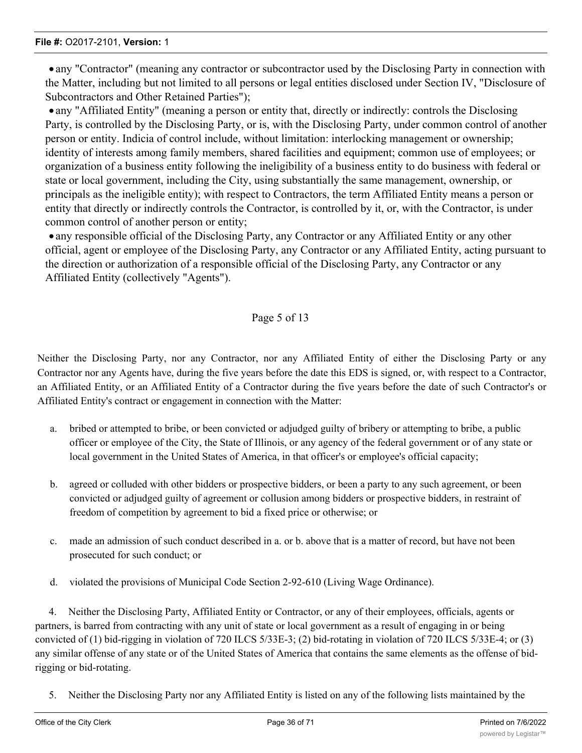· any "Contractor" (meaning any contractor or subcontractor used by the Disclosing Party in connection with the Matter, including but not limited to all persons or legal entities disclosed under Section IV, "Disclosure of Subcontractors and Other Retained Parties");

• any "Affiliated Entity" (meaning a person or entity that, directly or indirectly: controls the Disclosing Party, is controlled by the Disclosing Party, or is, with the Disclosing Party, under common control of another person or entity. Indicia of control include, without limitation: interlocking management or ownership; identity of interests among family members, shared facilities and equipment; common use of employees; or organization of a business entity following the ineligibility of a business entity to do business with federal or state or local government, including the City, using substantially the same management, ownership, or principals as the ineligible entity); with respect to Contractors, the term Affiliated Entity means a person or entity that directly or indirectly controls the Contractor, is controlled by it, or, with the Contractor, is under common control of another person or entity;

· any responsible official of the Disclosing Party, any Contractor or any Affiliated Entity or any other official, agent or employee of the Disclosing Party, any Contractor or any Affiliated Entity, acting pursuant to the direction or authorization of a responsible official of the Disclosing Party, any Contractor or any Affiliated Entity (collectively "Agents").

# Page 5 of 13

Neither the Disclosing Party, nor any Contractor, nor any Affiliated Entity of either the Disclosing Party or any Contractor nor any Agents have, during the five years before the date this EDS is signed, or, with respect to a Contractor, an Affiliated Entity, or an Affiliated Entity of a Contractor during the five years before the date of such Contractor's or Affiliated Entity's contract or engagement in connection with the Matter:

- a. bribed or attempted to bribe, or been convicted or adjudged guilty of bribery or attempting to bribe, a public officer or employee of the City, the State of Illinois, or any agency of the federal government or of any state or local government in the United States of America, in that officer's or employee's official capacity;
- b. agreed or colluded with other bidders or prospective bidders, or been a party to any such agreement, or been convicted or adjudged guilty of agreement or collusion among bidders or prospective bidders, in restraint of freedom of competition by agreement to bid a fixed price or otherwise; or
- c. made an admission of such conduct described in a. or b. above that is a matter of record, but have not been prosecuted for such conduct; or
- d. violated the provisions of Municipal Code Section 2-92-610 (Living Wage Ordinance).

4. Neither the Disclosing Party, Affiliated Entity or Contractor, or any of their employees, officials, agents or partners, is barred from contracting with any unit of state or local government as a result of engaging in or being convicted of (1) bid-rigging in violation of 720 ILCS 5/33E-3; (2) bid-rotating in violation of 720 ILCS 5/33E-4; or (3) any similar offense of any state or of the United States of America that contains the same elements as the offense of bidrigging or bid-rotating.

5. Neither the Disclosing Party nor any Affiliated Entity is listed on any of the following lists maintained by the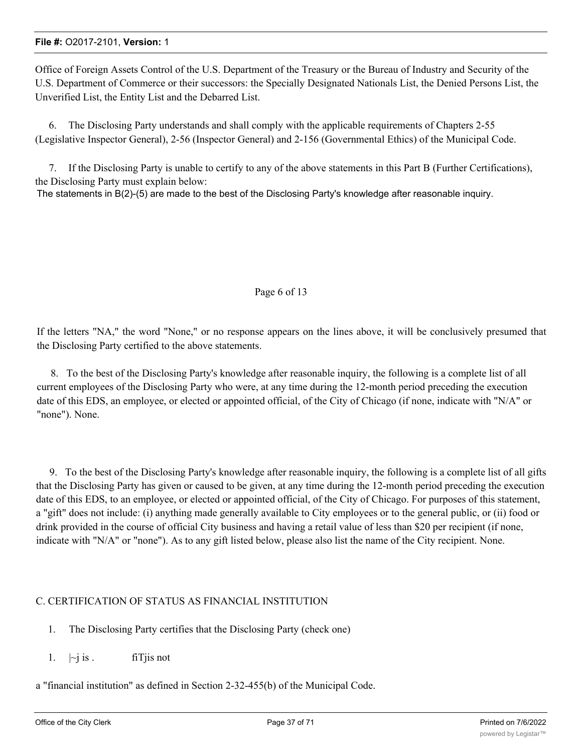Office of Foreign Assets Control of the U.S. Department of the Treasury or the Bureau of Industry and Security of the U.S. Department of Commerce or their successors: the Specially Designated Nationals List, the Denied Persons List, the Unverified List, the Entity List and the Debarred List.

6. The Disclosing Party understands and shall comply with the applicable requirements of Chapters 2-55 (Legislative Inspector General), 2-56 (Inspector General) and 2-156 (Governmental Ethics) of the Municipal Code.

7. If the Disclosing Party is unable to certify to any of the above statements in this Part B (Further Certifications), the Disclosing Party must explain below:

The statements in B(2)-(5) are made to the best of the Disclosing Party's knowledge after reasonable inquiry.

#### Page 6 of 13

If the letters "NA," the word "None," or no response appears on the lines above, it will be conclusively presumed that the Disclosing Party certified to the above statements.

8. To the best of the Disclosing Party's knowledge after reasonable inquiry, the following is a complete list of all current employees of the Disclosing Party who were, at any time during the 12-month period preceding the execution date of this EDS, an employee, or elected or appointed official, of the City of Chicago (if none, indicate with "N/A" or "none"). None.

9. To the best of the Disclosing Party's knowledge after reasonable inquiry, the following is a complete list of all gifts that the Disclosing Party has given or caused to be given, at any time during the 12-month period preceding the execution date of this EDS, to an employee, or elected or appointed official, of the City of Chicago. For purposes of this statement, a "gift" does not include: (i) anything made generally available to City employees or to the general public, or (ii) food or drink provided in the course of official City business and having a retail value of less than \$20 per recipient (if none, indicate with "N/A" or "none"). As to any gift listed below, please also list the name of the City recipient. None.

# C. CERTIFICATION OF STATUS AS FINANCIAL INSTITUTION

- 1. The Disclosing Party certifies that the Disclosing Party (check one)
- 1.  $\lvert \sim j \rvert$  is . fit is not

a "financial institution" as defined in Section 2-32-455(b) of the Municipal Code.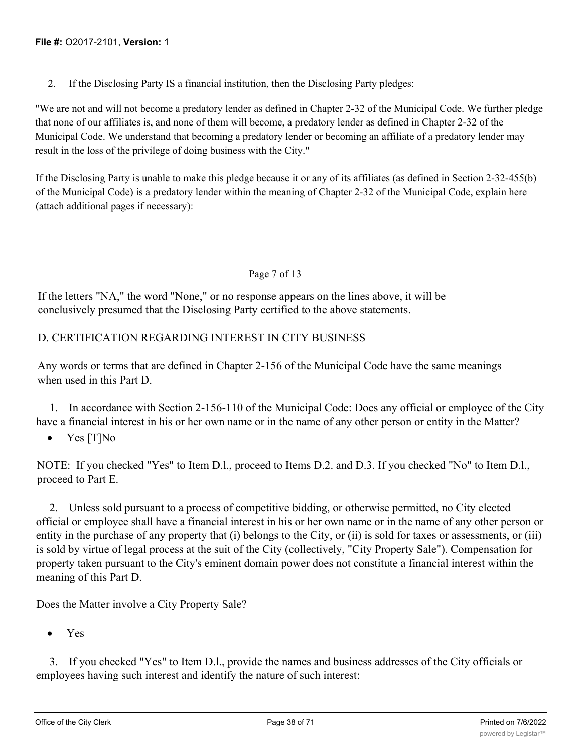2. If the Disclosing Party IS a financial institution, then the Disclosing Party pledges:

"We are not and will not become a predatory lender as defined in Chapter 2-32 of the Municipal Code. We further pledge that none of our affiliates is, and none of them will become, a predatory lender as defined in Chapter 2-32 of the Municipal Code. We understand that becoming a predatory lender or becoming an affiliate of a predatory lender may result in the loss of the privilege of doing business with the City."

If the Disclosing Party is unable to make this pledge because it or any of its affiliates (as defined in Section 2-32-455(b) of the Municipal Code) is a predatory lender within the meaning of Chapter 2-32 of the Municipal Code, explain here (attach additional pages if necessary):

## Page 7 of 13

If the letters "NA," the word "None," or no response appears on the lines above, it will be conclusively presumed that the Disclosing Party certified to the above statements.

# D. CERTIFICATION REGARDING INTEREST IN CITY BUSINESS

Any words or terms that are defined in Chapter 2-156 of the Municipal Code have the same meanings when used in this Part D.

1. In accordance with Section 2-156-110 of the Municipal Code: Does any official or employee of the City have a financial interest in his or her own name or in the name of any other person or entity in the Matter?

• Yes [T]No

NOTE: If you checked "Yes" to Item D.l., proceed to Items D.2. and D.3. If you checked "No" to Item D.l., proceed to Part E.

2. Unless sold pursuant to a process of competitive bidding, or otherwise permitted, no City elected official or employee shall have a financial interest in his or her own name or in the name of any other person or entity in the purchase of any property that (i) belongs to the City, or (ii) is sold for taxes or assessments, or (iii) is sold by virtue of legal process at the suit of the City (collectively, "City Property Sale"). Compensation for property taken pursuant to the City's eminent domain power does not constitute a financial interest within the meaning of this Part D.

Does the Matter involve a City Property Sale?

· Yes

3. If you checked "Yes" to Item D.l., provide the names and business addresses of the City officials or employees having such interest and identify the nature of such interest: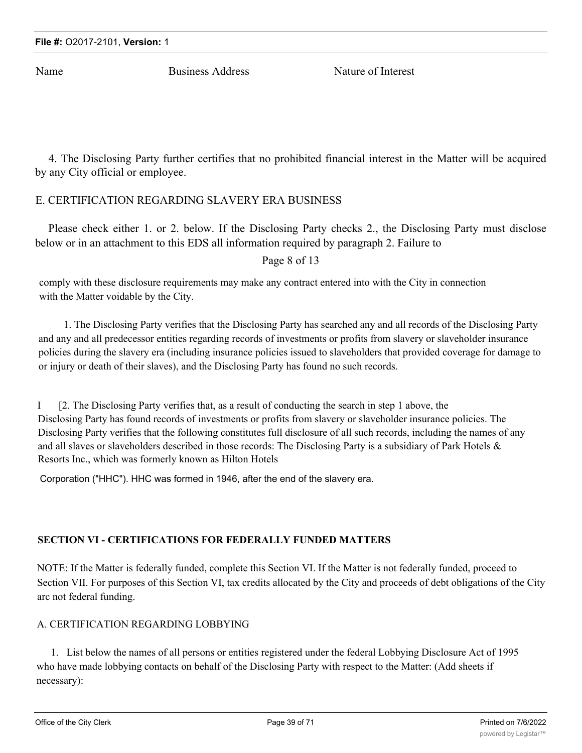Name Business Address Nature of Interest

4. The Disclosing Party further certifies that no prohibited financial interest in the Matter will be acquired by any City official or employee.

# E. CERTIFICATION REGARDING SLAVERY ERA BUSINESS

Please check either 1. or 2. below. If the Disclosing Party checks 2., the Disclosing Party must disclose below or in an attachment to this EDS all information required by paragraph 2. Failure to

Page 8 of 13

comply with these disclosure requirements may make any contract entered into with the City in connection with the Matter voidable by the City.

1. The Disclosing Party verifies that the Disclosing Party has searched any and all records of the Disclosing Party and any and all predecessor entities regarding records of investments or profits from slavery or slaveholder insurance policies during the slavery era (including insurance policies issued to slaveholders that provided coverage for damage to or injury or death of their slaves), and the Disclosing Party has found no such records.

I [2. The Disclosing Party verifies that, as a result of conducting the search in step 1 above, the Disclosing Party has found records of investments or profits from slavery or slaveholder insurance policies. The Disclosing Party verifies that the following constitutes full disclosure of all such records, including the names of any and all slaves or slaveholders described in those records: The Disclosing Party is a subsidiary of Park Hotels & Resorts Inc., which was formerly known as Hilton Hotels

Corporation ("HHC"). HHC was formed in 1946, after the end of the slavery era.

# **SECTION VI - CERTIFICATIONS FOR FEDERALLY FUNDED MATTERS**

NOTE: If the Matter is federally funded, complete this Section VI. If the Matter is not federally funded, proceed to Section VII. For purposes of this Section VI, tax credits allocated by the City and proceeds of debt obligations of the City arc not federal funding.

# A. CERTIFICATION REGARDING LOBBYING

1. List below the names of all persons or entities registered under the federal Lobbying Disclosure Act of 1995 who have made lobbying contacts on behalf of the Disclosing Party with respect to the Matter: (Add sheets if necessary):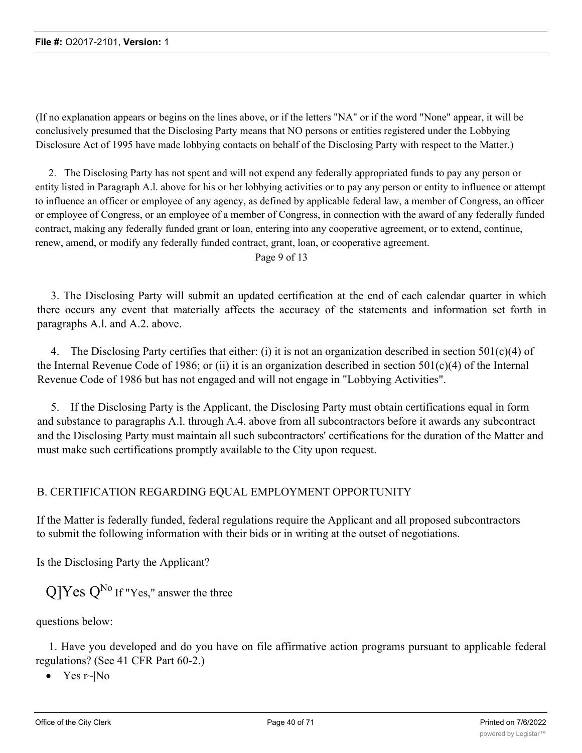(If no explanation appears or begins on the lines above, or if the letters "NA" or if the word "None" appear, it will be conclusively presumed that the Disclosing Party means that NO persons or entities registered under the Lobbying Disclosure Act of 1995 have made lobbying contacts on behalf of the Disclosing Party with respect to the Matter.)

2. The Disclosing Party has not spent and will not expend any federally appropriated funds to pay any person or entity listed in Paragraph A.l. above for his or her lobbying activities or to pay any person or entity to influence or attempt to influence an officer or employee of any agency, as defined by applicable federal law, a member of Congress, an officer or employee of Congress, or an employee of a member of Congress, in connection with the award of any federally funded contract, making any federally funded grant or loan, entering into any cooperative agreement, or to extend, continue, renew, amend, or modify any federally funded contract, grant, loan, or cooperative agreement.

Page 9 of 13

3. The Disclosing Party will submit an updated certification at the end of each calendar quarter in which there occurs any event that materially affects the accuracy of the statements and information set forth in paragraphs A.l. and A.2. above.

4. The Disclosing Party certifies that either: (i) it is not an organization described in section  $501(c)(4)$  of the Internal Revenue Code of 1986; or (ii) it is an organization described in section  $501(c)(4)$  of the Internal Revenue Code of 1986 but has not engaged and will not engage in "Lobbying Activities".

5. If the Disclosing Party is the Applicant, the Disclosing Party must obtain certifications equal in form and substance to paragraphs A.l. through A.4. above from all subcontractors before it awards any subcontract and the Disclosing Party must maintain all such subcontractors' certifications for the duration of the Matter and must make such certifications promptly available to the City upon request.

# B. CERTIFICATION REGARDING EQUAL EMPLOYMENT OPPORTUNITY

If the Matter is federally funded, federal regulations require the Applicant and all proposed subcontractors to submit the following information with their bids or in writing at the outset of negotiations.

Is the Disclosing Party the Applicant?

 $Q$ <sup>No</sup> If "Yes," answer the three

# questions below:

1. Have you developed and do you have on file affirmative action programs pursuant to applicable federal regulations? (See 41 CFR Part 60-2.)

• Yes  $r\sim|No|$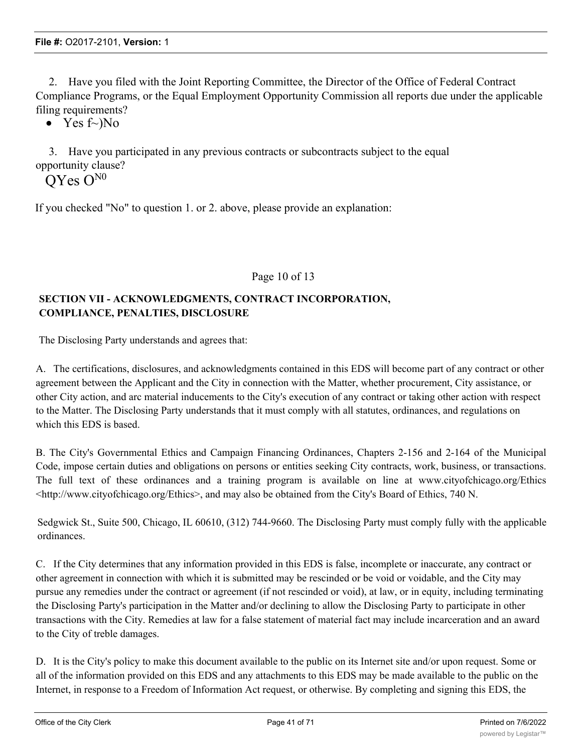2. Have you filed with the Joint Reporting Committee, the Director of the Office of Federal Contract Compliance Programs, or the Equal Employment Opportunity Commission all reports due under the applicable filing requirements?

• Yes  $f\sim No$ 

3. Have you participated in any previous contracts or subcontracts subject to the equal opportunity clause?

 $OYes O<sup>NO</sup>$ 

If you checked "No" to question 1. or 2. above, please provide an explanation:

# Page 10 of 13

# **SECTION VII - ACKNOWLEDGMENTS, CONTRACT INCORPORATION, COMPLIANCE, PENALTIES, DISCLOSURE**

The Disclosing Party understands and agrees that:

A. The certifications, disclosures, and acknowledgments contained in this EDS will become part of any contract or other agreement between the Applicant and the City in connection with the Matter, whether procurement, City assistance, or other City action, and arc material inducements to the City's execution of any contract or taking other action with respect to the Matter. The Disclosing Party understands that it must comply with all statutes, ordinances, and regulations on which this EDS is based.

B. The City's Governmental Ethics and Campaign Financing Ordinances, Chapters 2-156 and 2-164 of the Municipal Code, impose certain duties and obligations on persons or entities seeking City contracts, work, business, or transactions. The full text of these ordinances and a training program is available on line at www.cityofchicago.org/Ethics <http://www.cityofchicago.org/Ethics>, and may also be obtained from the City's Board of Ethics, 740 N.

Sedgwick St., Suite 500, Chicago, IL 60610, (312) 744-9660. The Disclosing Party must comply fully with the applicable ordinances.

C. If the City determines that any information provided in this EDS is false, incomplete or inaccurate, any contract or other agreement in connection with which it is submitted may be rescinded or be void or voidable, and the City may pursue any remedies under the contract or agreement (if not rescinded or void), at law, or in equity, including terminating the Disclosing Party's participation in the Matter and/or declining to allow the Disclosing Party to participate in other transactions with the City. Remedies at law for a false statement of material fact may include incarceration and an award to the City of treble damages.

D. It is the City's policy to make this document available to the public on its Internet site and/or upon request. Some or all of the information provided on this EDS and any attachments to this EDS may be made available to the public on the Internet, in response to a Freedom of Information Act request, or otherwise. By completing and signing this EDS, the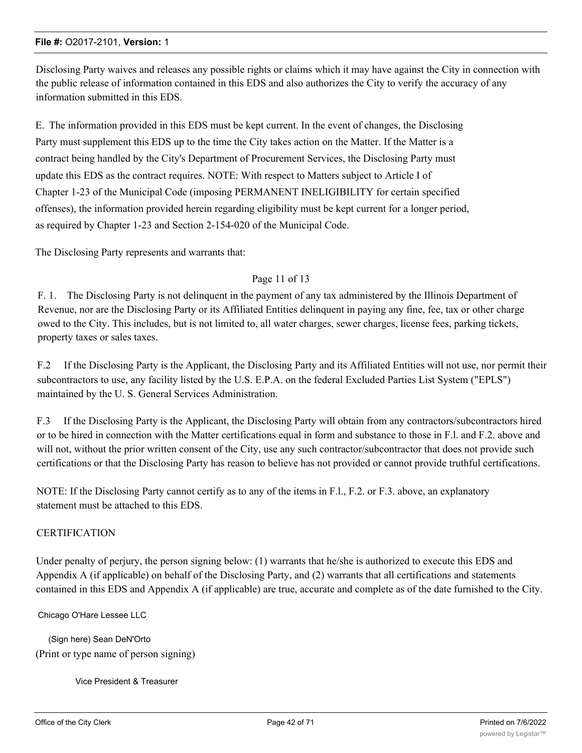Disclosing Party waives and releases any possible rights or claims which it may have against the City in connection with the public release of information contained in this EDS and also authorizes the City to verify the accuracy of any information submitted in this EDS.

E. The information provided in this EDS must be kept current. In the event of changes, the Disclosing Party must supplement this EDS up to the time the City takes action on the Matter. If the Matter is a contract being handled by the City's Department of Procurement Services, the Disclosing Party must update this EDS as the contract requires. NOTE: With respect to Matters subject to Article I of Chapter 1-23 of the Municipal Code (imposing PERMANENT INELIGIBILITY for certain specified offenses), the information provided herein regarding eligibility must be kept current for a longer period, as required by Chapter 1-23 and Section 2-154-020 of the Municipal Code.

The Disclosing Party represents and warrants that:

#### Page 11 of 13

F. 1. The Disclosing Party is not delinquent in the payment of any tax administered by the Illinois Department of Revenue, nor are the Disclosing Party or its Affiliated Entities delinquent in paying any fine, fee, tax or other charge owed to the City. This includes, but is not limited to, all water charges, sewer charges, license fees, parking tickets, property taxes or sales taxes.

F.2 If the Disclosing Party is the Applicant, the Disclosing Party and its Affiliated Entities will not use, nor permit their subcontractors to use, any facility listed by the U.S. E.P.A. on the federal Excluded Parties List System ("EPLS") maintained by the U. S. General Services Administration.

F.3 If the Disclosing Party is the Applicant, the Disclosing Party will obtain from any contractors/subcontractors hired or to be hired in connection with the Matter certifications equal in form and substance to those in F.l. and F.2. above and will not, without the prior written consent of the City, use any such contractor/subcontractor that does not provide such certifications or that the Disclosing Party has reason to believe has not provided or cannot provide truthful certifications.

NOTE: If the Disclosing Party cannot certify as to any of the items in F.l., F.2. or F.3. above, an explanatory statement must be attached to this EDS.

#### **CERTIFICATION**

Under penalty of perjury, the person signing below: (1) warrants that he/she is authorized to execute this EDS and Appendix A (if applicable) on behalf of the Disclosing Party, and (2) warrants that all certifications and statements contained in this EDS and Appendix A (if applicable) are true, accurate and complete as of the date furnished to the City.

Chicago O'Hare Lessee LLC

(Sign here) Sean DeN'Orto (Print or type name of person signing)

Vice President & Treasurer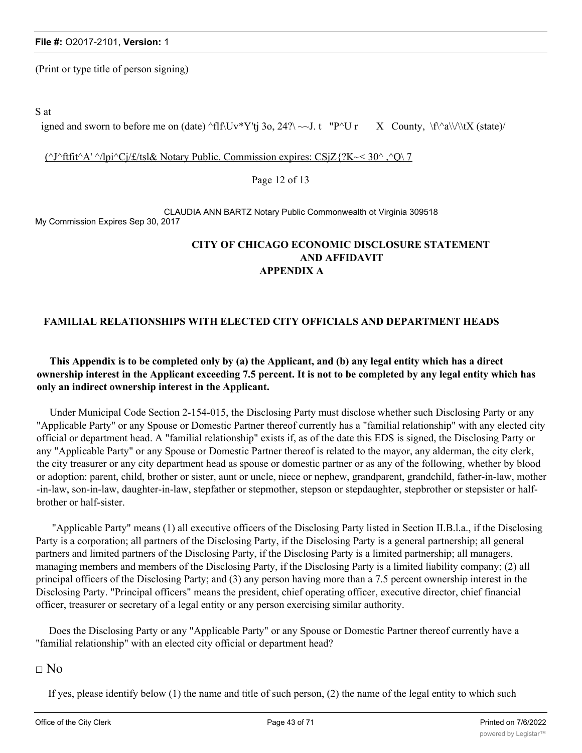(Print or type title of person signing)

S at

igned and sworn to before me on (date) ^flf\Uv\*Y'tj 3o, 24?\ ~~J. t "P^U r X County, \f\^a\\/\\tX (state)/

 $(\sqrt{J\hat{r}tftt\hat{A}}')$   $\gamma$ /lpi^Cj/£/tsl& Notary Public. Commission expires: CSjZ{?K~< 30^ , ^Q\ 7

Page 12 of 13

CLAUDIA ANN BARTZ Notary Public Commonwealth ot Virginia 309518 My Commission Expires Sep 30, 2017

# **CITY OF CHICAGO ECONOMIC DISCLOSURE STATEMENT AND AFFIDAVIT APPENDIX A**

# **FAMILIAL RELATIONSHIPS WITH ELECTED CITY OFFICIALS AND DEPARTMENT HEADS**

# **This Appendix is to be completed only by (a) the Applicant, and (b) any legal entity which has a direct ownership interest in the Applicant exceeding 7.5 percent. It is not to be completed by any legal entity which has only an indirect ownership interest in the Applicant.**

Under Municipal Code Section 2-154-015, the Disclosing Party must disclose whether such Disclosing Party or any "Applicable Party" or any Spouse or Domestic Partner thereof currently has a "familial relationship" with any elected city official or department head. A "familial relationship" exists if, as of the date this EDS is signed, the Disclosing Party or any "Applicable Party" or any Spouse or Domestic Partner thereof is related to the mayor, any alderman, the city clerk, the city treasurer or any city department head as spouse or domestic partner or as any of the following, whether by blood or adoption: parent, child, brother or sister, aunt or uncle, niece or nephew, grandparent, grandchild, father-in-law, mother -in-law, son-in-law, daughter-in-law, stepfather or stepmother, stepson or stepdaughter, stepbrother or stepsister or halfbrother or half-sister.

"Applicable Party" means (1) all executive officers of the Disclosing Party listed in Section II.B.l.a., if the Disclosing Party is a corporation; all partners of the Disclosing Party, if the Disclosing Party is a general partnership; all general partners and limited partners of the Disclosing Party, if the Disclosing Party is a limited partnership; all managers, managing members and members of the Disclosing Party, if the Disclosing Party is a limited liability company; (2) all principal officers of the Disclosing Party; and (3) any person having more than a 7.5 percent ownership interest in the Disclosing Party. "Principal officers" means the president, chief operating officer, executive director, chief financial officer, treasurer or secretary of a legal entity or any person exercising similar authority.

Does the Disclosing Party or any "Applicable Party" or any Spouse or Domestic Partner thereof currently have a "familial relationship" with an elected city official or department head?

# □ No

If yes, please identify below (1) the name and title of such person, (2) the name of the legal entity to which such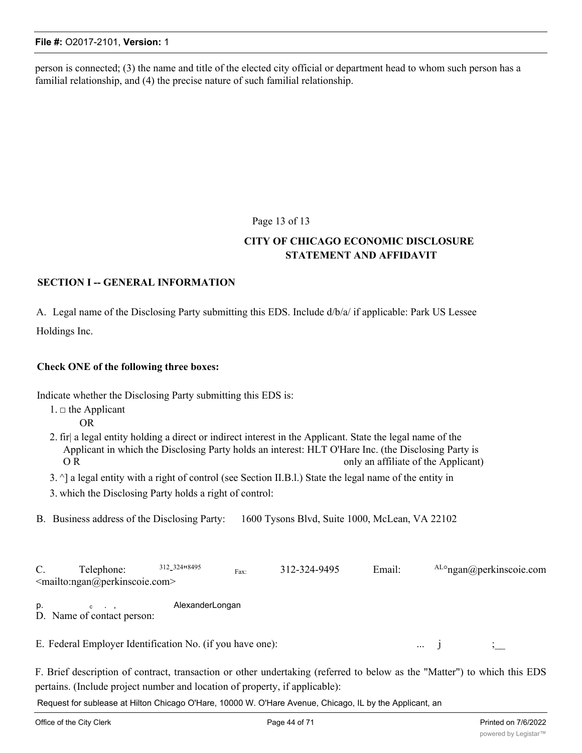person is connected; (3) the name and title of the elected city official or department head to whom such person has a familial relationship, and (4) the precise nature of such familial relationship.

## Page 13 of 13

# **CITY OF CHICAGO ECONOMIC DISCLOSURE STATEMENT AND AFFIDAVIT**

## **SECTION I -- GENERAL INFORMATION**

A. Legal name of the Disclosing Party submitting this EDS. Include d/b/a/ if applicable: Park US Lessee Holdings Inc.

#### **Check ONE of the following three boxes:**

Indicate whether the Disclosing Party submitting this EDS is:

- $1. \Box$  the Applicant
	- OR
- 2. fir| a legal entity holding a direct or indirect interest in the Applicant. State the legal name of the Applicant in which the Disclosing Party holds an interest: HLT O'Hare Inc. (the Disclosing Party is O R only an affiliate of the Applicant
- 3. ^] a legal entity with a right of control (see Section II.B.l.) State the legal name of the entity in
- 3. which the Disclosing Party holds a right of control:
- B. Business address of the Disclosing Party: 1600 Tysons Blvd, Suite 1000, McLean, VA 22102

| $\sim$ | Telephone:                          | 312 324 $\sqrt{8495}$ | $F_{\rm ax:}$ | 312-324-9495 | Email: | $\rm {}^{ALo}$ ngan@perkinscoie.com |
|--------|-------------------------------------|-----------------------|---------------|--------------|--------|-------------------------------------|
|        | $\leq$ mailto:ngan@perkinscoie.com> |                       |               |              |        |                                     |

p. e ., AlexanderLongan D. Name of contact person:

E. Federal Employer Identification No. (if you have one): ... i ... j ... j

F. Brief description of contract, transaction or other undertaking (referred to below as the "Matter") to which this EDS pertains. (Include project number and location of property, if applicable):

Request for sublease at Hilton Chicago O'Hare, 10000 W. O'Hare Avenue, Chicago, IL by the Applicant, an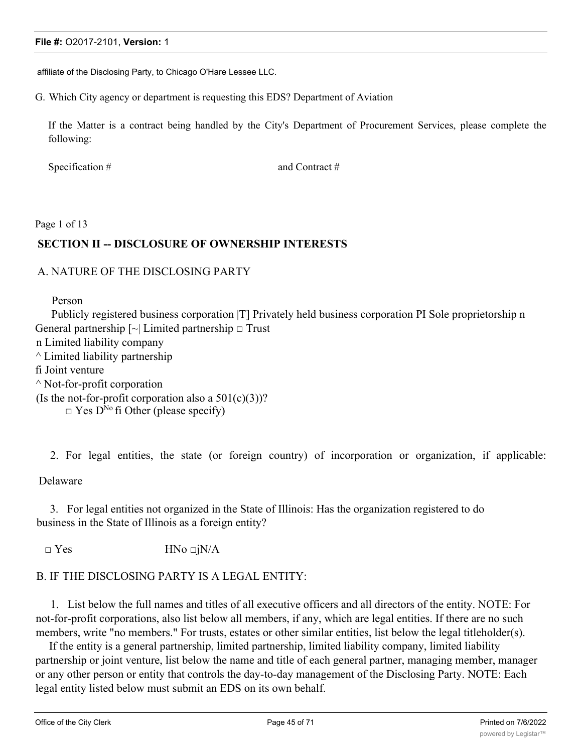affiliate of the Disclosing Party, to Chicago O'Hare Lessee LLC.

G. Which City agency or department is requesting this EDS? Department of Aviation

If the Matter is a contract being handled by the City's Department of Procurement Services, please complete the following:

Specification # and Contract #

Page 1 of 13

# **SECTION II -- DISCLOSURE OF OWNERSHIP INTERESTS**

## A. NATURE OF THE DISCLOSING PARTY

Person

Publicly registered business corporation |T] Privately held business corporation PI Sole proprietorship n General partnership  $\lceil \sim \rceil$  Limited partnership  $\lceil \sim \rceil$  Trust n Limited liability company  $\wedge$  Limited liability partnership fi Joint venture ^ Not-for-profit corporation (Is the not-for-profit corporation also a  $501(c)(3)$ )?  $\square$  Yes D<sup>No</sup> fi Other (please specify)

2. For legal entities, the state (or foreign country) of incorporation or organization, if applicable:

Delaware

3. For legal entities not organized in the State of Illinois: Has the organization registered to do business in the State of Illinois as a foreign entity?

 $\Box$  Yes  $HNo \Box jN/A$ 

# B. IF THE DISCLOSING PARTY IS A LEGAL ENTITY:

1. List below the full names and titles of all executive officers and all directors of the entity. NOTE: For not-for-profit corporations, also list below all members, if any, which are legal entities. If there are no such members, write "no members." For trusts, estates or other similar entities, list below the legal titleholder(s).

If the entity is a general partnership, limited partnership, limited liability company, limited liability partnership or joint venture, list below the name and title of each general partner, managing member, manager or any other person or entity that controls the day-to-day management of the Disclosing Party. NOTE: Each legal entity listed below must submit an EDS on its own behalf.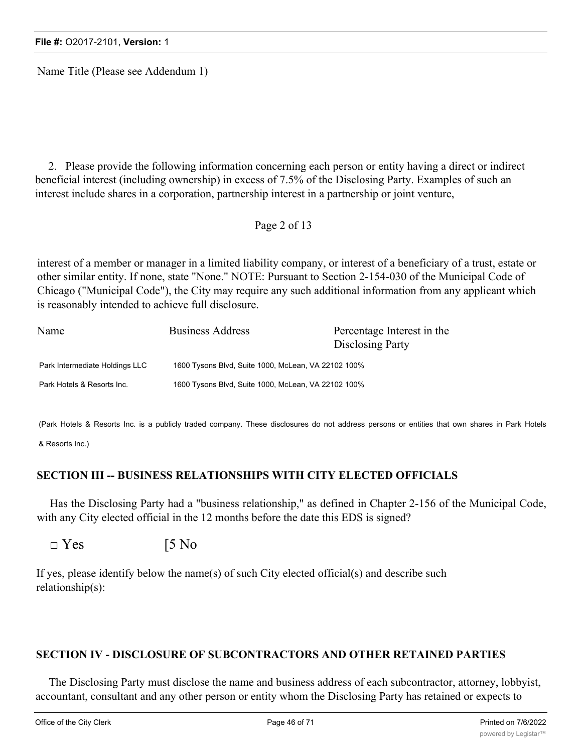Name Title (Please see Addendum 1)

2. Please provide the following information concerning each person or entity having a direct or indirect beneficial interest (including ownership) in excess of 7.5% of the Disclosing Party. Examples of such an interest include shares in a corporation, partnership interest in a partnership or joint venture,

# Page 2 of 13

interest of a member or manager in a limited liability company, or interest of a beneficiary of a trust, estate or other similar entity. If none, state "None." NOTE: Pursuant to Section 2-154-030 of the Municipal Code of Chicago ("Municipal Code"), the City may require any such additional information from any applicant which is reasonably intended to achieve full disclosure.

| Name                           | <b>Business Address</b>                             | Percentage Interest in the<br>Disclosing Party |  |
|--------------------------------|-----------------------------------------------------|------------------------------------------------|--|
| Park Intermediate Holdings LLC | 1600 Tysons Blvd, Suite 1000, McLean, VA 22102 100% |                                                |  |
| Park Hotels & Resorts Inc.     | 1600 Tysons Blvd, Suite 1000, McLean, VA 22102 100% |                                                |  |

(Park Hotels & Resorts Inc. is a publicly traded company. These disclosures do not address persons or entities that own shares in Park Hotels

& Resorts Inc.)

# **SECTION III -- BUSINESS RELATIONSHIPS WITH CITY ELECTED OFFICIALS**

Has the Disclosing Party had a "business relationship," as defined in Chapter 2-156 of the Municipal Code, with any City elected official in the 12 months before the date this EDS is signed?

 $\square$  Yes [5 No

If yes, please identify below the name(s) of such City elected official(s) and describe such relationship(s):

# **SECTION IV - DISCLOSURE OF SUBCONTRACTORS AND OTHER RETAINED PARTIES**

The Disclosing Party must disclose the name and business address of each subcontractor, attorney, lobbyist, accountant, consultant and any other person or entity whom the Disclosing Party has retained or expects to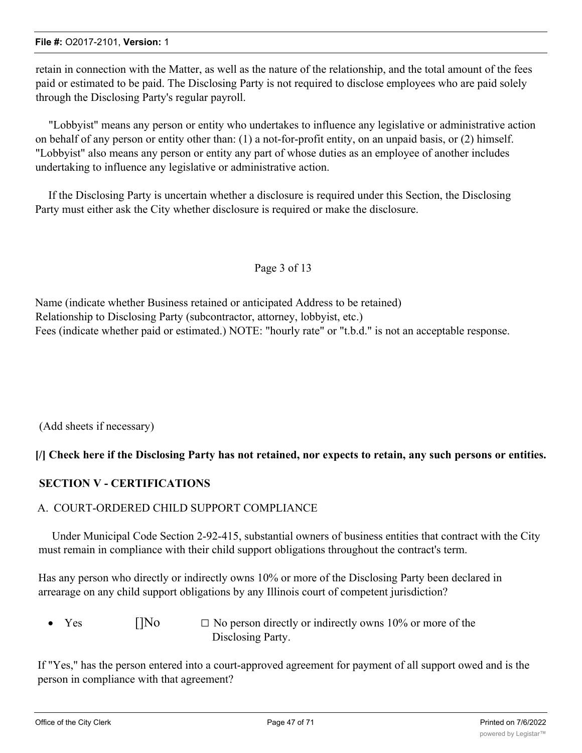retain in connection with the Matter, as well as the nature of the relationship, and the total amount of the fees paid or estimated to be paid. The Disclosing Party is not required to disclose employees who are paid solely through the Disclosing Party's regular payroll.

"Lobbyist" means any person or entity who undertakes to influence any legislative or administrative action on behalf of any person or entity other than: (1) a not-for-profit entity, on an unpaid basis, or (2) himself. "Lobbyist" also means any person or entity any part of whose duties as an employee of another includes undertaking to influence any legislative or administrative action.

If the Disclosing Party is uncertain whether a disclosure is required under this Section, the Disclosing Party must either ask the City whether disclosure is required or make the disclosure.

# Page 3 of 13

Name (indicate whether Business retained or anticipated Address to be retained) Relationship to Disclosing Party (subcontractor, attorney, lobbyist, etc.) Fees (indicate whether paid or estimated.) NOTE: "hourly rate" or "t.b.d." is not an acceptable response.

(Add sheets if necessary)

# [/] Check here if the Disclosing Party has not retained, nor expects to retain, any such persons or entities.

# **SECTION V - CERTIFICATIONS**

# A. COURT-ORDERED CHILD SUPPORT COMPLIANCE

Under Municipal Code Section 2-92-415, substantial owners of business entities that contract with the City must remain in compliance with their child support obligations throughout the contract's term.

Has any person who directly or indirectly owns 10% or more of the Disclosing Party been declared in arrearage on any child support obligations by any Illinois court of competent jurisdiction?

 $Yes$  []No  $\Box$  No person directly or indirectly owns 10% or more of the Disclosing Party.

If "Yes," has the person entered into a court-approved agreement for payment of all support owed and is the person in compliance with that agreement?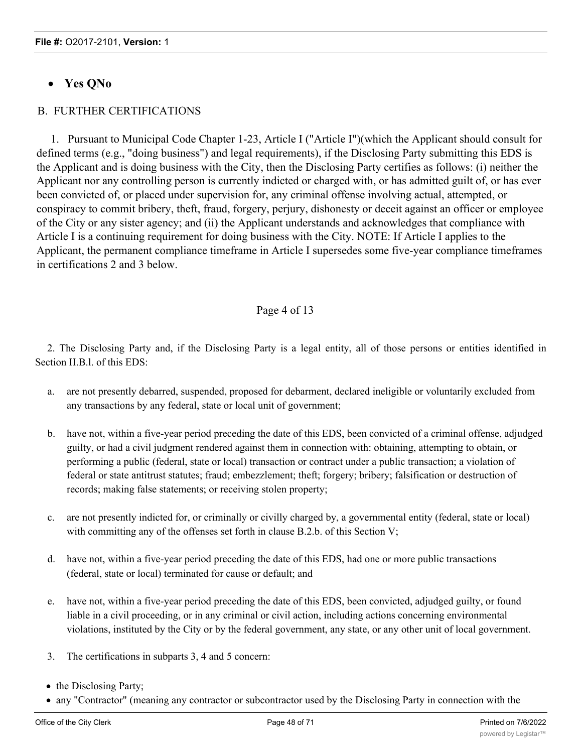# · **Yes QNo**

# B. FURTHER CERTIFICATIONS

1. Pursuant to Municipal Code Chapter 1-23, Article I ("Article I")(which the Applicant should consult for defined terms (e.g., "doing business") and legal requirements), if the Disclosing Party submitting this EDS is the Applicant and is doing business with the City, then the Disclosing Party certifies as follows: (i) neither the Applicant nor any controlling person is currently indicted or charged with, or has admitted guilt of, or has ever been convicted of, or placed under supervision for, any criminal offense involving actual, attempted, or conspiracy to commit bribery, theft, fraud, forgery, perjury, dishonesty or deceit against an officer or employee of the City or any sister agency; and (ii) the Applicant understands and acknowledges that compliance with Article I is a continuing requirement for doing business with the City. NOTE: If Article I applies to the Applicant, the permanent compliance timeframe in Article I supersedes some five-year compliance timeframes in certifications 2 and 3 below.

# Page 4 of 13

2. The Disclosing Party and, if the Disclosing Party is a legal entity, all of those persons or entities identified in Section II.B.l. of this EDS:

- a. are not presently debarred, suspended, proposed for debarment, declared ineligible or voluntarily excluded from any transactions by any federal, state or local unit of government;
- b. have not, within a five-year period preceding the date of this EDS, been convicted of a criminal offense, adjudged guilty, or had a civil judgment rendered against them in connection with: obtaining, attempting to obtain, or performing a public (federal, state or local) transaction or contract under a public transaction; a violation of federal or state antitrust statutes; fraud; embezzlement; theft; forgery; bribery; falsification or destruction of records; making false statements; or receiving stolen property;
- c. are not presently indicted for, or criminally or civilly charged by, a governmental entity (federal, state or local) with committing any of the offenses set forth in clause B.2.b. of this Section V;
- d. have not, within a five-year period preceding the date of this EDS, had one or more public transactions (federal, state or local) terminated for cause or default; and
- e. have not, within a five-year period preceding the date of this EDS, been convicted, adjudged guilty, or found liable in a civil proceeding, or in any criminal or civil action, including actions concerning environmental violations, instituted by the City or by the federal government, any state, or any other unit of local government.
- 3. The certifications in subparts 3, 4 and 5 concern:
- the Disclosing Party;
- · any "Contractor" (meaning any contractor or subcontractor used by the Disclosing Party in connection with the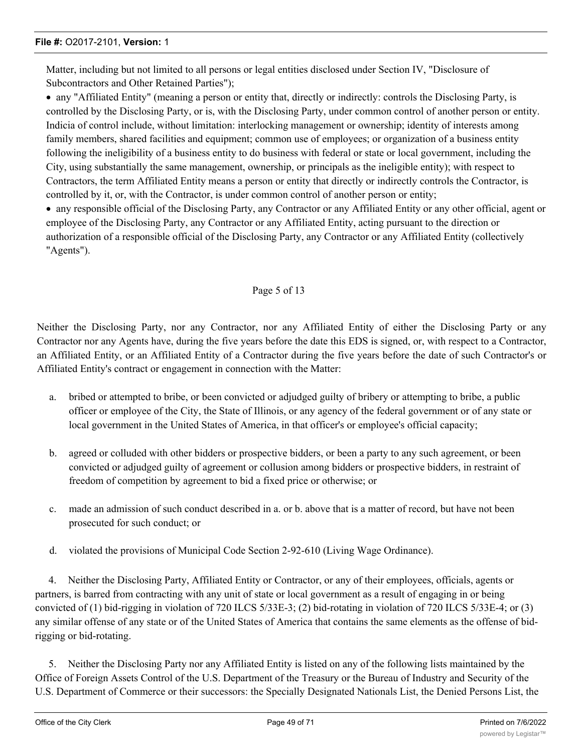Matter, including but not limited to all persons or legal entities disclosed under Section IV, "Disclosure of Subcontractors and Other Retained Parties");

· any "Affiliated Entity" (meaning a person or entity that, directly or indirectly: controls the Disclosing Party, is controlled by the Disclosing Party, or is, with the Disclosing Party, under common control of another person or entity. Indicia of control include, without limitation: interlocking management or ownership; identity of interests among family members, shared facilities and equipment; common use of employees; or organization of a business entity following the ineligibility of a business entity to do business with federal or state or local government, including the City, using substantially the same management, ownership, or principals as the ineligible entity); with respect to Contractors, the term Affiliated Entity means a person or entity that directly or indirectly controls the Contractor, is controlled by it, or, with the Contractor, is under common control of another person or entity;

· any responsible official of the Disclosing Party, any Contractor or any Affiliated Entity or any other official, agent or employee of the Disclosing Party, any Contractor or any Affiliated Entity, acting pursuant to the direction or authorization of a responsible official of the Disclosing Party, any Contractor or any Affiliated Entity (collectively "Agents").

## Page 5 of 13

Neither the Disclosing Party, nor any Contractor, nor any Affiliated Entity of either the Disclosing Party or any Contractor nor any Agents have, during the five years before the date this EDS is signed, or, with respect to a Contractor, an Affiliated Entity, or an Affiliated Entity of a Contractor during the five years before the date of such Contractor's or Affiliated Entity's contract or engagement in connection with the Matter:

- a. bribed or attempted to bribe, or been convicted or adjudged guilty of bribery or attempting to bribe, a public officer or employee of the City, the State of Illinois, or any agency of the federal government or of any state or local government in the United States of America, in that officer's or employee's official capacity;
- b. agreed or colluded with other bidders or prospective bidders, or been a party to any such agreement, or been convicted or adjudged guilty of agreement or collusion among bidders or prospective bidders, in restraint of freedom of competition by agreement to bid a fixed price or otherwise; or
- c. made an admission of such conduct described in a. or b. above that is a matter of record, but have not been prosecuted for such conduct; or
- d. violated the provisions of Municipal Code Section 2-92-610 (Living Wage Ordinance).

4. Neither the Disclosing Party, Affiliated Entity or Contractor, or any of their employees, officials, agents or partners, is barred from contracting with any unit of state or local government as a result of engaging in or being convicted of (1) bid-rigging in violation of 720 ILCS 5/33E-3; (2) bid-rotating in violation of 720 ILCS 5/33E-4; or (3) any similar offense of any state or of the United States of America that contains the same elements as the offense of bidrigging or bid-rotating.

5. Neither the Disclosing Party nor any Affiliated Entity is listed on any of the following lists maintained by the Office of Foreign Assets Control of the U.S. Department of the Treasury or the Bureau of Industry and Security of the U.S. Department of Commerce or their successors: the Specially Designated Nationals List, the Denied Persons List, the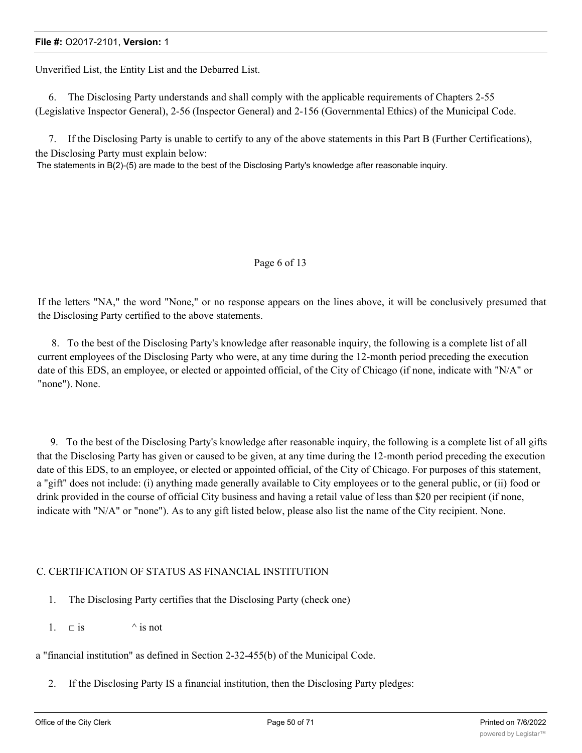Unverified List, the Entity List and the Debarred List.

6. The Disclosing Party understands and shall comply with the applicable requirements of Chapters 2-55 (Legislative Inspector General), 2-56 (Inspector General) and 2-156 (Governmental Ethics) of the Municipal Code.

7. If the Disclosing Party is unable to certify to any of the above statements in this Part B (Further Certifications), the Disclosing Party must explain below:

The statements in B(2)-(5) are made to the best of the Disclosing Party's knowledge after reasonable inquiry.

#### Page 6 of 13

If the letters "NA," the word "None," or no response appears on the lines above, it will be conclusively presumed that the Disclosing Party certified to the above statements.

8. To the best of the Disclosing Party's knowledge after reasonable inquiry, the following is a complete list of all current employees of the Disclosing Party who were, at any time during the 12-month period preceding the execution date of this EDS, an employee, or elected or appointed official, of the City of Chicago (if none, indicate with "N/A" or "none"). None.

9. To the best of the Disclosing Party's knowledge after reasonable inquiry, the following is a complete list of all gifts that the Disclosing Party has given or caused to be given, at any time during the 12-month period preceding the execution date of this EDS, to an employee, or elected or appointed official, of the City of Chicago. For purposes of this statement, a "gift" does not include: (i) anything made generally available to City employees or to the general public, or (ii) food or drink provided in the course of official City business and having a retail value of less than \$20 per recipient (if none, indicate with "N/A" or "none"). As to any gift listed below, please also list the name of the City recipient. None.

# C. CERTIFICATION OF STATUS AS FINANCIAL INSTITUTION

- 1. The Disclosing Party certifies that the Disclosing Party (check one)
- 1.  $\Box$  is  $\qquad \qquad$  is not

a "financial institution" as defined in Section 2-32-455(b) of the Municipal Code.

2. If the Disclosing Party IS a financial institution, then the Disclosing Party pledges: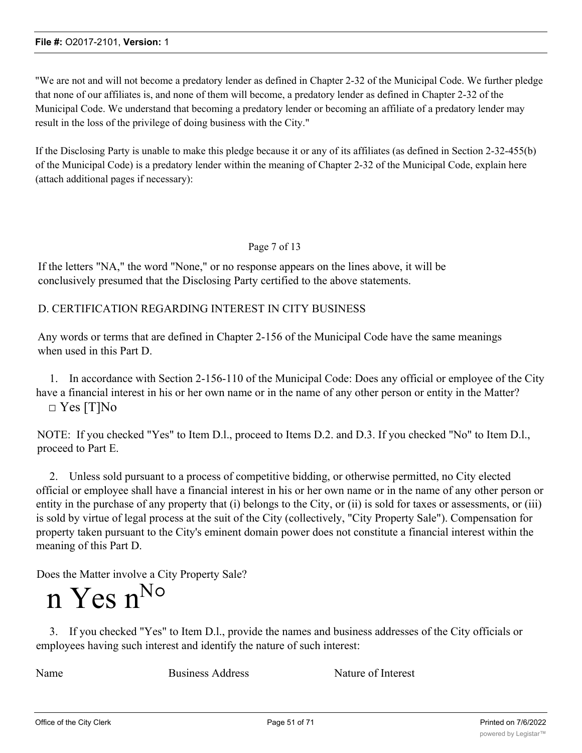"We are not and will not become a predatory lender as defined in Chapter 2-32 of the Municipal Code. We further pledge that none of our affiliates is, and none of them will become, a predatory lender as defined in Chapter 2-32 of the Municipal Code. We understand that becoming a predatory lender or becoming an affiliate of a predatory lender may result in the loss of the privilege of doing business with the City."

If the Disclosing Party is unable to make this pledge because it or any of its affiliates (as defined in Section 2-32-455(b) of the Municipal Code) is a predatory lender within the meaning of Chapter 2-32 of the Municipal Code, explain here (attach additional pages if necessary):

#### Page 7 of 13

If the letters "NA," the word "None," or no response appears on the lines above, it will be conclusively presumed that the Disclosing Party certified to the above statements.

# D. CERTIFICATION REGARDING INTEREST IN CITY BUSINESS

Any words or terms that are defined in Chapter 2-156 of the Municipal Code have the same meanings when used in this Part D.

1. In accordance with Section 2-156-110 of the Municipal Code: Does any official or employee of the City have a financial interest in his or her own name or in the name of any other person or entity in the Matter? □ Yes [T]No

NOTE: If you checked "Yes" to Item D.l., proceed to Items D.2. and D.3. If you checked "No" to Item D.l., proceed to Part E.

2. Unless sold pursuant to a process of competitive bidding, or otherwise permitted, no City elected official or employee shall have a financial interest in his or her own name or in the name of any other person or entity in the purchase of any property that (i) belongs to the City, or (ii) is sold for taxes or assessments, or (iii) is sold by virtue of legal process at the suit of the City (collectively, "City Property Sale"). Compensation for property taken pursuant to the City's eminent domain power does not constitute a financial interest within the meaning of this Part D.

Does the Matter involve a City Property Sale?

# n Yes n<sup>No</sup>

3. If you checked "Yes" to Item D.l., provide the names and business addresses of the City officials or employees having such interest and identify the nature of such interest:

Name Business Address Nature of Interest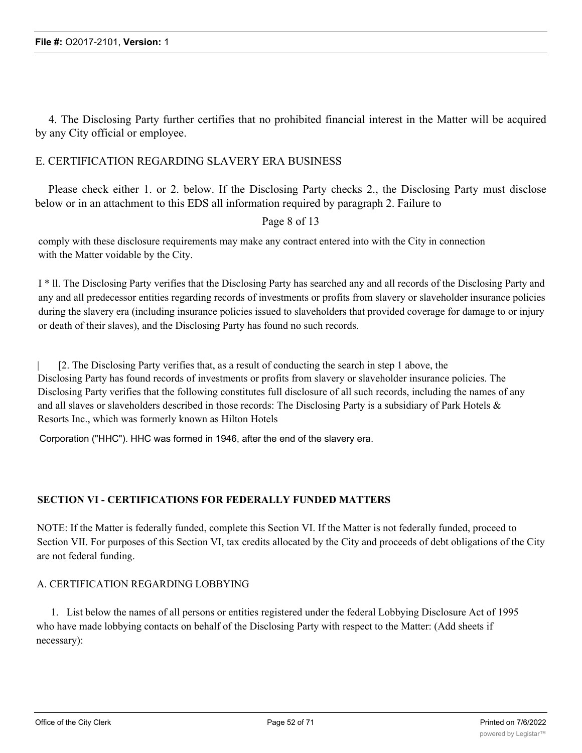4. The Disclosing Party further certifies that no prohibited financial interest in the Matter will be acquired by any City official or employee.

# E. CERTIFICATION REGARDING SLAVERY ERA BUSINESS

Please check either 1. or 2. below. If the Disclosing Party checks 2., the Disclosing Party must disclose below or in an attachment to this EDS all information required by paragraph 2. Failure to

#### Page 8 of 13

comply with these disclosure requirements may make any contract entered into with the City in connection with the Matter voidable by the City.

I \* ll. The Disclosing Party verifies that the Disclosing Party has searched any and all records of the Disclosing Party and any and all predecessor entities regarding records of investments or profits from slavery or slaveholder insurance policies during the slavery era (including insurance policies issued to slaveholders that provided coverage for damage to or injury or death of their slaves), and the Disclosing Party has found no such records.

| [2. The Disclosing Party verifies that, as a result of conducting the search in step 1 above, the Disclosing Party has found records of investments or profits from slavery or slaveholder insurance policies. The Disclosing Party verifies that the following constitutes full disclosure of all such records, including the names of any and all slaves or slaveholders described in those records: The Disclosing Party is a subsidiary of Park Hotels & Resorts Inc., which was formerly known as Hilton Hotels

Corporation ("HHC"). HHC was formed in 1946, after the end of the slavery era.

# **SECTION VI - CERTIFICATIONS FOR FEDERALLY FUNDED MATTERS**

NOTE: If the Matter is federally funded, complete this Section VI. If the Matter is not federally funded, proceed to Section VII. For purposes of this Section VI, tax credits allocated by the City and proceeds of debt obligations of the City are not federal funding.

#### A. CERTIFICATION REGARDING LOBBYING

1. List below the names of all persons or entities registered under the federal Lobbying Disclosure Act of 1995 who have made lobbying contacts on behalf of the Disclosing Party with respect to the Matter: (Add sheets if necessary):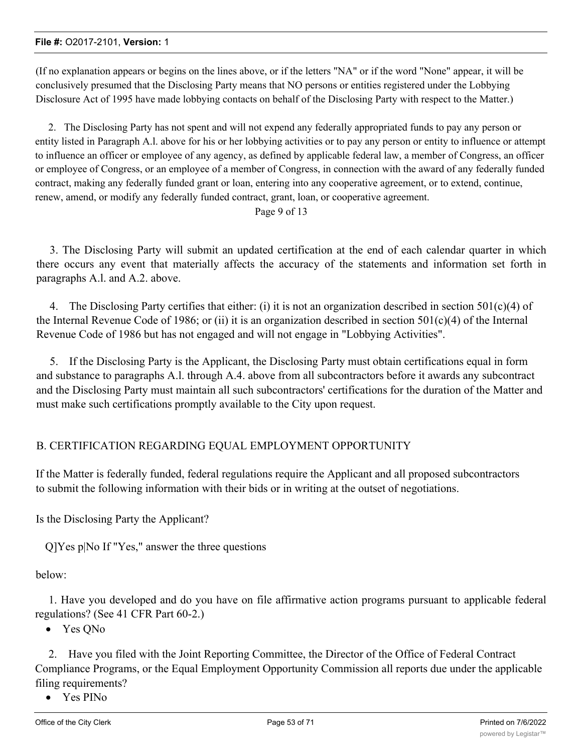(If no explanation appears or begins on the lines above, or if the letters "NA" or if the word "None" appear, it will be conclusively presumed that the Disclosing Party means that NO persons or entities registered under the Lobbying Disclosure Act of 1995 have made lobbying contacts on behalf of the Disclosing Party with respect to the Matter.)

2. The Disclosing Party has not spent and will not expend any federally appropriated funds to pay any person or entity listed in Paragraph A.l. above for his or her lobbying activities or to pay any person or entity to influence or attempt to influence an officer or employee of any agency, as defined by applicable federal law, a member of Congress, an officer or employee of Congress, or an employee of a member of Congress, in connection with the award of any federally funded contract, making any federally funded grant or loan, entering into any cooperative agreement, or to extend, continue, renew, amend, or modify any federally funded contract, grant, loan, or cooperative agreement.

Page 9 of 13

3. The Disclosing Party will submit an updated certification at the end of each calendar quarter in which there occurs any event that materially affects the accuracy of the statements and information set forth in paragraphs A.l. and A.2. above.

4. The Disclosing Party certifies that either: (i) it is not an organization described in section  $501(c)(4)$  of the Internal Revenue Code of 1986; or (ii) it is an organization described in section 501(c)(4) of the Internal Revenue Code of 1986 but has not engaged and will not engage in "Lobbying Activities".

5. If the Disclosing Party is the Applicant, the Disclosing Party must obtain certifications equal in form and substance to paragraphs A.l. through A.4. above from all subcontractors before it awards any subcontract and the Disclosing Party must maintain all such subcontractors' certifications for the duration of the Matter and must make such certifications promptly available to the City upon request.

# B. CERTIFICATION REGARDING EQUAL EMPLOYMENT OPPORTUNITY

If the Matter is federally funded, federal regulations require the Applicant and all proposed subcontractors to submit the following information with their bids or in writing at the outset of negotiations.

Is the Disclosing Party the Applicant?

Q]Yes p|No If "Yes," answer the three questions

below:

1. Have you developed and do you have on file affirmative action programs pursuant to applicable federal regulations? (See 41 CFR Part 60-2.)

· Yes QNo

2. Have you filed with the Joint Reporting Committee, the Director of the Office of Federal Contract Compliance Programs, or the Equal Employment Opportunity Commission all reports due under the applicable filing requirements?

• Yes PINo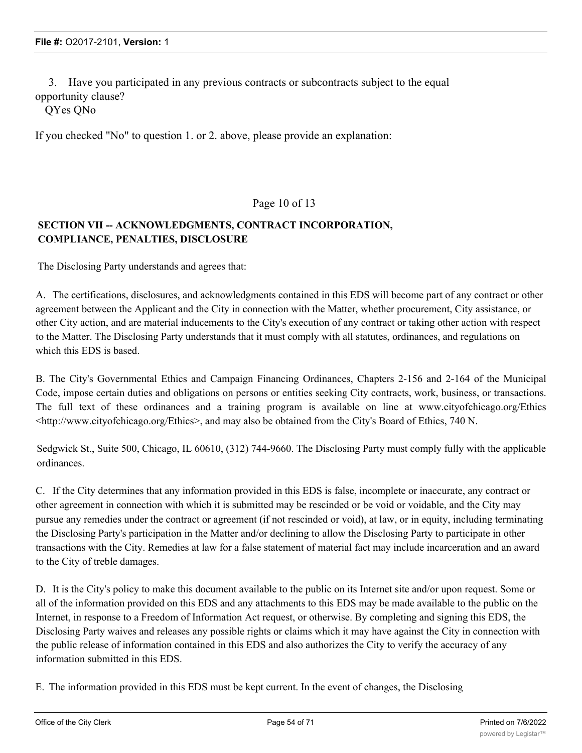3. Have you participated in any previous contracts or subcontracts subject to the equal opportunity clause?

QYes QNo

If you checked "No" to question 1. or 2. above, please provide an explanation:

# Page 10 of 13

# **SECTION VII -- ACKNOWLEDGMENTS, CONTRACT INCORPORATION, COMPLIANCE, PENALTIES, DISCLOSURE**

The Disclosing Party understands and agrees that:

A. The certifications, disclosures, and acknowledgments contained in this EDS will become part of any contract or other agreement between the Applicant and the City in connection with the Matter, whether procurement, City assistance, or other City action, and are material inducements to the City's execution of any contract or taking other action with respect to the Matter. The Disclosing Party understands that it must comply with all statutes, ordinances, and regulations on which this EDS is based.

B. The City's Governmental Ethics and Campaign Financing Ordinances, Chapters 2-156 and 2-164 of the Municipal Code, impose certain duties and obligations on persons or entities seeking City contracts, work, business, or transactions. The full text of these ordinances and a training program is available on line at www.cityofchicago.org/Ethics <http://www.cityofchicago.org/Ethics>, and may also be obtained from the City's Board of Ethics, 740 N.

Sedgwick St., Suite 500, Chicago, IL 60610, (312) 744-9660. The Disclosing Party must comply fully with the applicable ordinances.

C. If the City determines that any information provided in this EDS is false, incomplete or inaccurate, any contract or other agreement in connection with which it is submitted may be rescinded or be void or voidable, and the City may pursue any remedies under the contract or agreement (if not rescinded or void), at law, or in equity, including terminating the Disclosing Party's participation in the Matter and/or declining to allow the Disclosing Party to participate in other transactions with the City. Remedies at law for a false statement of material fact may include incarceration and an award to the City of treble damages.

D. It is the City's policy to make this document available to the public on its Internet site and/or upon request. Some or all of the information provided on this EDS and any attachments to this EDS may be made available to the public on the Internet, in response to a Freedom of Information Act request, or otherwise. By completing and signing this EDS, the Disclosing Party waives and releases any possible rights or claims which it may have against the City in connection with the public release of information contained in this EDS and also authorizes the City to verify the accuracy of any information submitted in this EDS.

E. The information provided in this EDS must be kept current. In the event of changes, the Disclosing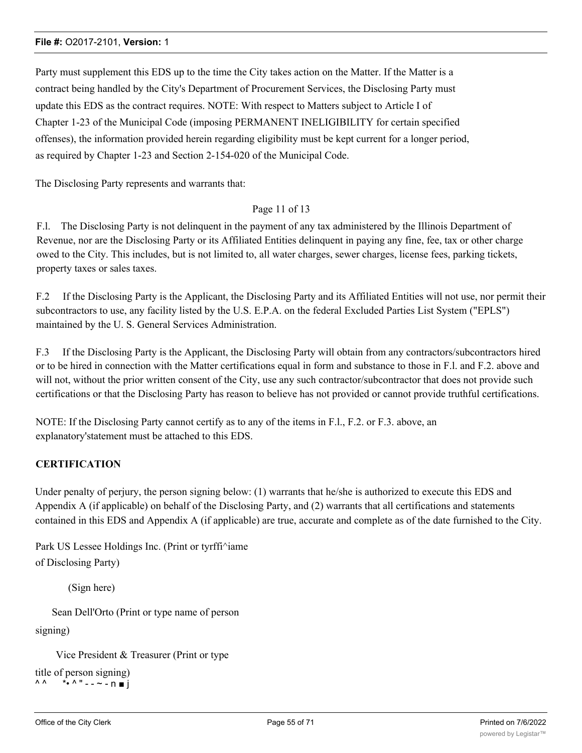Party must supplement this EDS up to the time the City takes action on the Matter. If the Matter is a contract being handled by the City's Department of Procurement Services, the Disclosing Party must update this EDS as the contract requires. NOTE: With respect to Matters subject to Article I of Chapter 1-23 of the Municipal Code (imposing PERMANENT INELIGIBILITY for certain specified offenses), the information provided herein regarding eligibility must be kept current for a longer period, as required by Chapter 1-23 and Section 2-154-020 of the Municipal Code.

The Disclosing Party represents and warrants that:

#### Page 11 of 13

F.l. The Disclosing Party is not delinquent in the payment of any tax administered by the Illinois Department of Revenue, nor are the Disclosing Party or its Affiliated Entities delinquent in paying any fine, fee, tax or other charge owed to the City. This includes, but is not limited to, all water charges, sewer charges, license fees, parking tickets, property taxes or sales taxes.

F.2 If the Disclosing Party is the Applicant, the Disclosing Party and its Affiliated Entities will not use, nor permit their subcontractors to use, any facility listed by the U.S. E.P.A. on the federal Excluded Parties List System ("EPLS") maintained by the U. S. General Services Administration.

F.3 If the Disclosing Party is the Applicant, the Disclosing Party will obtain from any contractors/subcontractors hired or to be hired in connection with the Matter certifications equal in form and substance to those in F.l. and F.2. above and will not, without the prior written consent of the City, use any such contractor/subcontractor that does not provide such certifications or that the Disclosing Party has reason to believe has not provided or cannot provide truthful certifications.

NOTE: If the Disclosing Party cannot certify as to any of the items in F.l., F.2. or F.3. above, an explanatory'statement must be attached to this EDS.

#### **CERTIFICATION**

Under penalty of perjury, the person signing below: (1) warrants that he/she is authorized to execute this EDS and Appendix A (if applicable) on behalf of the Disclosing Party, and (2) warrants that all certifications and statements contained in this EDS and Appendix A (if applicable) are true, accurate and complete as of the date furnished to the City.

Park US Lessee Holdings Inc. (Print or tyrffi^iame of Disclosing Party)

(Sign here)

Sean Dell'Orto (Print or type name of person

signing)

Vice President & Treasurer (Print or type

```
title of person signing)
\wedge \wedge *• \wedge " - - ~ - n ■ j
```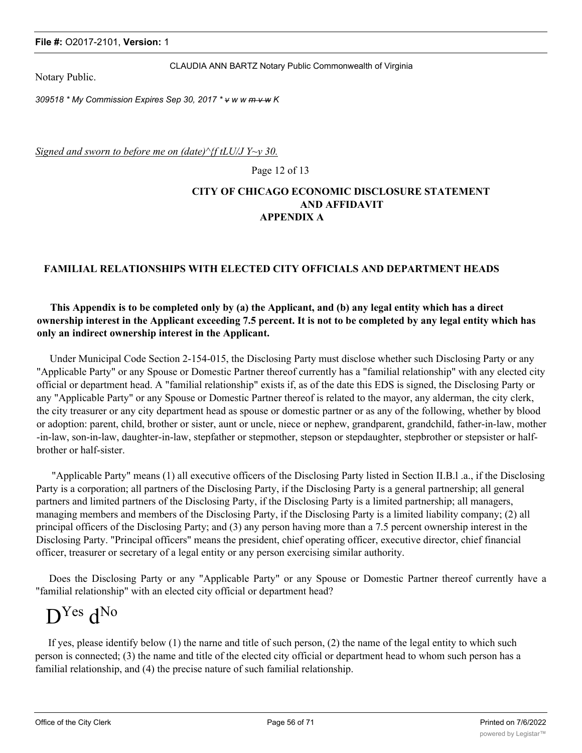CLAUDIA ANN BARTZ Notary Public Commonwealth of Virginia

Notary Public.

*309518 \* My Commission Expires Sep 30, 2017 \* v w w m v w K*

*Signed and sworn to before me on (date)^{f tLU/J Y~y 30.*

Page 12 of 13

#### **CITY OF CHICAGO ECONOMIC DISCLOSURE STATEMENT AND AFFIDAVIT APPENDIX A**

## **FAMILIAL RELATIONSHIPS WITH ELECTED CITY OFFICIALS AND DEPARTMENT HEADS**

# **This Appendix is to be completed only by (a) the Applicant, and (b) any legal entity which has a direct ownership interest in the Applicant exceeding 7.5 percent. It is not to be completed by any legal entity which has only an indirect ownership interest in the Applicant.**

Under Municipal Code Section 2-154-015, the Disclosing Party must disclose whether such Disclosing Party or any "Applicable Party" or any Spouse or Domestic Partner thereof currently has a "familial relationship" with any elected city official or department head. A "familial relationship" exists if, as of the date this EDS is signed, the Disclosing Party or any "Applicable Party" or any Spouse or Domestic Partner thereof is related to the mayor, any alderman, the city clerk, the city treasurer or any city department head as spouse or domestic partner or as any of the following, whether by blood or adoption: parent, child, brother or sister, aunt or uncle, niece or nephew, grandparent, grandchild, father-in-law, mother -in-law, son-in-law, daughter-in-law, stepfather or stepmother, stepson or stepdaughter, stepbrother or stepsister or halfbrother or half-sister.

"Applicable Party" means (1) all executive officers of the Disclosing Party listed in Section II.B.l .a., if the Disclosing Party is a corporation; all partners of the Disclosing Party, if the Disclosing Party is a general partnership; all general partners and limited partners of the Disclosing Party, if the Disclosing Party is a limited partnership; all managers, managing members and members of the Disclosing Party, if the Disclosing Party is a limited liability company; (2) all principal officers of the Disclosing Party; and (3) any person having more than a 7.5 percent ownership interest in the Disclosing Party. "Principal officers" means the president, chief operating officer, executive director, chief financial officer, treasurer or secretary of a legal entity or any person exercising similar authority.

Does the Disclosing Party or any "Applicable Party" or any Spouse or Domestic Partner thereof currently have a "familial relationship" with an elected city official or department head?

# $D<sup>Yes</sup> d<sup>No</sup>$

If yes, please identify below (1) the narne and title of such person, (2) the name of the legal entity to which such person is connected; (3) the name and title of the elected city official or department head to whom such person has a familial relationship, and (4) the precise nature of such familial relationship.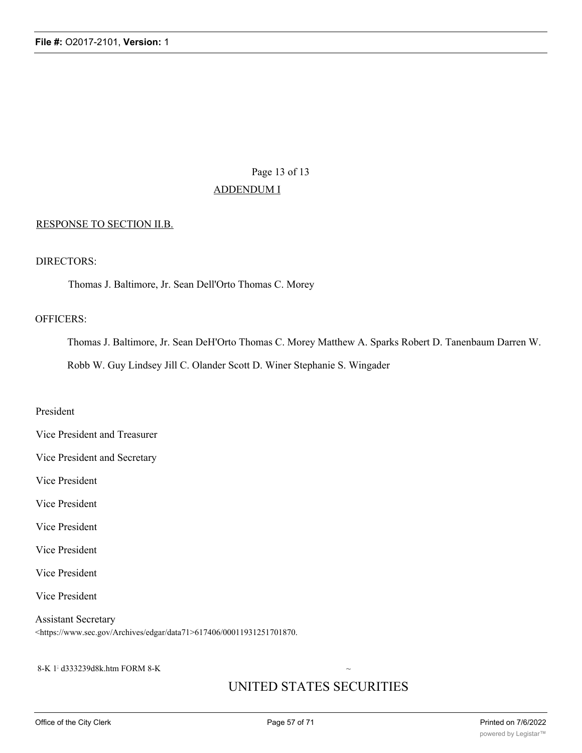# Page 13 of 13 ADDENDUM I

#### RESPONSE TO SECTION II.B.

#### DIRECTORS:

Thomas J. Baltimore, Jr. Sean Dell'Orto Thomas C. Morey

#### OFFICERS:

Thomas J. Baltimore, Jr. Sean DeH'Orto Thomas C. Morey Matthew A. Sparks Robert D. Tanenbaum Darren W. Robb W. Guy Lindsey Jill C. Olander Scott D. Winer Stephanie S. Wingader

## President

Vice President and Treasurer

Vice President and Secretary

Vice President

Vice President

Vice President

Vice President

Vice President

Vice President

Assistant Secretary

<https://www.sec.gov/Archives/edgar/data71>617406/00011931251701870.

8-K 1; d333239d8k.htm FORM 8-K  $\sim$ 

# UNITED STATES SECURITIES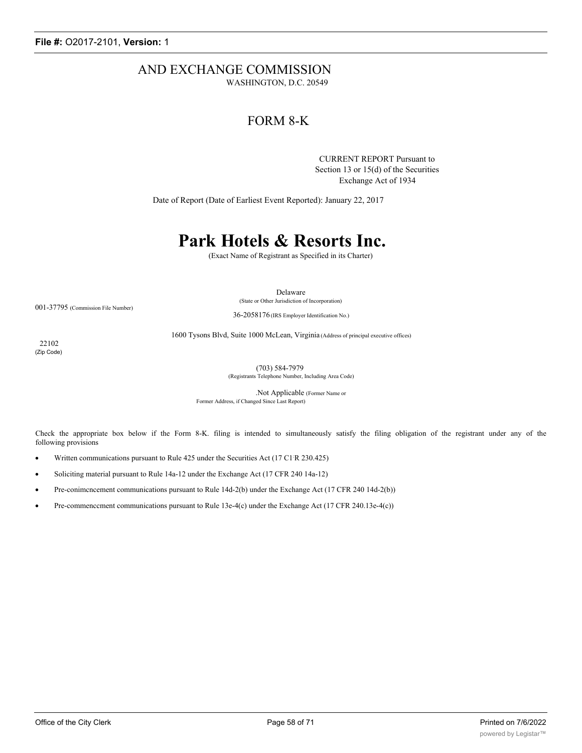## AND EXCHANGE COMMISSION WASHINGTON, D.C. 20549

# FORM 8-K

CURRENT REPORT Pursuant to Section 13 or 15(d) of the Securities Exchange Act of 1934

Date of Report (Date of Earliest Event Reported): January 22, 2017

# **Park Hotels & Resorts Inc.**

(Exact Name of Registrant as Specified in its Charter)

Delaware

(State or Other Jurisdiction of Incorporation)

36-2058176 (IRS Employer Identification No.)

1600 Tysons Blvd, Suite 1000 McLean, Virginia (Address of principal executive offices)

22102 (Zip Code)

001-37795 (Commission File Number)

(703) 584-7979 (Registrants Telephone Number, Including Area Code)

.Not Applicable (Former Name or Former Address, if Changed Since Last Report)

Check the appropriate box below if the Form 8-K. filing is intended to simultaneously satisfy the filing obligation of the registrant under any of the following provisions

- Written communications pursuant to Rule 425 under the Securities Act (17 C1 R 230.425)
- Soliciting material pursuant to Rule 14a-12 under the Exchange Act (17 CFR 240 14a-12)
- Pre-conimcncement communications pursuant to Rule 14d-2(b) under the Exchange Act (17 CFR 240 14d-2(b))
- Pre-commencement communications pursuant to Rule 13e-4(c) under the Exchange Act (17 CFR 240.13e-4(c))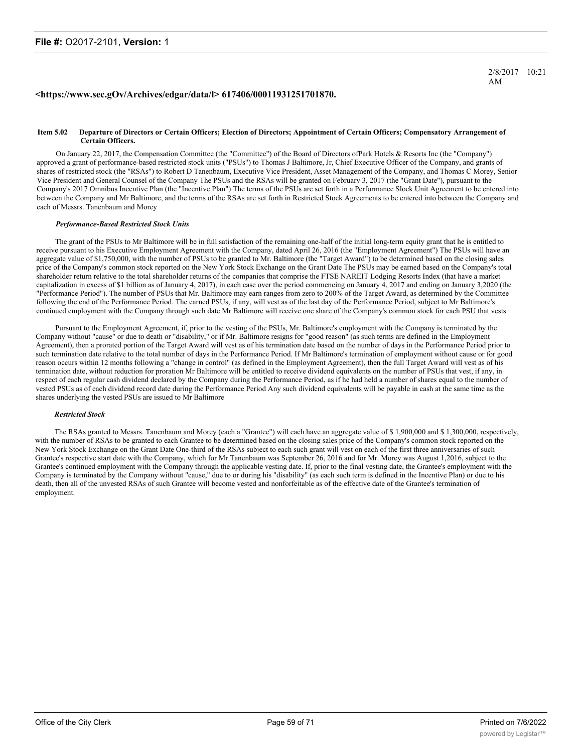#### **<https://www.sec.gOv/Archives/edgar/data/l> 617406/00011931251701870.**

#### **Item 5.02 Departure of Directors or Certain Officers; Election of Directors; Appointment of Certain Officers; Compensatory Arrangement of Certain Officers.**

On January 22, 2017, the Compensation Committee (the "Committee") of the Board of Directors ofPark Hotels & Resorts Inc (the "Company") approved a grant of performance-based restricted stock units ("PSUs") to Thomas J Baltimore, Jr, Chief Executive Officer of the Company, and grants of shares of restricted stock (the "RSAs") to Robert D Tanenbaum, Executive Vice President, Asset Management of the Company, and Thomas C Morey, Senior Vice President and General Counsel of the Company The PSUs and the RSAs will be granted on February 3, 2017 (the "Grant Date"), pursuant to the Company's 2017 Omnibus Incentive Plan (the "Incentive Plan") The terms of the PSUs are set forth in a Performance Slock Unit Agreement to be entered into between the Company and Mr Baltimore, and the terms of the RSAs are set forth in Restricted Stock Agreements to be entered into between the Company and each of Messrs. Tanenbaum and Morey

#### *Performance-Based Restricted Stock Units*

The grant of the PSUs to Mr Baltimore will be in full satisfaction of the remaining one-half of the initial long-term equity grant that he is entitled to receive pursuant to his Executive Employment Agreement with the Company, dated April 26, 2016 (the "Employment Agreement") The PSUs will have an aggregate value of \$1,750,000, with the number of PSUs to be granted to Mr. Baltimore (the "Target Award") to be determined based on the closing sales price of the Company's common stock reported on the New York Stock Exchange on the Grant Date The PSUs may be earned based on the Company's total shareholder return relative to the total shareholder returns of the companies that comprise the FTSE NAREIT Lodging Resorts Index (that have a market capitalization in excess of \$1 billion as of January 4, 2017), in each case over the period commencing on January 4, 2017 and ending on January 3,2020 (the "Performance Period"). The number of PSUs that Mr. Baltimore may earn ranges from zero to 200% of the Target Award, as determined by the Committee following the end of the Performance Period. The earned PSUs, if any, will vest as of the last day of the Performance Period, subject to Mr Baltimore's continued employment with the Company through such date Mr Baltimore will receive one share of the Company's common stock for each PSU that vests

Pursuant to the Employment Agreement, if, prior to the vesting of the PSUs, Mr. Baltimore's employment with the Company is terminated by the Company without "cause" or due to death or "disability," or if Mr. Baltimore resigns for "good reason" (as such terms are defined in the Employment Agreement), then a prorated portion of the Target Award will vest as of his termination date based on the number of days in the Performance Period prior to such termination date relative to the total number of days in the Performance Period. If Mr Baltimore's termination of employment without cause or for good reason occurs within 12 months following a "change in control" (as defined in the Employment Agreement), then the full Target Award will vest as of his termination date, without reduction for proration Mr Baltimore will be entitled to receive dividend equivalents on the number of PSUs that vest, if any, in respect of each regular cash dividend declared by the Company during the Performance Period, as if he had held a number of shares equal to the number of vested PSUs as of each dividend record date during the Performance Period Any such dividend equivalents will be payable in cash at the same time as the shares underlying the vested PSUs are issued to Mr Baltimore

#### *Restricted Stock*

The RSAs granted to Messrs. Tanenbaum and Morey (each a "Grantee") will each have an aggregate value of \$ 1,900,000 and \$ 1,300,000, respectively, with the number of RSAs to be granted to each Grantee to be determined based on the closing sales price of the Company's common stock reported on the New York Stock Exchange on the Grant Date One-third of the RSAs subject to each such grant will vest on each of the first three anniversaries of such Grantee's respective start date with the Company, which for Mr Tanenbaum was September 26, 2016 and for Mr. Morey was August 1,2016, subject to the Grantee's continued employment with the Company through the applicable vesting date. If, prior to the final vesting date, the Grantee's employment with the Company is terminated by the Company without "cause," due to or during his "disability" (as each such term is defined in the Incentive Plan) or due to his death, then all of the unvested RSAs of such Grantee will become vested and nonforfeitable as of the effective date of the Grantee's termination of employment.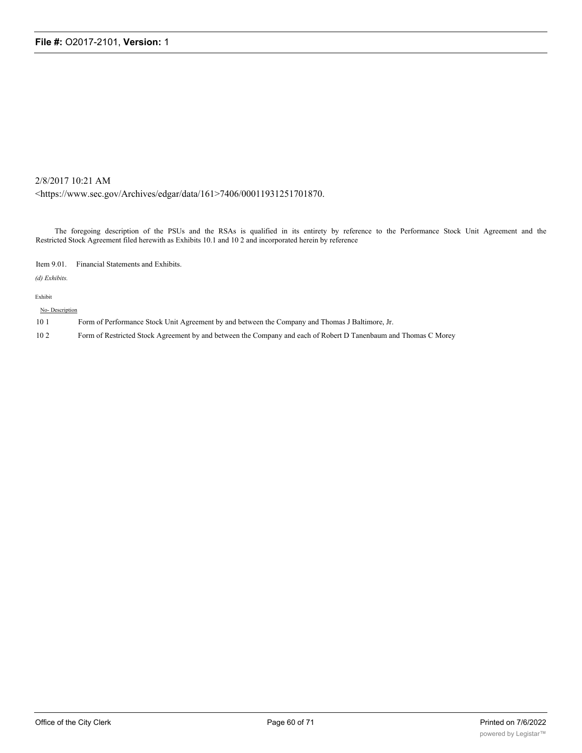#### 2/8/2017 10:21 AM

<https://www.sec.gov/Archives/edgar/data/161>7406/00011931251701870.

The foregoing description of the PSUs and the RSAs is qualified in its entirety by reference to the Performance Stock Unit Agreement and the Restricted Stock Agreement filed herewith as Exhibits 10.1 and 10 2 and incorporated herein by reference

Item 9.01. Financial Statements and Exhibits.

*(d) Exhibits.*

Exhibit

#### No- Description

- 10 1 Form of Performance Stock Unit Agreement by and between the Company and Thomas J Baltimore, Jr.
- 10 2 Form of Restricted Stock Agreement by and between the Company and each of Robert D Tanenbaum and Thomas C Morey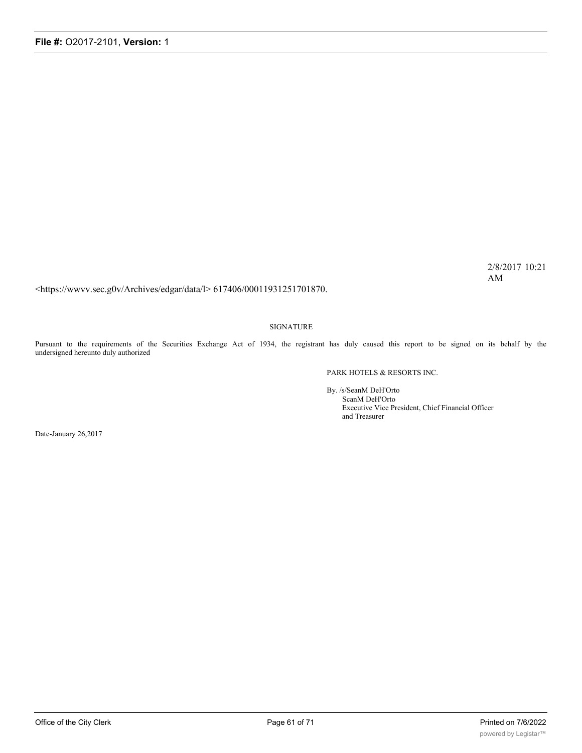2/8/2017 10:21 AM

<https://wwvv.sec.g0v/Archives/edgar/data/l> 617406/00011931251701870.

#### SIGNATURE

Pursuant to the requirements of the Securities Exchange Act of 1934, the registrant has duly caused this report to be signed on its behalf by the undersigned hereunto duly authorized

#### PARK HOTELS & RESORTS INC.

By. /s/SeanM DeH'Orto ScanM DeH'Orto Executive Vice President, Chief Financial Officer and Treasurer

Date-January 26,2017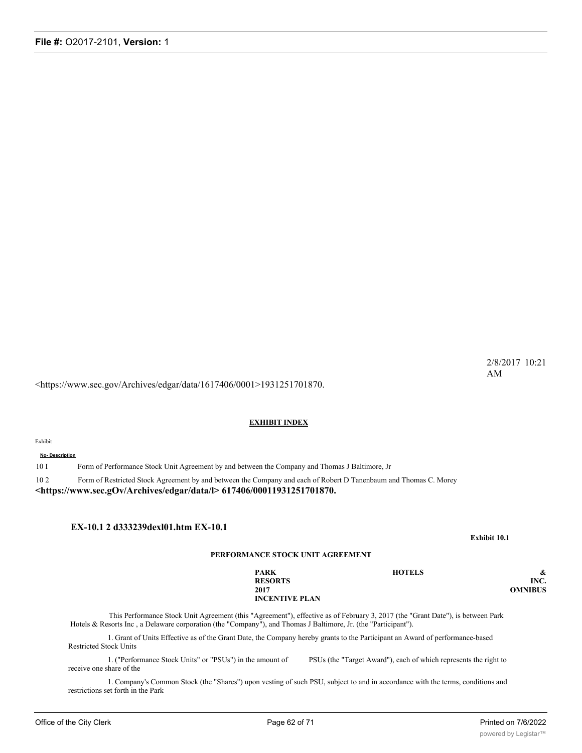<https://www.sec.gov/Archives/edgar/data/1617406/0001>1931251701870.

#### **EXHIBIT INDEX**

Exhibit

**No- Description**

10 I Form of Performance Stock Unit Agreement by and between the Company and Thomas J Baltimore, Jr

10 2 Form of Restricted Stock Agreement by and between the Company and each of Robert D Tanenbaum and Thomas C. Morey

**<https://www.sec.gOv/Archives/edgar/data/l> 617406/00011931251701870.**

#### **EX-10.1 2 d333239dexl01.htm EX-10.1**

#### **PERFORMANCE STOCK UNIT AGREEMENT**

**PARK HOTELS & RESORTS** INC.<br>2017 **COMMIBUS INCENTIVE PLAN**

This Performance Stock Unit Agreement (this "Agreement"), effective as of February 3, 2017 (the "Grant Date"), is between Park Hotels & Resorts Inc , a Delaware corporation (the "Company"), and Thomas J Baltimore, Jr. (the "Participant").

1. Grant of Units Effective as of the Grant Date, the Company hereby grants to the Participant an Award of performance-based Restricted Stock Units

1. ("Performance Stock Units" or "PSUs") in the amount of PSUs (the "Target Award"), each of which represents the right to receive one share of the

1. Company's Common Stock (the "Shares") upon vesting of such PSU, subject to and in accordance with the terms, conditions and restrictions set forth in the Park

**2017 OMNIBUS**

**Exhibit 10.1**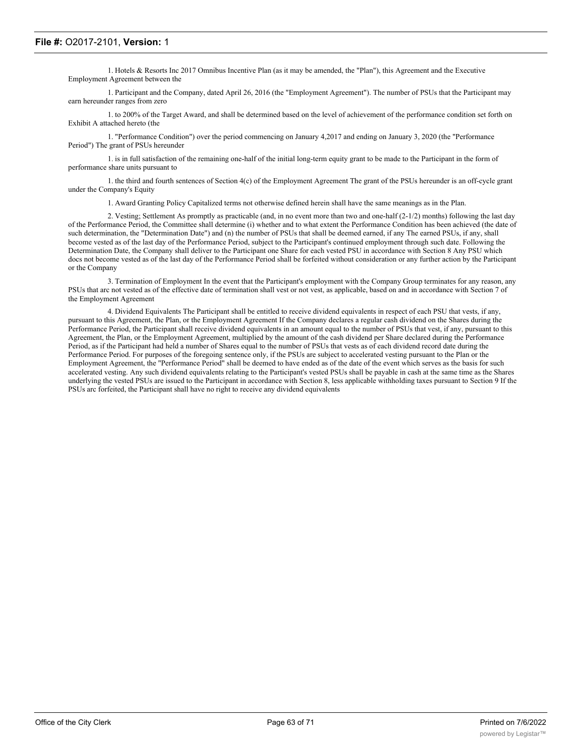1. Hotels & Resorts Inc 2017 Omnibus Incentive Plan (as it may be amended, the "Plan"), this Agreement and the Executive Employment Agreement between the

1. Participant and the Company, dated April 26, 2016 (the "Employment Agreement"). The number of PSUs that the Participant may earn hereunder ranges from zero

1. to 200% of the Target Award, and shall be determined based on the level of achievement of the performance condition set forth on Exhibit A attached hereto (the

1. "Performance Condition") over the period commencing on January 4,2017 and ending on January 3, 2020 (the "Performance Period") The grant of PSUs hereunder

1. is in full satisfaction of the remaining one-half of the initial long-term equity grant to be made to the Participant in the form of performance share units pursuant to

1. the third and fourth sentences of Section 4(c) of the Employment Agreement The grant of the PSUs hereunder is an off-cycle grant under the Company's Equity

1. Award Granting Policy Capitalized terms not otherwise defined herein shall have the same meanings as in the Plan.

2. Vesting; Settlement As promptly as practicable (and, in no event more than two and one-half (2-1/2) months) following the last day of the Performance Period, the Committee shall determine (i) whether and to what extent the Performance Condition has been achieved (the date of such determination, the "Determination Date") and (n) the number of PSUs that shall be deemed earned, if any The earned PSUs, if any, shall become vested as of the last day of the Performance Period, subject to the Participant's continued employment through such date. Following the Determination Date, the Company shall deliver to the Participant one Share for each vested PSU in accordance with Section 8 Any PSU which docs not become vested as of the last day of the Performance Period shall be forfeited without consideration or any further action by the Participant or the Company

3. Termination of Employment In the event that the Participant's employment with the Company Group terminates for any reason, any PSUs that arc not vested as of the effective date of termination shall vest or not vest, as applicable, based on and in accordance with Section 7 of the Employment Agreement

4. Dividend Equivalents The Participant shall be entitled to receive dividend equivalents in respect of each PSU that vests, if any, pursuant to this Agreement, the Plan, or the Employment Agreement If the Company declares a regular cash dividend on the Shares during the Performance Period, the Participant shall receive dividend equivalents in an amount equal to the number of PSUs that vest, if any, pursuant to this Agreement, the Plan, or the Employment Agreement, multiplied by the amount of the cash dividend per Share declared during the Performance Period, as if the Participant had held a number of Shares equal to the number of PSUs that vests as of each dividend record date during the Performance Period. For purposes of the foregoing sentence only, if the PSUs are subject to accelerated vesting pursuant to the Plan or the Employment Agreement, the "Performance Period" shall be deemed to have ended as of the date of the event which serves as the basis for such accelerated vesting. Any such dividend equivalents relating to the Participant's vested PSUs shall be payable in cash at the same time as the Shares underlying the vested PSUs are issued to the Participant in accordance with Section 8, less applicable withholding taxes pursuant to Section 9 If the PSUs arc forfeited, the Participant shall have no right to receive any dividend equivalents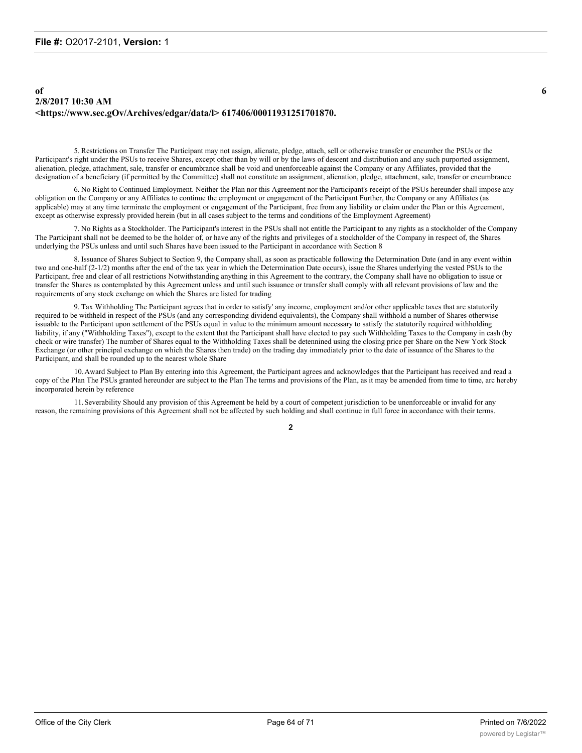#### **of 6 2/8/2017 10:30 AM <https://www.sec.gOv/Archives/edgar/data/l> 617406/00011931251701870.**

5. Restrictions on Transfer The Participant may not assign, alienate, pledge, attach, sell or otherwise transfer or encumber the PSUs or the Participant's right under the PSUs to receive Shares, except other than by will or by the laws of descent and distribution and any such purported assignment, alienation, pledge, attachment, sale, transfer or encumbrance shall be void and unenforceable against the Company or any Affiliates, provided that the designation of a beneficiary (if permitted by the Committee) shall not constitute an assignment, alienation, pledge, attachment, sale, transfer or encumbrance

6. No Right to Continued Employment. Neither the Plan nor this Agreement nor the Participant's receipt of the PSUs hereunder shall impose any obligation on the Company or any Affiliates to continue the employment or engagement of the Participant Further, the Company or any Affiliates (as applicable) may at any time terminate the employment or engagement of the Participant, free from any liability or claim under the Plan or this Agreement, except as otherwise expressly provided herein (but in all cases subject to the terms and conditions of the Employment Agreement)

7. No Rights as a Stockholder. The Participant's interest in the PSUs shall not entitle the Participant to any rights as a stockholder of the Company The Participant shall not be deemed to be the holder of, or have any of the rights and privileges of a stockholder of the Company in respect of, the Shares underlying the PSUs unless and until such Shares have been issued to the Participant in accordance with Section 8

8. Issuance of Shares Subject to Section 9, the Company shall, as soon as practicable following the Determination Date (and in any event within two and one-half (2-1/2) months after the end of the tax year in which the Determination Date occurs), issue the Shares underlying the vested PSUs to the Participant, free and clear of all restrictions Notwithstanding anything in this Agreement to the contrary, the Company shall have no obligation to issue or transfer the Shares as contemplated by this Agreement unless and until such issuance or transfer shall comply with all relevant provisions of law and the requirements of any stock exchange on which the Shares are listed for trading

9. Tax Withholding The Participant agrees that in order to satisfy' any income, employment and/or other applicable taxes that are statutorily required to be withheld in respect of the PSUs (and any corresponding dividend equivalents), the Company shall withhold a number of Shares otherwise issuable to the Participant upon settlement of the PSUs equal in value to the minimum amount necessary to satisfy the statutorily required withholding liability, if any ("Withholding Taxes"), except to the extent that the Participant shall have elected to pay such Withholding Taxes to the Company in cash (by check or wire transfer) The number of Shares equal to the Withholding Taxes shall be detennined using the closing price per Share on the New York Stock Exchange (or other principal exchange on which the Shares then trade) on the trading day immediately prior to the date of issuance of the Shares to the Participant, and shall be rounded up to the nearest whole Share

10.Award Subject to Plan By entering into this Agreement, the Participant agrees and acknowledges that the Participant has received and read a copy of the Plan The PSUs granted hereunder are subject to the Plan The terms and provisions of the Plan, as it may be amended from time to time, arc hereby incorporated herein by reference

11.Severability Should any provision of this Agreement be held by a court of competent jurisdiction to be unenforceable or invalid for any reason, the remaining provisions of this Agreement shall not be affected by such holding and shall continue in full force in accordance with their terms.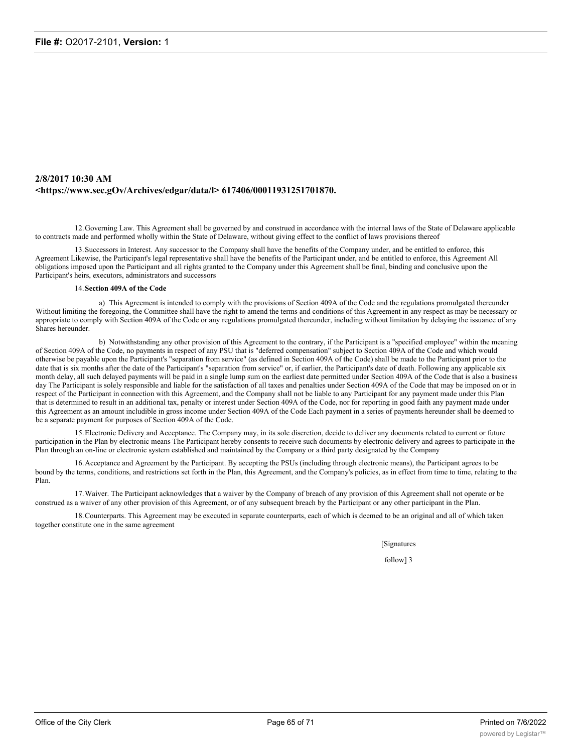#### **2/8/2017 10:30 AM <https://www.sec.gOv/Archives/edgar/data/l> 617406/00011931251701870.**

12.Governing Law. This Agreement shall be governed by and construed in accordance with the internal laws of the State of Delaware applicable to contracts made and performed wholly within the State of Delaware, without giving effect to the conflict of laws provisions thereof

13.Successors in Interest. Any successor to the Company shall have the benefits of the Company under, and be entitled to enforce, this Agreement Likewise, the Participant's legal representative shall have the benefits of the Participant under, and be entitled to enforce, this Agreement All obligations imposed upon the Participant and all rights granted to the Company under this Agreement shall be final, binding and conclusive upon the Participant's heirs, executors, administrators and successors

#### 14.**Section 409A of the Code**

a) This Agreement is intended to comply with the provisions of Section 409A of the Code and the regulations promulgated thereunder Without limiting the foregoing, the Committee shall have the right to amend the terms and conditions of this Agreement in any respect as may be necessary or appropriate to comply with Section 409A of the Code or any regulations promulgated thereunder, including without limitation by delaying the issuance of any Shares hereunder.

b) Notwithstanding any other provision of this Agreement to the contrary, if the Participant is a "specified employee" within the meaning of Section 409A of the Code, no payments in respect of any PSU that is "deferred compensation" subject to Section 409A of the Code and which would otherwise be payable upon the Participant's "separation from service" (as defined in Section 409A of the Code) shall be made to the Participant prior to the date that is six months after the date of the Participant's "separation from service" or, if earlier, the Participant's date of death. Following any applicable six month delay, all such delayed payments will be paid in a single lump sum on the earliest date permitted under Section 409A of the Code that is also a business day The Participant is solely responsible and liable for the satisfaction of all taxes and penalties under Section 409A of the Code that may be imposed on or in respect of the Participant in connection with this Agreement, and the Company shall not be liable to any Participant for any payment made under this Plan that is determined to result in an additional tax, penalty or interest under Section 409A of the Code, nor for reporting in good faith any payment made under this Agreement as an amount includible in gross income under Section 409A of the Code Each payment in a series of payments hereunder shall be deemed to be a separate payment for purposes of Section 409A of the Code.

15.Electronic Delivery and Acceptance. The Company may, in its sole discretion, decide to deliver any documents related to current or future participation in the Plan by electronic means The Participant hereby consents to receive such documents by electronic delivery and agrees to participate in the Plan through an on-line or electronic system established and maintained by the Company or a third party designated by the Company

16.Acceptance and Agreement by the Participant. By accepting the PSUs (including through electronic means), the Participant agrees to be bound by the terms, conditions, and restrictions set forth in the Plan, this Agreement, and the Company's policies, as in effect from time to time, relating to the Plan.

17.Waiver. The Participant acknowledges that a waiver by the Company of breach of any provision of this Agreement shall not operate or be construed as a waiver of any other provision of this Agreement, or of any subsequent breach by the Participant or any other participant in the Plan.

18.Counterparts. This Agreement may be executed in separate counterparts, each of which is deemed to be an original and all of which taken together constitute one in the same agreement

[Signatures

follow] 3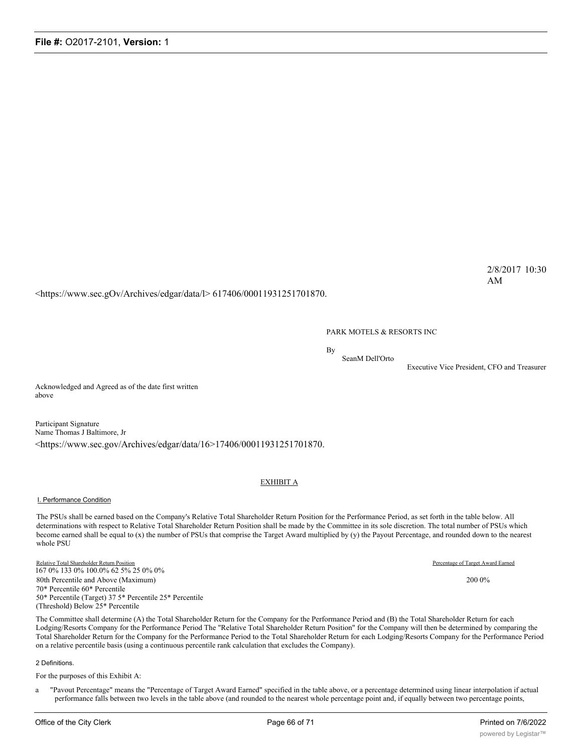2/8/2017 10:30 AM

<https://www.sec.gOv/Archives/edgar/data/l> 617406/00011931251701870.

#### PARK MOTELS & RESORTS INC

By

SeanM Dell'Orto

Executive Vice President, CFO and Treasurer

Acknowledged and Agreed as of the date first written above

Participant Signature Name Thomas J Baltimore, Jr <https://www.sec.gov/Archives/edgar/data/16>17406/00011931251701870.

#### EXHIBIT A

#### I. Performance Condition

The PSUs shall be earned based on the Company's Relative Total Shareholder Return Position for the Performance Period, as set forth in the table below. All determinations with respect to Relative Total Shareholder Return Position shall be made by the Committee in its sole discretion. The total number of PSUs which become earned shall be equal to (x) the number of PSUs that comprise the Target Award multiplied by (y) the Payout Percentage, and rounded down to the nearest whole PSU

Relative Total Shareholder Return Position Percentage of Target Award Earned 167 0% 133 0% 100.0% 62 5% 25 0% 0% 80th Percentile and Above (Maximum) 2000% 70\* Percentile 60\* Percentile 50\* Percentile (Target) 37 5\* Percentile 25\* Percentile (Threshold) Below 25\* Percentile

The Committee shall determine (A) the Total Shareholder Return for the Company for the Performance Period and (B) the Total Shareholder Return for each Lodging/Resorts Company for the Performance Period The "Relative Total Shareholder Return Position" for the Company will then be determined by comparing the Total Shareholder Return for the Company for the Performance Period to the Total Shareholder Return for each Lodging/Resorts Company for the Performance Period on a relative percentile basis (using a continuous percentile rank calculation that excludes the Company).

#### 2 Definitions.

For the purposes of this Exhibit A:

"Pavout Percentage" means the "Percentage of Target Award Earned" specified in the table above, or a percentage determined using linear interpolation if actual performance falls between two levels in the table above (and rounded to the nearest whole percentage point and, if equally between two percentage points,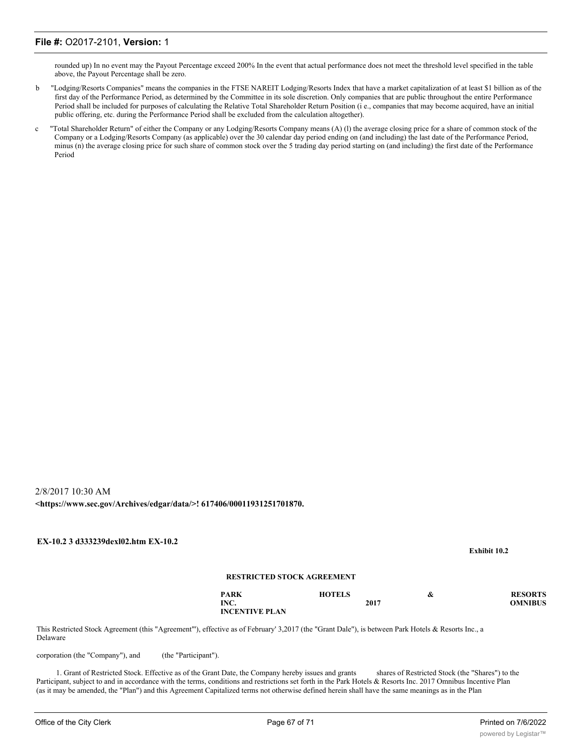rounded up) In no event may the Payout Percentage exceed 200% In the event that actual performance does not meet the threshold level specified in the table above, the Payout Percentage shall be zero.

- b "Lodging/Resorts Companies" means the companies in the FTSE NAREIT Lodging/Resorts Index that have a market capitalization of at least \$1 billion as of the first day of the Performance Period, as determined by the Committee in its sole discretion. Only companies that are public throughout the entire Performance Period shall be included for purposes of calculating the Relative Total Shareholder Return Position (i e., companies that may become acquired, have an initial public offering, etc. during the Performance Period shall be excluded from the calculation altogether).
- c "Total Shareholder Return" of either the Company or any Lodging/Resorts Company means (A) (l) the average closing price for a share of common stock of the Company or a Lodging/Resorts Company (as applicable) over the 30 calendar day period ending on (and including) the last date of the Performance Period, minus (n) the average closing price for such share of common stock over the 5 trading day period starting on (and including) the first date of the Performance Period

2/8/2017 10:30 AM **<https://www.sec.gov/Archives/edgar/data/>! 617406/00011931251701870.**

#### **EX-10.2 3 d333239dexl02.htm EX-10.2**

| <b>Exhibit 10.2</b> |  |
|---------------------|--|
|                     |  |

#### **RESTRICTED STOCK AGREEMENT**

| <b>PARK</b>           | <b>HOTELS</b> |      | & | <b>RESORTS</b> |
|-----------------------|---------------|------|---|----------------|
| INC.                  |               | 2017 |   | <b>OMNIBUS</b> |
| <b>INCENTIVE PLAN</b> |               |      |   |                |

This Restricted Stock Agreement (this "Agreement"'), effective as of February' 3,2017 (the "Grant Dale"), is between Park Hotels & Resorts Inc., a Delaware

corporation (the "Company"), and (the "Participant").

1. Grant of Restricted Stock. Effective as of the Grant Date, the Company hereby issues and grants shares of Restricted Stock (the "Shares") to the Participant, subject to and in accordance with the terms, conditions and restrictions set forth in the Park Hotels & Resorts Inc. 2017 Omnibus Incentive Plan (as it may be amended, the "Plan") and this Agreement Capitalized terms not otherwise defined herein shall have the same meanings as in the Plan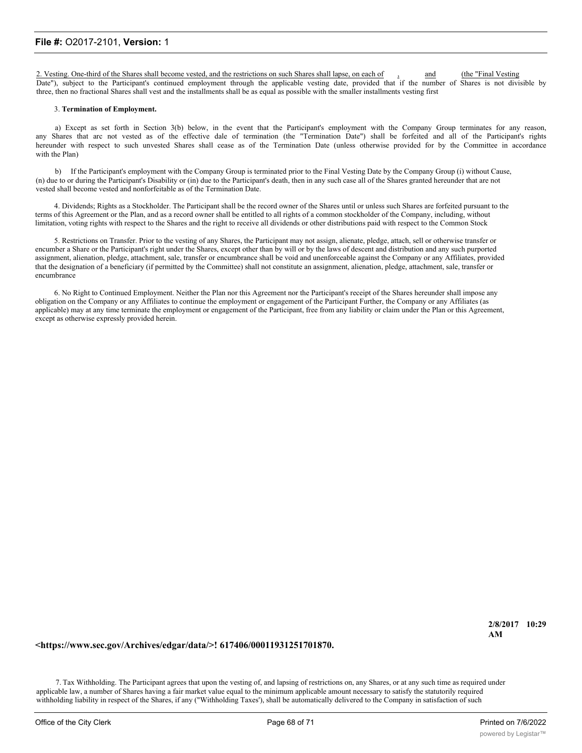2. Vesting. One-third of the Shares shall become vested, and the restrictions on such Shares shall lapse, on each of and the "Final Vesting" Date"), subject to the Participant's continued employment through the applicable vesting date, provided that if the number of Shares is not divisible by three, then no fractional Shares shall vest and the installments shall be as equal as possible with the smaller installments vesting first

#### 3. **Termination of Employment.**

a) Except as set forth in Section 3(b) below, in the event that the Participant's employment with the Company Group terminates for any reason, any Shares that arc not vested as of the effective dale of termination (the "Termination Date") shall be forfeited and all of the Participant's rights hereunder with respect to such unvested Shares shall cease as of the Termination Date (unless otherwise provided for by the Committee in accordance with the Plan)

b) If the Participant's employment with the Company Group is terminated prior to the Final Vesting Date by the Company Group (i) without Cause, (n) due to or during the Participant's Disability or (in) due to the Participant's death, then in any such case all of the Shares granted hereunder that are not vested shall become vested and nonforfeitable as of the Termination Date.

4. Dividends; Rights as a Stockholder. The Participant shall be the record owner of the Shares until or unless such Shares are forfeited pursuant to the terms of this Agreement or the Plan, and as a record owner shall be entitled to all rights of a common stockholder of the Company, including, without limitation, voting rights with respect to the Shares and the right to receive all dividends or other distributions paid with respect to the Common Stock

5. Restrictions on Transfer. Prior to the vesting of any Shares, the Participant may not assign, alienate, pledge, attach, sell or otherwise transfer or encumber a Share or the Participant's right under the Shares, except other than by will or by the laws of descent and distribution and any such purported assignment, alienation, pledge, attachment, sale, transfer or encumbrance shall be void and unenforceable against the Company or any Affiliates, provided that the designation of a beneficiary (if permitted by the Committee) shall not constitute an assignment, alienation, pledge, attachment, sale, transfer or encumbrance

6. No Right to Continued Employment. Neither the Plan nor this Agreement nor the Participant's receipt of the Shares hereunder shall impose any obligation on the Company or any Affiliates to continue the employment or engagement of the Participant Further, the Company or any Affiliates (as applicable) may at any time terminate the employment or engagement of the Participant, free from any liability or claim under the Plan or this Agreement, except as otherwise expressly provided herein.

> **2/8/2017 10:29 AM**

**<https://www.sec.gov/Archives/edgar/data/>! 617406/00011931251701870.**

7. Tax Withholding. The Participant agrees that upon the vesting of, and lapsing of restrictions on, any Shares, or at any such time as required under applicable law, a number of Shares having a fair market value equal to the minimum applicable amount necessary to satisfy the statutorily required withholding liability in respect of the Shares, if any ("Withholding Taxes'), shall be automatically delivered to the Company in satisfaction of such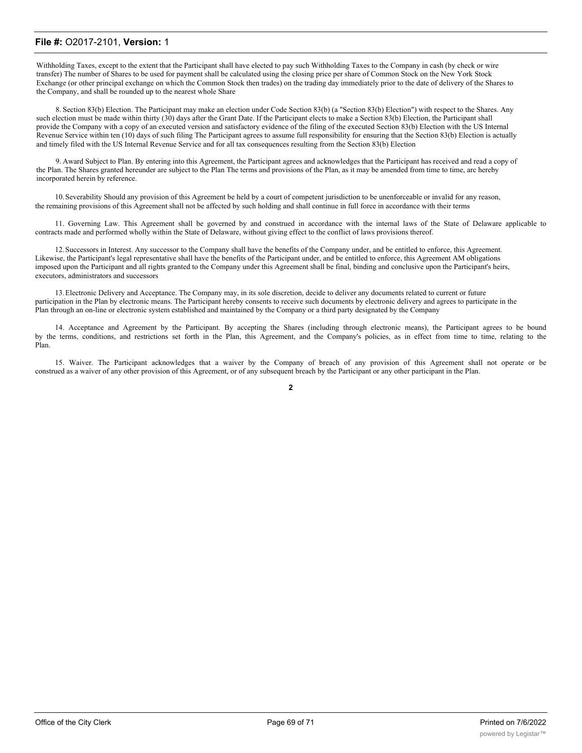Withholding Taxes, except to the extent that the Participant shall have elected to pay such Withholding Taxes to the Company in cash (by check or wire transfer) The number of Shares to be used for payment shall be calculated using the closing price per share of Common Stock on the New York Stock Exchange (or other principal exchange on which the Common Stock then trades) on the trading day immediately prior to the date of delivery of the Shares to the Company, and shall be rounded up to the nearest whole Share

8. Section 83(b) Election. The Participant may make an election under Code Section 83(b) (a "Section 83(b) Election") with respect to the Shares. Any such election must be made within thirty (30) days after the Grant Date. If the Participant elects to make a Section 83(b) Election, the Participant shall provide the Company with a copy of an executed version and satisfactory evidence of the filing of the executed Section 83(b) Election with the US Internal Revenue Service within ten (10) days of such filing The Participant agrees to assume full responsibility for ensuring that the Section 83(b) Election is actually and timely filed with the US Internal Revenue Service and for all tax consequences resulting from the Section 83(b) Election

9. Award Subject to Plan. By entering into this Agreement, the Participant agrees and acknowledges that the Participant has received and read a copy of the Plan. The Shares granted hereunder are subject to the Plan The terms and provisions of the Plan, as it may be amended from time to time, arc hereby incorporated herein by reference.

10.Severability Should any provision of this Agreement be held by a court of competent jurisdiction to be unenforceable or invalid for any reason, the remaining provisions of this Agreement shall not be affected by such holding and shall continue in full force in accordance with their terms

11. Governing Law. This Agreement shall be governed by and construed in accordance with the internal laws of the State of Delaware applicable to contracts made and performed wholly within the State of Delaware, without giving effect to the conflict of laws provisions thereof.

12.Successors in Interest. Any successor to the Company shall have the benefits of the Company under, and be entitled to enforce, this Agreement. Likewise, the Participant's legal representative shall have the benefits of the Participant under, and be entitled to enforce, this Agreement AM obligations imposed upon the Participant and all rights granted to the Company under this Agreement shall be final, binding and conclusive upon the Participant's heirs, executors, administrators and successors

13.Electronic Delivery and Acceptance. The Company may, in its sole discretion, decide to deliver any documents related to current or future participation in the Plan by electronic means. The Participant hereby consents to receive such documents by electronic delivery and agrees to participate in the Plan through an on-line or electronic system established and maintained by the Company or a third party designated by the Company

14. Acceptance and Agreement by the Participant. By accepting the Shares (including through electronic means), the Participant agrees to be bound by the terms, conditions, and restrictions set forth in the Plan, this Agreement, and the Company's policies, as in effect from time to time, relating to the Plan.

15. Waiver. The Participant acknowledges that a waiver by the Company of breach of any provision of this Agreement shall not operate or be construed as a waiver of any other provision of this Agreement, or of any subsequent breach by the Participant or any other participant in the Plan.

**2**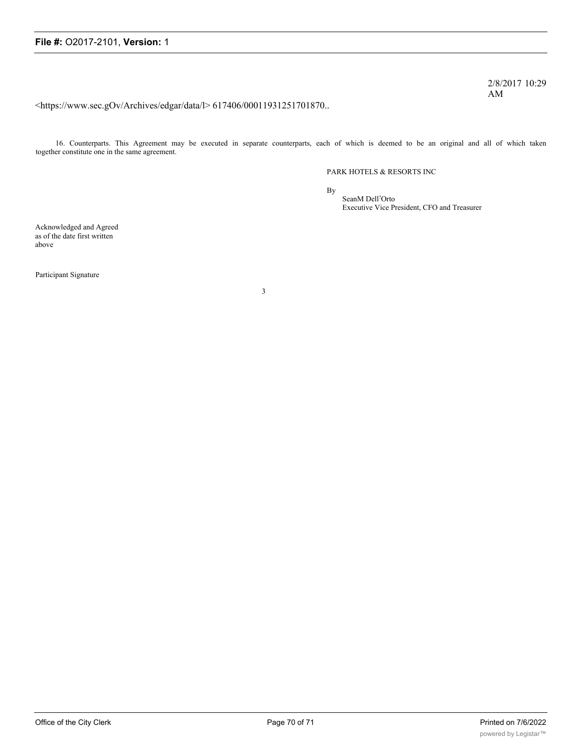2/8/2017 10:29 AM

<https://www.sec.gOv/Archives/edgar/data/l> 617406/00011931251701870..

16. Counterparts. This Agreement may be executed in separate counterparts, each of which is deemed to be an original and all of which taken together constitute one in the same agreement.

PARK HOTELS & RESORTS INC

By

SeanM Dell? Orto Executive Vice President, CFO and Treasurer

Acknowledged and Agreed as of the date first written above

Participant Signature

3